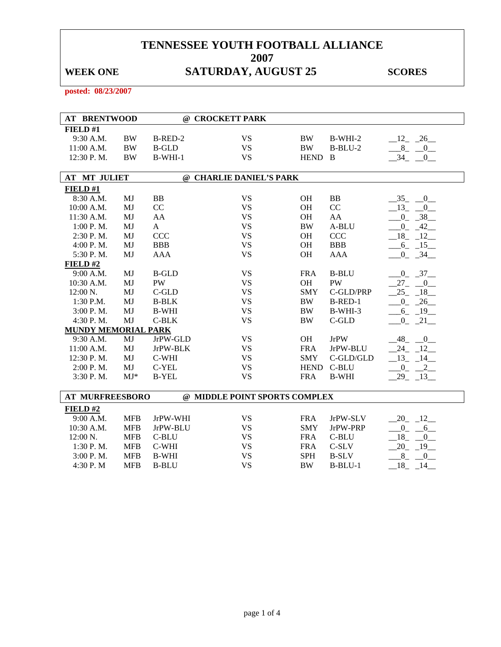# WEEK ONE **SATURDAY, AUGUST 25** SCORES

**posted: 08/23/2007** 

| <b>AT BRENTWOOD</b>        |            |              | @ CROCKETT PARK               |             |              |                          |
|----------------------------|------------|--------------|-------------------------------|-------------|--------------|--------------------------|
|                            |            |              |                               |             |              |                          |
| FIELD#1                    |            |              |                               |             |              |                          |
| 9:30 A.M.                  | <b>BW</b>  | B-RED-2      | <b>VS</b>                     | BW          | B-WHI-2      | $12 - 26$                |
| 11:00 A.M.                 | $\rm BW$   | <b>B-GLD</b> | <b>VS</b>                     | <b>BW</b>   | $B-BLU-2$    | $-8$ -<br>$-0$           |
| 12:30 P.M.                 | <b>BW</b>  | $B-WHI-1$    | <b>VS</b>                     | HEND B      |              | 34<br>$\overline{0}$     |
| <b>AT MT JULIET</b>        |            |              | @ CHARLIE DANIEL'S PARK       |             |              |                          |
|                            |            |              |                               |             |              |                          |
| FIELD#1                    |            |              |                               |             |              |                          |
| 8:30 A.M.                  | MJ         | <b>BB</b>    | <b>VS</b>                     | <b>OH</b>   | <b>BB</b>    | $-35 - 0$                |
| 10:00 A.M.                 | MJ         | CC           | <b>VS</b>                     | <b>OH</b>   | CC           | $-13$ $-0$               |
| 11:30 A.M.                 | MJ         | AA           | <b>VS</b>                     | <b>OH</b>   | AA           | $-0$ $-38$               |
| 1:00 P.M.                  | MJ         | $\mathbf{A}$ | <b>VS</b>                     | <b>BW</b>   | A-BLU        | $-0$ $-42$               |
| 2:30 P.M.                  | MJ         | <b>CCC</b>   | <b>VS</b>                     | OH          | <b>CCC</b>   | $-18$ $-12$              |
| 4:00 P.M.                  | MJ         | <b>BBB</b>   | <b>VS</b>                     | <b>OH</b>   | <b>BBB</b>   | $-6 - 15$                |
| 5:30 P.M.                  | MJ         | <b>AAA</b>   | <b>VS</b>                     | <b>OH</b>   | <b>AAA</b>   | $-0$ $-34$               |
| FIELD#2                    |            |              |                               |             |              |                          |
| 9:00 A.M.                  | MJ         | <b>B-GLD</b> | <b>VS</b>                     | <b>FRA</b>  | <b>B-BLU</b> | $-0$ $-37$ $-$           |
| 10:30 A.M.                 | MJ         | PW           | <b>VS</b>                     | OH          | PW           | $27 -$<br>$\overline{0}$ |
| 12:00 N.                   | MJ         | C-GLD        | <b>VS</b>                     | <b>SMY</b>  | C-GLD/PRP    | $-25 - 18$               |
| 1:30 P.M.                  | MJ         | <b>B-BLK</b> | <b>VS</b>                     | BW          | B-RED-1      | $0 - 26$                 |
| 3:00 P.M.                  | MJ         | <b>B-WHI</b> | <b>VS</b>                     | <b>BW</b>   | B-WHI-3      | $-6 - 19$                |
| 4:30 P.M.                  | MJ         | $C-BLK$      | <b>VS</b>                     | <b>BW</b>   | $C$ -GLD     | [0, 21]                  |
| <b>MUNDY MEMORIAL PARK</b> |            |              |                               |             |              |                          |
| 9:30 A.M.                  | MJ         | JrPW-GLD     | <b>VS</b>                     | OH          | <b>JrPW</b>  | $48 - 0$                 |
| 11:00 A.M.                 | MJ         | JrPW-BLK     | <b>VS</b>                     | <b>FRA</b>  | JrPW-BLU     | 24 12                    |
| 12:30 P.M.                 | MJ         | C-WHI        | <b>VS</b>                     | <b>SMY</b>  | C-GLD/GLD    | $-13 - 14$               |
| $2:00$ P. M.               | MJ         | C-YEL        | <b>VS</b>                     | <b>HEND</b> | C-BLU        | $-0$ $-2$                |
| 3:30 P.M.                  | $MJ*$      | <b>B-YEL</b> | <b>VS</b>                     | <b>FRA</b>  | <b>B-WHI</b> | $29 - 13$                |
|                            |            |              |                               |             |              |                          |
| <b>AT MURFREESBORO</b>     |            |              | @ MIDDLE POINT SPORTS COMPLEX |             |              |                          |
| FIELD#2                    |            |              |                               |             |              |                          |
| 9:00 A.M.                  | <b>MFB</b> | JrPW-WHI     | <b>VS</b>                     | <b>FRA</b>  | JrPW-SLV     | $-20 - 12$               |
| 10:30 A.M.                 | <b>MFB</b> | JrPW-BLU     | <b>VS</b>                     | <b>SMY</b>  | JrPW-PRP     | $-0$ $-6$                |
| 12:00 N.                   | <b>MFB</b> | C-BLU        | <b>VS</b>                     | <b>FRA</b>  | C-BLU        | 18<br>$\equiv$ 0.        |
| 1:30 P.M.                  | <b>MFB</b> | C-WHI        | <b>VS</b>                     | <b>FRA</b>  | $C-SLV$      | 20<br>$-19$              |
| 3:00 P.M.                  | <b>MFB</b> | <b>B-WHI</b> | <b>VS</b>                     | <b>SPH</b>  | <b>B-SLV</b> | 8<br>$\mathbf{0}$        |
| 4:30 P.M                   | <b>MFB</b> | <b>B-BLU</b> | <b>VS</b>                     | <b>BW</b>   | $B-BLU-1$    | 18<br>14                 |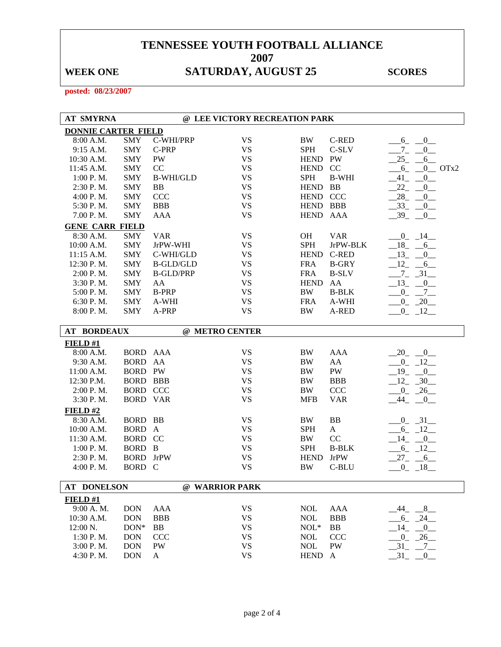# WEEK ONE **SATURDAY, AUGUST 25** SCORES

**posted: 08/23/2007** 

| <b>AT SMYRNA</b>           |                 |                  | @ LEE VICTORY RECREATION PARK |             |              |                                  |
|----------------------------|-----------------|------------------|-------------------------------|-------------|--------------|----------------------------------|
| <b>DONNIE CARTER FIELD</b> |                 |                  |                               |             |              |                                  |
| 8:00 A.M.                  | <b>SMY</b>      | C-WHI/PRP        | <b>VS</b>                     | <b>BW</b>   | <b>C-RED</b> | 0<br>6                           |
| 9:15 A.M.                  | <b>SMY</b>      | C-PRP            | <b>VS</b>                     | <b>SPH</b>  | C-SLV        | $7_{-}$<br>0                     |
| 10:30 A.M.                 | <b>SMY</b>      | PW               | <b>VS</b>                     | <b>HEND</b> | PW           | $25 -$<br>6                      |
| 11:45 A.M.                 | <b>SMY</b>      | CC               | <b>VS</b>                     | <b>HEND</b> | CC           | $6 -$<br>$0$ OTx2                |
| 1:00 P. M.                 | <b>SMY</b>      | <b>B-WHI/GLD</b> | <b>VS</b>                     | <b>SPH</b>  | <b>B-WHI</b> | $0$ <sub>—</sub><br>$-41$        |
| 2:30 P.M.                  | <b>SMY</b>      | <b>BB</b>        | VS                            | HEND BB     |              | 22<br>$\mathbf{0}$               |
| 4:00 P.M.                  | <b>SMY</b>      | <b>CCC</b>       | <b>VS</b>                     | <b>HEND</b> | <b>CCC</b>   | 28<br>$\mathbf{0}$               |
| 5:30 P.M.                  | <b>SMY</b>      | <b>BBB</b>       | <b>VS</b>                     | <b>HEND</b> | <b>BBB</b>   | $-33$<br>0                       |
| 7.00 P.M.                  | <b>SMY</b>      | <b>AAA</b>       | <b>VS</b>                     | HEND AAA    |              | $-39$<br>0                       |
| <b>GENE CARR FIELD</b>     |                 |                  |                               |             |              |                                  |
| 8:30 A.M.                  | SMY             | <b>VAR</b>       | <b>VS</b>                     | <b>OH</b>   | <b>VAR</b>   | $-0$ $-14$                       |
| 10:00 A.M.                 | <b>SMY</b>      | JrPW-WHI         | <b>VS</b>                     | <b>SPH</b>  | JrPW-BLK     | $-18$<br>$-6$                    |
| 11:15 A.M.                 | <b>SMY</b>      | C-WHI/GLD        | <b>VS</b>                     | <b>HEND</b> | C-RED        | $-13$<br>$\overline{0}$          |
| 12:30 P.M.                 | <b>SMY</b>      | <b>B-GLD/GLD</b> | <b>VS</b>                     | <b>FRA</b>  | <b>B-GRY</b> | 12<br>6                          |
| 2:00 P.M.                  | <b>SMY</b>      | <b>B-GLD/PRP</b> | <b>VS</b>                     | <b>FRA</b>  | <b>B-SLV</b> | $-31$<br>$7_{-}$                 |
| 3:30 P.M.                  | <b>SMY</b>      | AA               | <b>VS</b>                     | <b>HEND</b> | AA           | 13<br>$\overline{0}$             |
| 5:00 P.M.                  | <b>SMY</b>      | <b>B-PRP</b>     | <b>VS</b>                     | <b>BW</b>   | <b>B-BLK</b> | $^{0}$<br>$7_{-}$                |
| 6:30 P.M.                  | <b>SMY</b>      | A-WHI            | <b>VS</b>                     | <b>FRA</b>  | A-WHI        | $0 - 20$                         |
| 8:00 P.M.                  | <b>SMY</b>      | A-PRP            | <b>VS</b>                     | <b>BW</b>   | A-RED        | $-0$ $-12$                       |
|                            |                 |                  |                               |             |              |                                  |
| <b>AT BORDEAUX</b>         |                 |                  | @ METRO CENTER                |             |              |                                  |
| FIELD#1                    |                 |                  |                               |             |              |                                  |
| 8:00 A.M.                  | BORD AAA        |                  | <b>VS</b>                     | BW          | <b>AAA</b>   | 20<br>0                          |
| 9:30 A.M.                  | BORD AA         |                  | <b>VS</b>                     | <b>BW</b>   | ${\rm AA}$   | $0_{-}$<br>$-12$                 |
| 11:00 A.M.                 | <b>BORD PW</b>  |                  | <b>VS</b>                     | <b>BW</b>   | PW           | 19<br>$\overline{0}$             |
| 12:30 P.M.                 | <b>BORD BBB</b> |                  | <b>VS</b>                     | BW          | <b>BBB</b>   | 12<br>30                         |
| $2:00$ P. M.               | <b>BORD CCC</b> |                  | <b>VS</b>                     | <b>BW</b>   | CCC          | $\overline{0}$<br>26             |
| 3:30 P.M.                  | <b>BORD</b>     | <b>VAR</b>       | <b>VS</b>                     | <b>MFB</b>  | <b>VAR</b>   | 44<br>0                          |
| FIELD#2                    |                 |                  |                               |             |              |                                  |
| 8:30 A.M.                  | BORD BB         |                  | <b>VS</b>                     | BW          | <b>BB</b>    | $0 - 31$                         |
| 10:00 A.M.                 | BORD A          |                  | <b>VS</b>                     | <b>SPH</b>  | $\mathbf{A}$ | $-6 - 12$                        |
| 11:30 A.M.                 | BORD CC         |                  | <b>VS</b>                     | <b>BW</b>   | CC           | 14<br>$\sqrt{0}$                 |
| 1:00 P.M.                  | <b>BORD</b>     | $\mathbf{B}$     | <b>VS</b>                     | <b>SPH</b>  | <b>B-BLK</b> | $-6 - 12$                        |
| 2:30 P.M.                  | <b>BORD</b>     | <b>JrPW</b>      | <b>VS</b>                     | <b>HEND</b> | <b>JrPW</b>  | $27 - 6$                         |
| 4:00 P.M.                  | <b>BORD</b>     | $\mathbf C$      | <b>VS</b>                     | BW          | C-BLU        | $0 - 18$                         |
|                            |                 |                  |                               |             |              |                                  |
| <b>AT DONELSON</b>         |                 |                  | @ WARRIOR PARK                |             |              |                                  |
| FIELD#1                    |                 |                  |                               |             |              |                                  |
| 9:00 A.M.                  | <b>DON</b>      | <b>AAA</b>       | <b>VS</b>                     | $\rm NOL$   | <b>AAA</b>   | $-8$<br>44                       |
| 10:30 A.M.                 | <b>DON</b>      | <b>BBB</b>       | <b>VS</b>                     | <b>NOL</b>  | <b>BBB</b>   | $-24$<br>$6_{-}$                 |
| 12:00 N.                   | $DON*$          | <b>BB</b>        | <b>VS</b>                     | $NOL*$      | BB           | 14<br>$\overline{\phantom{0}}^0$ |
| 1:30 P.M.                  | <b>DON</b>      | <b>CCC</b>       | <b>VS</b>                     | <b>NOL</b>  | <b>CCC</b>   | $-26$<br>$0_{-}$                 |
| 3:00 P.M.                  | <b>DON</b>      | PW               | <b>VS</b>                     | $\rm NOL$   | PW           | 31<br>$-7$                       |
| 4:30 P.M.                  | <b>DON</b>      | $\mathbf{A}$     | <b>VS</b>                     | <b>HEND</b> | $\mathbf{A}$ | 31<br>$\overline{0}$             |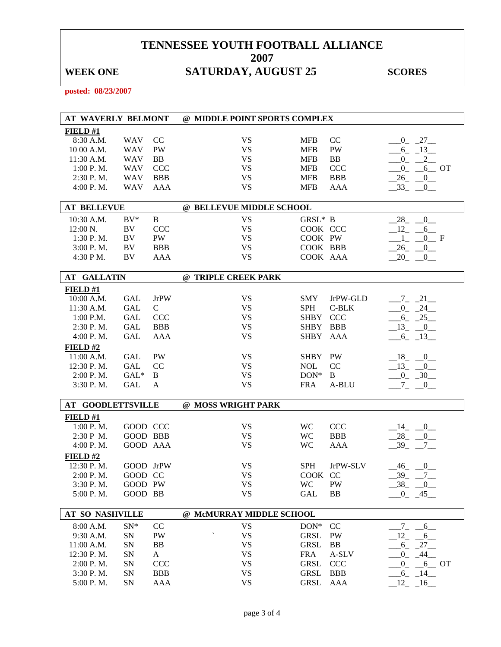# WEEK ONE **SATURDAY, AUGUST 25** SCORES

**posted: 08/23/2007** 

| AT WAVERLY BELMONT       |            |             | @ MIDDLE POINT SPORTS COMPLEX |             |            |                                       |  |
|--------------------------|------------|-------------|-------------------------------|-------------|------------|---------------------------------------|--|
| FIELD#1                  |            |             |                               |             |            |                                       |  |
| 8:30 A.M.                | <b>WAV</b> | CC          | <b>VS</b>                     | <b>MFB</b>  | CC         | $-0$ $-27$ $-$                        |  |
| 10 00 A.M.               | <b>WAV</b> | PW          | <b>VS</b>                     | <b>MFB</b>  | PW         | $-6$ $-13$ $-$                        |  |
| 11:30 A.M.               | <b>WAV</b> | BB          | <b>VS</b>                     | <b>MFB</b>  | BB         | $^{0}$<br>$-2$                        |  |
| 1:00 P. M.               | <b>WAV</b> | <b>CCC</b>  | <b>VS</b>                     | <b>MFB</b>  | <b>CCC</b> | $0_{-}$<br>$6$ OT                     |  |
| 2:30 P.M.                | <b>WAV</b> | <b>BBB</b>  | <b>VS</b>                     | <b>MFB</b>  | <b>BBB</b> | 26<br>$\overline{0}$                  |  |
| $4:00$ P. M.             | <b>WAV</b> | AAA         | <b>VS</b>                     | <b>MFB</b>  | AAA        | $-33$<br>$\overline{0}$               |  |
| <b>AT BELLEVUE</b>       |            |             | @ BELLEVUE MIDDLE SCHOOL      |             |            |                                       |  |
| 10:30 A.M.               | $BV^*$     | B           | <b>VS</b>                     | GRSL* B     |            | $\overline{0}$<br>$-28$               |  |
| $12:00 \text{ N.}$       | BV         | <b>CCC</b>  | <b>VS</b>                     | COOK CCC    |            | $-12$ -<br>6                          |  |
| 1:30 P.M.                | BV         | PW          | <b>VS</b>                     | COOK PW     |            | $-1$ <sub>-</sub> $-0$ <sub>-</sub> F |  |
| 3:00 P. M.               | BV         | <b>BBB</b>  | <b>VS</b>                     | COOK BBB    |            | $-26$ $-0$                            |  |
| 4:30 P M.                | BV         | <b>AAA</b>  | <b>VS</b>                     | COOK AAA    |            | 20<br>$\overline{\phantom{0}}^0$      |  |
| <b>AT GALLATIN</b>       |            |             | @ TRIPLE CREEK PARK           |             |            |                                       |  |
| $FIED$ #1                |            |             |                               |             |            |                                       |  |
| 10:00 A.M.               | <b>GAL</b> | <b>JrPW</b> | <b>VS</b>                     | <b>SMY</b>  | JrPW-GLD   | $-7 - 21$                             |  |
| 11:30 A.M.               | <b>GAL</b> | $\mathbf C$ | <b>VS</b>                     | <b>SPH</b>  | C-BLK      | $-0$ $-24$                            |  |
| $1:00$ P.M.              | GAL        | <b>CCC</b>  | <b>VS</b>                     | <b>SHBY</b> | <b>CCC</b> | $-6$ $-25$                            |  |
| $2:30$ P.M.              | GAL        | <b>BBB</b>  | <b>VS</b>                     | <b>SHBY</b> | <b>BBB</b> | $-13$ $-0$                            |  |
| 4:00 P. M.               | <b>GAL</b> | AAA         | <b>VS</b>                     | SHBY AAA    |            | $-6$ $-13$                            |  |
| FIELD#2                  |            |             |                               |             |            |                                       |  |
| 11:00 A.M.               | <b>GAL</b> | PW          | <b>VS</b>                     | SHBY PW     |            | $-18$ $-0$                            |  |
| 12:30 P.M.               | GAL        | CC          | <b>VS</b>                     | <b>NOL</b>  | CC         | $-13$ $-0$                            |  |
| 2:00 P. M.               | $GAL^*$    | B           | <b>VS</b>                     | $DOM*$      | B          | $-0$ $-30$                            |  |
| 3:30 P.M.                | <b>GAL</b> | A           | <b>VS</b>                     | <b>FRA</b>  | A-BLU      | $-7 - 0$                              |  |
| <b>AT GOODLETTSVILLE</b> |            |             | @ MOSS WRIGHT PARK            |             |            |                                       |  |
| FIELD#1                  |            |             |                               |             |            |                                       |  |
| 1:00 P.M.                | GOOD CCC   |             | <b>VS</b>                     | <b>WC</b>   | <b>CCC</b> | $-14$ $-0$                            |  |
| 2:30 P M.                | GOOD BBB   |             | <b>VS</b>                     | <b>WC</b>   | <b>BBB</b> | $-28$ $-0$                            |  |
| 4:00 P. M.               | GOOD AAA   |             | <b>VS</b>                     | <b>WC</b>   | AAA        | $-39 - -7$                            |  |
| FIELD#2                  |            |             |                               |             |            |                                       |  |
| 12:30 P.M.               | GOOD JrPW  |             | <b>VS</b>                     | <b>SPH</b>  | JrPW-SLV   | $-46$ $-0$                            |  |
| 2:00 P.M.                | GOOD CC    |             | <b>VS</b>                     | COOK CC     |            | $-39 - -7$                            |  |
| 3:30 P.M.                | GOOD PW    |             | <b>VS</b>                     | <b>WC</b>   | PW         | $-38$ $-0$                            |  |
| 5:00 P.M.                | GOOD BB    |             | <b>VS</b>                     | <b>GAL</b>  | <b>BB</b>  | $-0$ $-45$                            |  |
| <b>AT SO NASHVILLE</b>   |            |             | @ McMURRAY MIDDLE SCHOOL      |             |            |                                       |  |
| 8:00 A.M.                | $SN^*$     | CC          | <b>VS</b>                     | $DON^*$     | CC         | $-7$<br>$-6$                          |  |
| 9:30 A.M.                | SN         | PW          | <b>VS</b>                     | <b>GRSL</b> | PW         | 12<br>$6\overline{\phantom{0}}$       |  |
| 11:00 A.M.               | SN         | <b>BB</b>   | <b>VS</b>                     | <b>GRSL</b> | BB         | $-27$<br>6                            |  |
| 12:30 P.M.               | SN         | A           | <b>VS</b>                     | <b>FRA</b>  | A-SLV      | 44<br>$\overline{0}$                  |  |
| 2:00 P.M.                | SN         | <b>CCC</b>  | <b>VS</b>                     | <b>GRSL</b> | <b>CCC</b> | $-0$ $-6$ OT                          |  |
| 3:30 P.M.                | SN         | <b>BBB</b>  | <b>VS</b>                     | <b>GRSL</b> | <b>BBB</b> | $-6$ $-14$ $-$                        |  |
| 5:00 P.M.                | SN         | <b>AAA</b>  | <b>VS</b>                     | <b>GRSL</b> | <b>AAA</b> | $12 - 16$                             |  |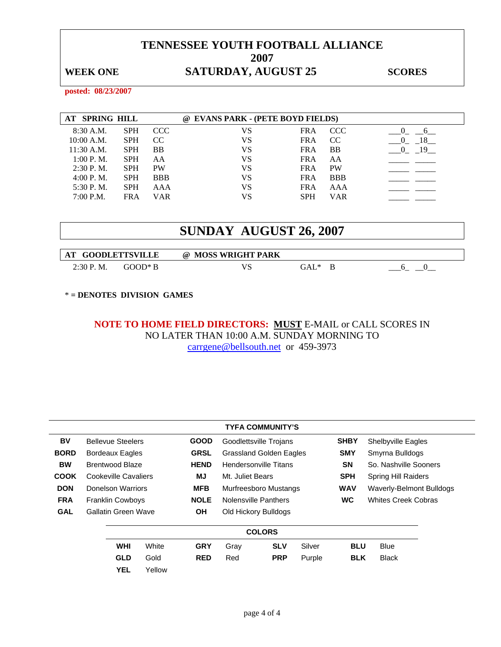## WEEK ONE **SATURDAY, AUGUST 25** SCORES

**posted: 08/23/2007** 

| AT SPRING HILL |            |            | @ EVANS PARK - (PETE BOYD FIELDS) |            |               |                |
|----------------|------------|------------|-----------------------------------|------------|---------------|----------------|
| 8:30 A.M.      | <b>SPH</b> | CCC.       | VS                                | <b>FRA</b> | <b>CCC</b>    |                |
| $10:00$ A.M.   | <b>SPH</b> | CC         | VS                                | <b>FRA</b> | <sub>CC</sub> | 18<br>$\theta$ |
| $11:30$ A.M.   | <b>SPH</b> | BB         | VS                                | <b>FRA</b> | <b>BB</b>     | 19             |
| 1:00 P. M.     | <b>SPH</b> | AΑ         | VS                                | <b>FRA</b> | AA            |                |
| $2:30$ P.M.    | <b>SPH</b> | <b>PW</b>  | VS                                | <b>FRA</b> | <b>PW</b>     |                |
| $4:00$ P.M.    | <b>SPH</b> | <b>BBB</b> | VS                                | <b>FRA</b> | <b>BBB</b>    |                |
| 5:30 P.M.      | <b>SPH</b> | AAA        | VS                                | <b>FRA</b> | AAA           |                |
| 7:00 P.M.      | <b>FRA</b> | VAR        | VS                                | <b>SPH</b> | VAR           |                |

# **SUNDAY AUGUST 26, 2007**

| AT GOODLETTSVILLE |         | @ MOSS WRIGHT PARK |        |  |
|-------------------|---------|--------------------|--------|--|
| 2:30 P.M.         | GOOD* R |                    | GAL* ( |  |

\* **= DENOTES DIVISION GAMES** 

### **NOTE TO HOME FIELD DIRECTORS: MUST** E-MAIL or CALL SCORES IN NO LATER THAN 10:00 A.M. SUNDAY MORNING TO carrgene@bellsouth.net or 459-3973

|             | <b>TYFA COMMUNITY'S</b> |                          |             |                         |                              |                      |                          |                            |                           |  |  |
|-------------|-------------------------|--------------------------|-------------|-------------------------|------------------------------|----------------------|--------------------------|----------------------------|---------------------------|--|--|
| BV          |                         | <b>Bellevue Steelers</b> |             | <b>GOOD</b>             | Goodlettsville Trojans       |                      |                          | <b>SHBY</b>                | <b>Shelbyville Eagles</b> |  |  |
| <b>BORD</b> | <b>Bordeaux Eagles</b>  |                          | <b>GRSL</b> | Grassland Golden Eagles |                              |                      | <b>SMY</b>               | Smyrna Bulldogs            |                           |  |  |
| <b>BW</b>   | <b>Brentwood Blaze</b>  |                          | <b>HEND</b> |                         | <b>Hendersonville Titans</b> |                      | <b>SN</b>                | So. Nashville Sooners      |                           |  |  |
| <b>COOK</b> | Cookeville Cavaliers    |                          | ΜJ          | Mt. Juliet Bears        |                              |                      | <b>SPH</b>               | Spring Hill Raiders        |                           |  |  |
| <b>DON</b>  | Donelson Warriors       |                          | <b>MFB</b>  | Murfreesboro Mustangs   |                              | <b>WAV</b>           | Waverly-Belmont Bulldogs |                            |                           |  |  |
| <b>FRA</b>  |                         | <b>Franklin Cowboys</b>  |             | <b>NOLE</b>             | Nolensville Panthers         |                      | <b>WC</b>                | <b>Whites Creek Cobras</b> |                           |  |  |
| <b>GAL</b>  |                         | Gallatin Green Wave      |             | <b>OH</b>               |                              | Old Hickory Bulldogs |                          |                            |                           |  |  |
|             |                         |                          |             |                         |                              | <b>COLORS</b>        |                          |                            |                           |  |  |
|             |                         | <b>WHI</b>               | White       | <b>GRY</b>              | Gray                         | <b>SLV</b>           | Silver                   | <b>BLU</b>                 | <b>Blue</b>               |  |  |
|             |                         | <b>GLD</b>               | Gold        | <b>RED</b>              | Red                          | <b>PRP</b>           | Purple                   | <b>BLK</b>                 | <b>Black</b>              |  |  |
|             |                         | <b>YEL</b>               | Yellow      |                         |                              |                      |                          |                            |                           |  |  |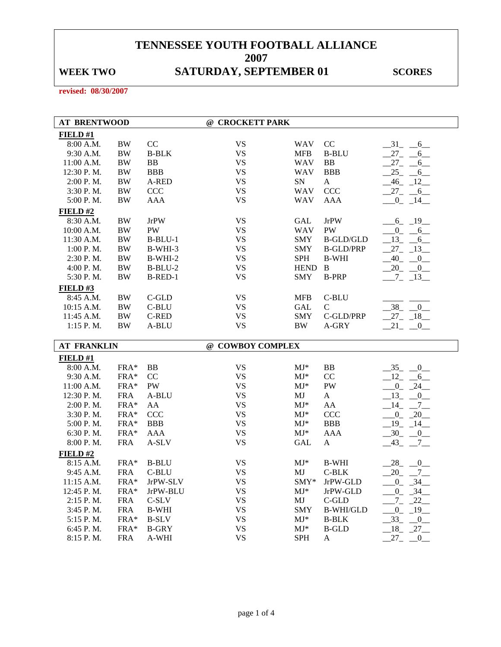## WEEK TWO SATURDAY, SEPTEMBER 01 SCORES

**revised: 08/30/2007** 

| <b>AT BRENTWOOD</b>    |                    |                       | @ CROCKETT PARK        |                      |                   |                             |
|------------------------|--------------------|-----------------------|------------------------|----------------------|-------------------|-----------------------------|
| FIELD#1                |                    |                       |                        |                      |                   |                             |
| 8:00 A.M.              | <b>BW</b>          | CC                    | <b>VS</b>              | WAV                  | CC                | $-31$ $-6$                  |
| 9:30 A.M.              | <b>BW</b>          | <b>B-BLK</b>          | <b>VS</b>              | <b>MFB</b>           | <b>B-BLU</b>      | $27_{-}$<br>6               |
| 11:00 A.M.             | <b>BW</b>          | BB                    | <b>VS</b>              | <b>WAV</b>           | <b>BB</b>         | $27_{-}$<br>6               |
| 12:30 P.M.             | <b>BW</b>          | <b>BBB</b>            | <b>VS</b>              | <b>WAV</b>           | <b>BBB</b>        | 25<br>6                     |
| 2:00 P.M.              | <b>BW</b>          | A-RED                 | <b>VS</b>              | ${\rm SN}$           | $\mathbf{A}$      | $-46$ $-12$                 |
| 3:30 P.M.              | <b>BW</b>          | CCC                   | <b>VS</b>              | <b>WAV</b>           | CCC               | $27 - 6$                    |
| 5:00 P.M.              | <b>BW</b>          | <b>AAA</b>            | <b>VS</b>              | <b>WAV</b>           | <b>AAA</b>        | $-0$ $-14$ $-$              |
| FIELD#2                |                    |                       |                        |                      |                   |                             |
| 8:30 A.M.              | <b>BW</b>          | <b>JrPW</b>           | <b>VS</b>              | GAL                  | <b>JrPW</b>       | $-6$ $-19$                  |
| 10:00 A.M.             | <b>BW</b>          | PW                    | <b>VS</b>              | <b>WAV</b>           | PW                | $-0$ $-6$                   |
| 11:30 A.M.             | <b>BW</b>          | $B-BLU-1$             | <b>VS</b>              | <b>SMY</b>           | <b>B-GLD/GLD</b>  | $-13 - 6$                   |
| 1:00 P.M.              | <b>BW</b>          | B-WHI-3               | <b>VS</b>              | <b>SMY</b>           | <b>B-GLD/PRP</b>  | $27 - 13$                   |
| 2:30 P.M.              | <b>BW</b>          | $B-WHI-2$             | <b>VS</b>              | <b>SPH</b>           | <b>B-WHI</b>      | $-40$ $-0$                  |
| 4:00 P. M.             | <b>BW</b>          | $B-BLU-2$             | <b>VS</b>              | <b>HEND</b>          | B                 | $20 - 0$                    |
| 5:30 P.M.              | BW                 | B-RED-1               | <b>VS</b>              | <b>SMY</b>           | <b>B-PRP</b>      | $-7 - 13$                   |
| FIELD#3                |                    |                       |                        |                      |                   |                             |
| 8:45 A.M.              | <b>BW</b>          | $C$ -GLD              | <b>VS</b>              | <b>MFB</b>           | C-BLU             |                             |
| 10:15 A.M.             | BW                 | C-BLU                 | <b>VS</b>              | GAL                  | $\mathsf{C}$      | $-38$ $-0$                  |
| 11:45 A.M.             | <b>BW</b>          | C-RED                 | <b>VS</b>              | <b>SMY</b>           | C-GLD/PRP         | $27 - 18$                   |
| 1:15 P.M.              | <b>BW</b>          | A-BLU                 | <b>VS</b>              | BW                   | A-GRY             | $-21$ $-0$                  |
|                        |                    |                       |                        |                      |                   |                             |
|                        |                    |                       |                        |                      |                   |                             |
| <b>AT FRANKLIN</b>     |                    |                       | @ COWBOY COMPLEX       |                      |                   |                             |
| FIELD#1                |                    |                       |                        |                      |                   |                             |
| 8:00 A.M.              | FRA*               | BB                    | <b>VS</b>              | $MJ*$                | BB                | $-35$ $-0$                  |
| 9:30 A.M.              | FRA*               | CC                    | <b>VS</b>              | $MJ*$                | CC                | $-12 - 6$                   |
| 11:00 A.M.             | FRA*               | PW                    | <b>VS</b>              | $MJ*$                | PW                | $-0$ $-24$ $-$              |
| 12:30 P.M.             | <b>FRA</b>         | A-BLU                 | <b>VS</b>              | MJ                   | A                 | $-13$ $-0$                  |
| 2:00 P.M.              | FRA*               | AA                    | <b>VS</b>              | $MJ*$                | AA                | $-14$ $-7$                  |
| 3:30 P.M.              | FRA*               | CCC                   | <b>VS</b>              | $MJ*$                | <b>CCC</b>        | $-0$ $-20$                  |
| 5:00 P.M.              | FRA*               | <b>BBB</b>            | <b>VS</b>              | $MJ*$                | <b>BBB</b>        | $-19$ $-14$                 |
| 6:30 P.M.              | FRA*               | AAA                   | <b>VS</b>              | $MJ*$                | <b>AAA</b>        | $-30$ $-0$                  |
| 8:00 P.M.              | <b>FRA</b>         | A-SLV                 | <b>VS</b>              | <b>GAL</b>           | $\mathbf{A}$      | $-43$ $-7$ $-$              |
| FIELD#2                |                    |                       |                        |                      |                   |                             |
| 8:15 A.M.              | FRA*               | <b>B-BLU</b>          | <b>VS</b>              | $MJ^*$               | <b>B-WHI</b>      | $-28$ <sub>-</sub> $-0$     |
| 9:45 A.M.              | <b>FRA</b>         | C-BLU                 | <b>VS</b>              | MJ                   | $C-BLK$           | $20 - 7$                    |
| 11:15 A.M.             | $FRA*$             | JrPW-SLV              | <b>VS</b>              | $SMY*$               | JrPW-GLD          | $-0$ $-34$ $-$              |
| 12:45 P.M.             | FRA*               | JrPW-BLU              | <b>VS</b>              | $MJ^*$               | JrPW-GLD          | $-0$ $-34$ $-$              |
| 2:15 P.M.              | <b>FRA</b>         | C-SLV                 | <b>VS</b>              | MJ                   | $C$ -GLD          | $-22$<br>$7_{-}$            |
| 3:45 P.M.              | <b>FRA</b>         | <b>B-WHI</b>          | <b>VS</b>              | <b>SMY</b>           | <b>B-WHI/GLD</b>  | $0 - 19$                    |
| 5:15 P.M.              | FRA*               | <b>B-SLV</b>          | <b>VS</b>              | $MJ^*$               | <b>B-BLK</b>      | $-33$<br>$-0$               |
| 6:45 P.M.<br>8:15 P.M. | FRA*<br><b>FRA</b> | <b>B-GRY</b><br>A-WHI | <b>VS</b><br><b>VS</b> | $MJ^*$<br><b>SPH</b> | <b>B-GLD</b><br>A | $-18$ $-27$ $-$<br>$27 - 0$ |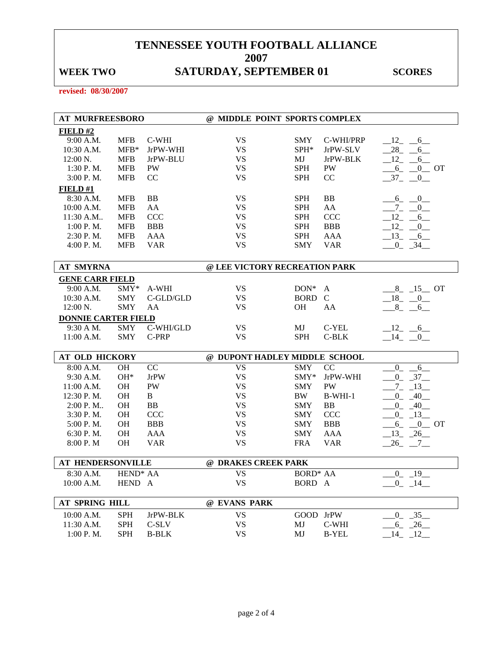## WEEK TWO SATURDAY, SEPTEMBER 01 SCORES

**revised: 08/30/2007** 

| <b>AT MURFREESBORO</b>     |                      |              | @ MIDDLE POINT SPORTS COMPLEX |                 |              |                        |
|----------------------------|----------------------|--------------|-------------------------------|-----------------|--------------|------------------------|
| FIELD#2                    |                      |              |                               |                 |              |                        |
| 9:00 A.M.                  | <b>MFB</b>           | C-WHI        | <b>VS</b>                     | <b>SMY</b>      | C-WHI/PRP    | $-12$ $-6$             |
| 10:30 A.M.                 | $MFB*$               | JrPW-WHI     | <b>VS</b>                     | SPH*            | JrPW-SLV     | $-28$ $-6$             |
| 12:00 N.                   | <b>MFB</b>           | JrPW-BLU     | <b>VS</b>                     | MJ              | JrPW-BLK     | $-12$<br>$-6$          |
| 1:30 P.M.                  | <b>MFB</b>           | PW           | <b>VS</b>                     | <b>SPH</b>      | PW           | $-6$ $-0$ OT           |
| 3:00 P.M.                  | <b>MFB</b>           | CC           | <b>VS</b>                     | <b>SPH</b>      | CC           | $-37$<br>$-0$          |
| <b>FIELD#1</b>             |                      |              |                               |                 |              |                        |
| 8:30 A.M.                  | <b>MFB</b>           | <b>BB</b>    | <b>VS</b>                     | <b>SPH</b>      | BB           | $-6 - -0$              |
| 10:00 A.M.                 | <b>MFB</b>           | AA           | <b>VS</b>                     | <b>SPH</b>      | AA           | $-7 - 0$               |
| 11:30 A.M                  | <b>MFB</b>           | <b>CCC</b>   | <b>VS</b>                     | <b>SPH</b>      | <b>CCC</b>   | $12 -$<br>6            |
| 1:00 P.M.                  | <b>MFB</b>           | <b>BBB</b>   | <b>VS</b>                     | <b>SPH</b>      | <b>BBB</b>   | 12<br>$\overline{0}$   |
| 2:30 P.M.                  | <b>MFB</b>           | AAA          | <b>VS</b>                     | <b>SPH</b>      | AAA          | $-13 - 6$              |
| 4:00 P.M.                  | <b>MFB</b>           | <b>VAR</b>   | <b>VS</b>                     | <b>SMY</b>      | <b>VAR</b>   | $-0$ $-34$ $-$         |
|                            |                      |              |                               |                 |              |                        |
| <b>AT SMYRNA</b>           |                      |              | @ LEE VICTORY RECREATION PARK |                 |              |                        |
| <b>GENE CARR FIELD</b>     |                      |              |                               |                 |              |                        |
| 9:00 A.M.                  | SMY*                 | A-WHI        | <b>VS</b>                     | $DON*$          | A            | $-8$ <sub>-15</sub> OT |
| 10:30 A.M.                 | <b>SMY</b>           | C-GLD/GLD    | <b>VS</b>                     | <b>BORD</b>     | $\mathbf C$  | $-18$ $-0$             |
| 12:00 N.                   | <b>SMY</b>           | AA           | <b>VS</b>                     | <b>OH</b>       | AA           | $8 - 6$                |
| <b>DONNIE CARTER FIELD</b> |                      |              |                               |                 |              |                        |
| 9:30 A M.                  | <b>SMY</b>           | C-WHI/GLD    | <b>VS</b>                     | MJ              | C-YEL        | $-12$ $-6$             |
| 11:00 A.M.                 | <b>SMY</b>           | C-PRP        | <b>VS</b>                     | <b>SPH</b>      | $C-BLK$      | $-14$ $-0$             |
|                            |                      |              |                               |                 |              |                        |
| AT OLD HICKORY             |                      |              | @ DUPONT HADLEY MIDDLE SCHOOL |                 |              |                        |
| 8:00 A.M.                  | OH                   | CC           | <b>VS</b>                     | <b>SMY</b>      | CC           | $\mathbf{0}$<br>6      |
| 9:30 A.M.                  | $OH*$                | <b>JrPW</b>  | <b>VS</b>                     | SMY*            | JrPW-WHI     | $0 - 37$               |
| 11:00 A.M.                 | <b>OH</b>            | PW           | <b>VS</b>                     | <b>SMY</b>      | PW           | $-7 - 13$              |
| 12:30 P.M.                 | OH                   | $\, {\bf B}$ | <b>VS</b>                     | BW.             | $B-WHI-1$    | $-0$ $-40$ $-$         |
| $2:00$ P. M                | OH                   | <b>BB</b>    | <b>VS</b>                     | <b>SMY</b>      | BB           | $-0$ $-40$ $-$         |
| 3:30 P.M.                  | OH                   | <b>CCC</b>   | <b>VS</b>                     | <b>SMY</b>      | <b>CCC</b>   | $-0$ $-13$             |
| 5:00 P.M.                  | <b>OH</b>            | <b>BBB</b>   | <b>VS</b>                     | <b>SMY</b>      | <b>BBB</b>   | $-6$ $-0$ OT           |
| 6:30 P.M.                  | <b>OH</b>            | <b>AAA</b>   | <b>VS</b>                     | <b>SMY</b>      | <b>AAA</b>   | $-13$ $-26$            |
| 8:00 P.M                   | OH                   | <b>VAR</b>   | <b>VS</b>                     | <b>FRA</b>      | <b>VAR</b>   | $-26$ $-7$ $-$         |
| <b>AT HENDERSONVILLE</b>   |                      |              | @ DRAKES CREEK PARK           |                 |              |                        |
| 8:30 A.M.                  | HEND <sup>*</sup> AA |              | <b>VS</b>                     | <b>BORD* AA</b> |              | 19<br>$\overline{0}$   |
| 10:00 A.M.                 | HEND A               |              | <b>VS</b>                     | BORD A          |              | $-0$ $-14$             |
|                            |                      |              |                               |                 |              |                        |
| AT SPRING HILL             |                      |              | @ EVANS PARK                  |                 |              |                        |
| 10:00 A.M.                 | <b>SPH</b>           | JrPW-BLK     | <b>VS</b>                     | GOOD JrPW       |              | $0 - 35$               |
| 11:30 A.M.                 | <b>SPH</b>           | C-SLV        | <b>VS</b>                     | MJ              | C-WHI        | $-6 - 26$              |
| 1:00 P.M.                  | <b>SPH</b>           | <b>B-BLK</b> | <b>VS</b>                     | MJ              | <b>B-YEL</b> | $.14 - .12$            |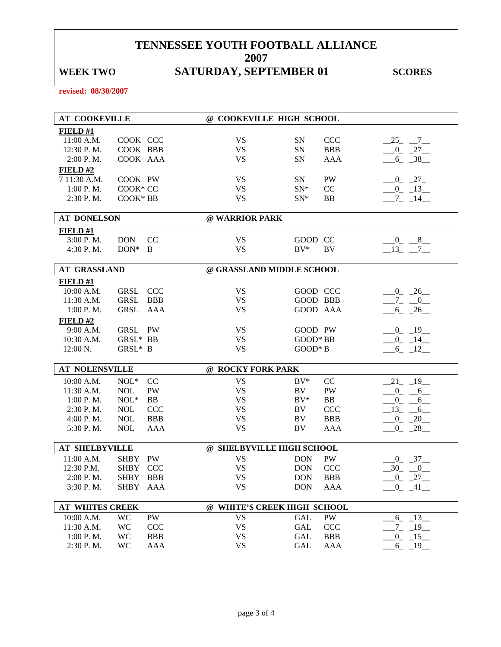## WEEK TWO SATURDAY, SEPTEMBER 01 SCORES

**revised: 08/30/2007** 

| <b>AT COOKEVILLE</b>     |                        |            |                             | @ COOKEVILLE HIGH SCHOOL |                  |                |  |
|--------------------------|------------------------|------------|-----------------------------|--------------------------|------------------|----------------|--|
| FIELD#1                  |                        |            |                             |                          |                  |                |  |
| 11:00 A.M.               | COOK CCC               |            | <b>VS</b>                   | <b>SN</b>                | <b>CCC</b>       | $-25$ $-7$     |  |
| 12:30 P.M.               | COOK BBB               |            | <b>VS</b>                   | SN                       | <b>BBB</b>       | $-0$ $-27$     |  |
| 2:00 P.M.                | COOK AAA               |            | <b>VS</b>                   | SN                       | <b>AAA</b>       | $-6 - 38$      |  |
| FIELD#2                  |                        |            |                             |                          |                  |                |  |
| 7 11:30 A.M.             | COOK PW                |            | <b>VS</b>                   | SN                       | PW               | $-0$ $-27$     |  |
| 1:00 P. M.               | COOK* CC               |            | <b>VS</b>                   | $SN^*$                   | CC               | $-0$ $-13$     |  |
| 2:30 P.M.                | COOK* BB               |            | <b>VS</b>                   | $SN^*$                   | BB               | $-7 - 14$      |  |
| <b>AT DONELSON</b>       |                        |            | @ WARRIOR PARK              |                          |                  |                |  |
| <b>FIELD</b> #1          |                        |            |                             |                          |                  |                |  |
| 3:00 P.M.                | <b>DON</b>             | CC         | <b>VS</b>                   | GOOD CC                  |                  | $-0$ $-8$      |  |
| 4:30 P.M.                | $DON^*$ B              |            | <b>VS</b>                   | $BV^*$                   | BV               | $-13 - -7$     |  |
|                          |                        |            |                             |                          |                  |                |  |
| <b>AT GRASSLAND</b>      |                        |            | @ GRASSLAND MIDDLE SCHOOL   |                          |                  |                |  |
| <b>FIELD#1</b>           |                        |            |                             |                          |                  |                |  |
| 10:00 A.M.               | <b>GRSL</b>            | <b>CCC</b> | VS                          | GOOD CCC                 |                  | $-0$ $-26$     |  |
| 11:30 A.M.               | <b>GRSL</b>            | <b>BBB</b> | <b>VS</b>                   | <b>GOOD BBB</b>          |                  | $-7 - 0$       |  |
| 1:00 P.M.                | GRSL                   | AAA        | <b>VS</b>                   | GOOD AAA                 |                  | $-6 - 26$      |  |
| FIELD#2                  |                        |            |                             |                          |                  |                |  |
| 9:00 A.M.                | GRSL PW                |            | VS                          | GOOD PW                  |                  | $-0$ $-19$ $-$ |  |
| 10:30 A.M.               | GRSL* BB               |            | <b>VS</b>                   | GOOD* BB                 |                  | $-0$ $-14$     |  |
| 12:00 N.                 | GRSL* B                |            | <b>VS</b>                   | $GOOD*B$                 |                  | $-6$ $-12$     |  |
|                          |                        |            |                             |                          |                  |                |  |
| <b>AT NOLENSVILLE</b>    |                        |            | @ ROCKY FORK PARK           |                          |                  |                |  |
| 10:00 A.M.               | $NOL*$                 | CC         | <b>VS</b>                   | $BV^*$                   | CC               | $-21$ $-19$    |  |
| 11:30 A.M.               | <b>NOL</b>             | PW         | <b>VS</b>                   | BV.                      | PW               | $-0$ $-6$      |  |
| 1:00 P. M.               | $NOL*$                 | <b>BB</b>  | <b>VS</b>                   | $BV^*$                   | BB               | $-0$ $-6$      |  |
| 2:30 P.M.                | <b>NOL</b>             | <b>CCC</b> | <b>VS</b>                   | BV.                      | <b>CCC</b>       | $-13 - 6$      |  |
| 4:00 P.M.                | <b>NOL</b>             | <b>BBB</b> | <b>VS</b>                   | BV                       | <b>BBB</b>       | $-0$ $-20$     |  |
| 5:30 P.M.                | <b>NOL</b>             | AAA        | <b>VS</b>                   | BV                       | <b>AAA</b>       | $-0$ $-28$     |  |
|                          |                        |            |                             |                          |                  |                |  |
| <b>AT SHELBYVILLE</b>    |                        |            | @ SHELBYVILLE HIGH SCHOOL   |                          |                  |                |  |
| 11:00 A.M.<br>12:30 P.M. | SHBY PW<br><b>SHBY</b> | <b>CCC</b> | <b>VS</b><br><b>VS</b>      | <b>DON</b><br><b>DON</b> | PW<br><b>CCC</b> | $-0$ $-37$     |  |
| 2:00 P.M.                | <b>SHBY</b>            |            | <b>VS</b>                   |                          | <b>BBB</b>       | $-30$ $-0$     |  |
|                          |                        | <b>BBB</b> |                             | <b>DON</b>               |                  | $-0$ $-27$ $-$ |  |
| 3:30 P.M.                | <b>SHBY</b>            | AAA        | VS                          | <b>DON</b>               | AAA              | $-0$ $-41$ $-$ |  |
| <b>AT WHITES CREEK</b>   |                        |            | @ WHITE'S CREEK HIGH SCHOOL |                          |                  |                |  |
| 10:00 A.M.               | <b>WC</b>              | PW         | <b>VS</b>                   | GAL                      | PW               | $6 - 13$       |  |
| 11:30 A.M.               | <b>WC</b>              | <b>CCC</b> | <b>VS</b>                   | GAL                      | <b>CCC</b>       | $-7 - 19$      |  |
| 1:00 P.M.                | <b>WC</b>              | <b>BBB</b> | <b>VS</b>                   | GAL                      | <b>BBB</b>       | $-0$ $-15$ $-$ |  |
| 2:30 P.M.                | <b>WC</b>              | AAA        | <b>VS</b>                   | GAL                      | AAA              | $-6$ $-19$ $-$ |  |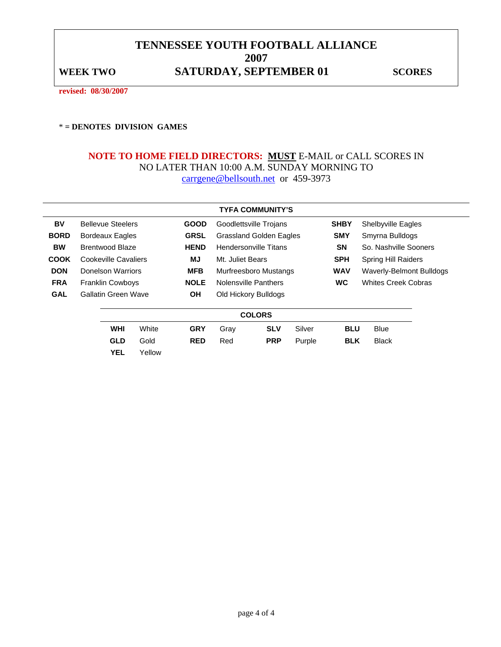### **TENNESSEE YOUTH FOOTBALL ALLIANCE 2007**  WEEK TWO **SATURDAY, SEPTEMBER 01** SCORES

**revised: 08/30/2007** 

\* **= DENOTES DIVISION GAMES** 

### **NOTE TO HOME FIELD DIRECTORS: MUST** E-MAIL or CALL SCORES IN NO LATER THAN 10:00 A.M. SUNDAY MORNING TO carrgene@bellsouth.net or 459-3973

|             | <b>TYFA COMMUNITY'S</b>         |                      |                       |                              |                                |                          |                            |                               |  |  |  |  |
|-------------|---------------------------------|----------------------|-----------------------|------------------------------|--------------------------------|--------------------------|----------------------------|-------------------------------|--|--|--|--|
| BV          | <b>Bellevue Steelers</b>        |                      | <b>GOOD</b>           |                              | Goodlettsville Trojans         |                          | <b>SHBY</b>                | <b>Shelbyville Eagles</b>     |  |  |  |  |
| <b>BORD</b> | <b>Bordeaux Eagles</b>          |                      | <b>GRSL</b>           |                              | <b>Grassland Golden Eagles</b> |                          |                            | <b>SMY</b><br>Smyrna Bulldogs |  |  |  |  |
| <b>BW</b>   | <b>Brentwood Blaze</b>          |                      | <b>HEND</b>           | <b>Hendersonville Titans</b> |                                | <b>SN</b>                | So. Nashville Sooners      |                               |  |  |  |  |
| <b>COOK</b> | Cookeville Cavaliers            |                      | MJ                    | Mt. Juliet Bears             |                                | <b>SPH</b>               | <b>Spring Hill Raiders</b> |                               |  |  |  |  |
| <b>DON</b>  | <b>MFB</b><br>Donelson Warriors |                      | Murfreesboro Mustangs |                              | <b>WAV</b>                     | Waverly-Belmont Bulldogs |                            |                               |  |  |  |  |
| <b>FRA</b>  | <b>Franklin Cowboys</b>         |                      | <b>NOLE</b>           | Nolensville Panthers         |                                |                          | <b>WC</b>                  | <b>Whites Creek Cobras</b>    |  |  |  |  |
| <b>GAL</b>  | Gallatin Green Wave             |                      | <b>OH</b>             |                              | Old Hickory Bulldogs           |                          |                            |                               |  |  |  |  |
|             |                                 |                      |                       |                              |                                |                          |                            |                               |  |  |  |  |
|             |                                 |                      |                       |                              | <b>COLORS</b>                  |                          |                            |                               |  |  |  |  |
|             | <b>WHI</b>                      | White                | <b>GRY</b>            | Gray                         | <b>SLV</b>                     | Silver                   | <b>BLU</b>                 | <b>Blue</b>                   |  |  |  |  |
|             | <b>GLD</b>                      | Gold                 | <b>RED</b>            | Red                          | <b>PRP</b>                     | Purple                   | <b>BLK</b>                 | <b>Black</b>                  |  |  |  |  |
|             | $\ddotsc$                       | $\ddot{\phantom{1}}$ |                       |                              |                                |                          |                            |                               |  |  |  |  |

**YEL** Yellow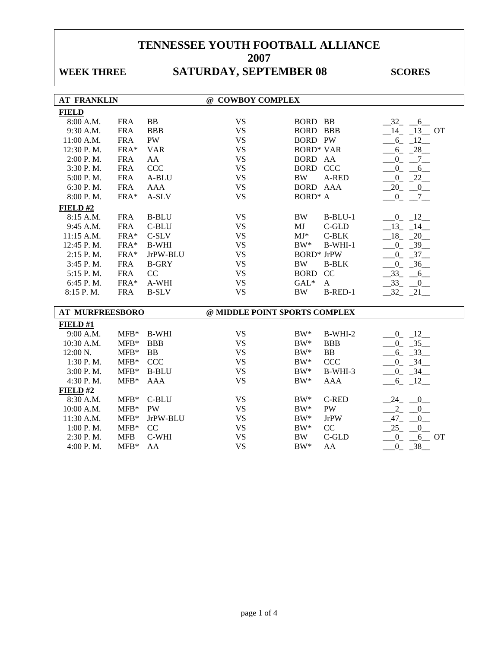## WEEK THREE **SATURDAY, SEPTEMBER 08** SCORES

| <b>AT FRANKLIN</b>     |            |              | @ COWBOY COMPLEX              |                           |                          |
|------------------------|------------|--------------|-------------------------------|---------------------------|--------------------------|
| <b>FIELD</b>           |            |              |                               |                           |                          |
| 8:00 A.M.              | <b>FRA</b> | BB           | <b>VS</b>                     | <b>BORD BB</b>            | $-32 - 6$                |
| 9:30 A.M.              | <b>FRA</b> | <b>BBB</b>   | <b>VS</b>                     | <b>BORD BBB</b>           | $14 - 13$ OT             |
| 11:00 A.M.             | <b>FRA</b> | PW           | <b>VS</b>                     | <b>BORD PW</b>            | $-6 - 12$                |
| 12:30 P.M.             | FRA*       | <b>VAR</b>   | <b>VS</b>                     | <b>BORD* VAR</b>          | $-6 - 28$                |
| 2:00 P.M.              | <b>FRA</b> | AA           | <b>VS</b>                     | BORD AA                   | $-0 - 7$                 |
| 3:30 P.M.              | <b>FRA</b> | CCC          | <b>VS</b>                     | <b>BORD CCC</b>           | $-0 - 6$                 |
| 5:00 P.M.              | <b>FRA</b> | A-BLU        | <b>VS</b>                     | <b>BW</b><br>A-RED        | $0 - 22$                 |
| 6:30 P.M.              | <b>FRA</b> | <b>AAA</b>   | <b>VS</b>                     | BORD AAA                  | $-20$ $-0$               |
| 8:00 P.M.              | FRA*       | $A-SLV$      | <b>VS</b>                     | <b>BORD*</b> A            | $-0 - 7$                 |
| FIELD#2                |            |              |                               |                           |                          |
| 8:15 A.M.              | <b>FRA</b> | <b>B-BLU</b> | <b>VS</b>                     | <b>BW</b><br>$B-BLU-1$    | $0 - 12$                 |
| 9:45 A.M.              | <b>FRA</b> | C-BLU        | <b>VS</b>                     | MJ<br>C-GLD               | $-13 - 14$               |
| 11:15 A.M.             | FRA*       | C-SLV        | <b>VS</b>                     | $MJ*$<br>$C-BLK$          | $18 - 20$                |
| 12:45 P.M.             | $FRA*$     | <b>B-WHI</b> | <b>VS</b>                     | $BW^*$<br>$B-WHI-1$       | $-0$ $-39$               |
| 2:15 P.M.              | FRA*       | JrPW-BLU     | <b>VS</b>                     | <b>BORD*</b> JrPW         | $0 - 37$                 |
| 3:45 P.M.              | <b>FRA</b> | <b>B-GRY</b> | <b>VS</b>                     | <b>BW</b><br><b>B-BLK</b> | $0 - 36$                 |
| 5:15 P.M.              | <b>FRA</b> | CC           | <b>VS</b>                     | <b>BORD</b><br>CC         | $-33 - 6$                |
| 6:45 P.M.              | FRA*       | A-WHI        | <b>VS</b>                     | $GAL*$<br>$\mathbf{A}$    | $-33 - 0$                |
| 8:15 P.M.              | <b>FRA</b> | <b>B-SLV</b> | <b>VS</b>                     | <b>BW</b><br>B-RED-1      | $-32 - 21$               |
|                        |            |              |                               |                           |                          |
| <b>AT MURFREESBORO</b> |            |              | @ MIDDLE POINT SPORTS COMPLEX |                           |                          |
| FIELD #1               |            |              |                               |                           |                          |
| 9:00 A.M.              | $MFB*$     | <b>B-WHI</b> | <b>VS</b>                     | $BW^*$<br>B-WHI-2         | $0 - 12$                 |
| 10:30 A.M.             | $MFB*$     | <b>BBB</b>   | <b>VS</b>                     | $BW^*$<br><b>BBB</b>      | $-0$ $-35$ $-$           |
| 12:00 N.               | $MFB*$     | <b>BB</b>    | <b>VS</b>                     | $\rm BW^*$<br><b>BB</b>   | $-6 - 33$                |
| 1:30 P.M.              | $MFB*$     | <b>CCC</b>   | <b>VS</b>                     | $\rm BW^*$<br>CCC         | $^{0}$<br>$-34$          |
| 3:00 P.M.              | $MFB*$     | <b>B-BLU</b> | <b>VS</b>                     | $BW^*$<br>B-WHI-3         | $-0$ $-34$ $-$           |
| 4:30 P.M.              | $MFB*$     | <b>AAA</b>   | <b>VS</b>                     | $BW^*$<br><b>AAA</b>      | $6 - 12$                 |
| FIELD#2                |            |              |                               |                           |                          |
| 8:30 A.M.              | $MFB*$     | C-BLU        | <b>VS</b>                     | <b>C-RED</b><br>$BW^*$    | $-24$ $-0$               |
| 10:00 A.M.             | $MFB*$     | PW           | <b>VS</b>                     | $BW^*$<br>PW              | $2 -$<br>$^{0}$          |
| 11:30 A.M.             | $MFB*$     | JrPW-BLU     | <b>VS</b>                     | $BW^*$<br><b>JrPW</b>     | $-47$<br>$\overline{0}$  |
| 1:00 P.M.              | $MFB*$     | CC           | <b>VS</b>                     | $BW^*$<br>CC              | 25<br>$\overline{0}$     |
| 2:30 P.M.              | <b>MFB</b> | C-WHI        | <b>VS</b>                     | $C$ -GLD<br><b>BW</b>     | $\overline{0}$<br>$6$ OT |
| 4:00 P.M.              | $MFB*$     | AA           | <b>VS</b>                     | $BW^*$<br>AA              | $-38$<br>$0_{-}$         |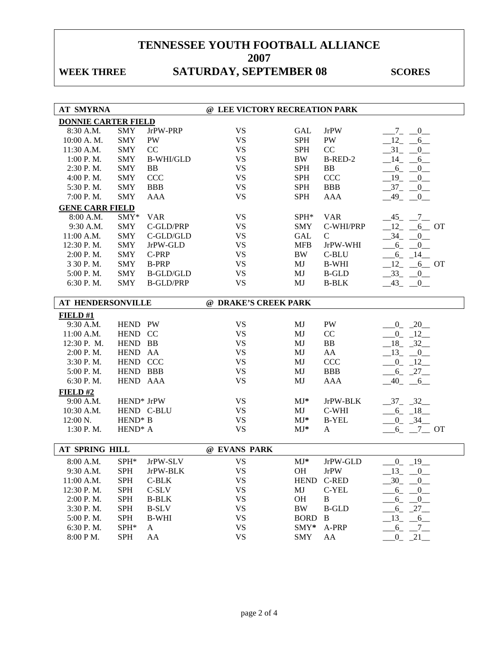## WEEK THREE **SATURDAY, SEPTEMBER 08** SCORES

| <b>AT SMYRNA</b>           |                     |                  | @ LEE VICTORY RECREATION PARK |             |               |                                     |
|----------------------------|---------------------|------------------|-------------------------------|-------------|---------------|-------------------------------------|
| <b>DONNIE CARTER FIELD</b> |                     |                  |                               |             |               |                                     |
| 8:30 A.M.                  | <b>SMY</b>          | JrPW-PRP         | <b>VS</b>                     | <b>GAL</b>  | <b>JrPW</b>   | $Z_{-}$<br>$-0$                     |
| 10:00 A.M.                 | <b>SMY</b>          | PW               | <b>VS</b>                     | <b>SPH</b>  | PW            | 12<br>6                             |
| 11:30 A.M.                 | <b>SMY</b>          | CC               | <b>VS</b>                     | <b>SPH</b>  | CC            | 31<br>$\overline{0}$                |
| 1:00 P.M.                  | <b>SMY</b>          | <b>B-WHI/GLD</b> | <b>VS</b>                     | <b>BW</b>   | B-RED-2       | 14<br>6                             |
| 2:30 P.M.                  | <b>SMY</b>          | <b>BB</b>        | <b>VS</b>                     | <b>SPH</b>  | <b>BB</b>     | $6_{-}$<br>$\overline{0}$           |
| 4:00 P.M.                  | <b>SMY</b>          | <b>CCC</b>       | <b>VS</b>                     | <b>SPH</b>  | <b>CCC</b>    | $19_{-}$<br>$\overline{0}$          |
| 5:30 P.M.                  | <b>SMY</b>          | <b>BBB</b>       | <b>VS</b>                     | <b>SPH</b>  | <b>BBB</b>    | $-37 - 0$                           |
| 7:00 P.M.                  | <b>SMY</b>          | AAA              | <b>VS</b>                     | <b>SPH</b>  | <b>AAA</b>    | $-49$<br>$\overline{\phantom{0}}^0$ |
| <b>GENE CARR FIELD</b>     |                     |                  |                               |             |               |                                     |
| 8:00 A.M.                  | SMY*                | <b>VAR</b>       | <b>VS</b>                     | SPH*        | <b>VAR</b>    | $-45$ $-7$                          |
| 9:30 A.M.                  | <b>SMY</b>          | C-GLD/PRP        | <b>VS</b>                     | <b>SMY</b>  | C-WHI/PRP     | 12<br>$6$ OT                        |
| 11:00 A.M.                 | <b>SMY</b>          | C-GLD/GLD        | <b>VS</b>                     | <b>GAL</b>  | $\mathcal{C}$ | 34<br>$\overline{0}$                |
| 12:30 P.M.                 | <b>SMY</b>          | JrPW-GLD         | <b>VS</b>                     | <b>MFB</b>  | JrPW-WHI      | 6<br>$\mathbf{0}$                   |
| $2:00$ P. M.               | <b>SMY</b>          | C-PRP            | <b>VS</b>                     | <b>BW</b>   | C-BLU         | $-6 - 14$                           |
| 3 30 P.M.                  | <b>SMY</b>          | <b>B-PRP</b>     | <b>VS</b>                     | MJ          | <b>B-WHI</b>  | $-12$<br>$-6$ OT                    |
| 5:00 P.M.                  | <b>SMY</b>          | <b>B-GLD/GLD</b> | <b>VS</b>                     | MJ          | <b>B-GLD</b>  | $-33$<br>$-0$                       |
| 6:30 P.M.                  | <b>SMY</b>          | <b>B-GLD/PRP</b> | <b>VS</b>                     | MJ          | <b>B-BLK</b>  | $43_{-}$<br>$\overline{0}$          |
|                            |                     |                  |                               |             |               |                                     |
| <b>AT HENDERSONVILLE</b>   |                     |                  | @ DRAKE'S CREEK PARK          |             |               |                                     |
| FIELD#1                    |                     |                  |                               |             |               |                                     |
| 9:30 A.M.                  | HEND PW             |                  | <b>VS</b>                     | MJ          | PW            | $0 - 20$                            |
| 11:00 A.M.                 | HEND CC             |                  | <b>VS</b>                     | MJ          | CC            | $-0$ $-12$                          |
| 12:30 P. M.                | HEND BB             |                  | <b>VS</b>                     | MJ          | BB            | $18 - 32$                           |
| $2:00$ P. M.               | HEND AA             |                  | <b>VS</b>                     | MJ          | AA            | $-13$ $-0$                          |
| 3:30 P.M.                  | HEND CCC            |                  | <b>VS</b>                     | MJ          | CCC           | $-0$ $-12$                          |
| 5:00 P.M.                  | HEND BBB            |                  | <b>VS</b>                     | MJ          | <b>BBB</b>    | $-6 - 27$                           |
| 6:30 P.M.                  | HEND AAA            |                  | <b>VS</b>                     | MJ          | <b>AAA</b>    | $-40$<br>6                          |
| FIELD#2                    |                     |                  |                               |             |               |                                     |
| 9:00 A.M.                  | HEND* JrPW          |                  | <b>VS</b>                     | $MJ*$       | JrPW-BLK      | $-37 - 32$                          |
| 10:30 A.M.                 | HEND C-BLU          |                  | <b>VS</b>                     | MJ          | C-WHI         | $6 - 18$                            |
| 12:00 N.                   | HEND <sup>*</sup> B |                  | <b>VS</b>                     | $MJ*$       | <b>B-YEL</b>  | $-0$ $-34$ $-$                      |
| 1:30 P.M.                  | HEND <sup>*</sup> A |                  | <b>VS</b>                     | $MJ*$       | $\mathbf{A}$  | $6_{-}$<br>$-7$ OT                  |
|                            |                     |                  |                               |             |               |                                     |
| AT SPRING HILL             |                     |                  | @ EVANS PARK                  |             |               |                                     |
| 8:00 A.M.                  | SPH*                | JrPW-SLV         | <b>VS</b>                     | $MJ*$       | JrPW-GLD      | $-0$ $-19$                          |
| 9:30 A.M.                  | <b>SPH</b>          | JrPW-BLK         | <b>VS</b>                     | OH          | <b>JrPW</b>   | $13_{-}$<br>$-0$                    |
| 11:00 A.M.                 | <b>SPH</b>          | C-BLK            | <b>VS</b>                     | <b>HEND</b> | C-RED         | $_{.30}$<br>$-0$                    |
| 12:30 P.M.                 | <b>SPH</b>          | $C-SLV$          | <b>VS</b>                     | MJ          | C-YEL         | $-6 - -0$                           |
| 2:00 P.M.                  | <b>SPH</b>          | <b>B-BLK</b>     | <b>VS</b>                     | OH          | $\bf{B}$      | $6 - 0$                             |
| 3:30 P.M.                  | <b>SPH</b>          | <b>B-SLV</b>     | <b>VS</b>                     | <b>BW</b>   | <b>B-GLD</b>  | $-6 - 27$                           |
| 5:00 P.M.                  | <b>SPH</b>          | <b>B-WHI</b>     | <b>VS</b>                     | <b>BORD</b> | $\bf{B}$      | $-13$<br>$-6$                       |
| 6:30 P.M.                  | SPH*                | $\mathbf{A}$     | <b>VS</b>                     | SMY*        | A-PRP         | $6_{-}$<br>$-7$                     |
| 8:00 PM.                   | <b>SPH</b>          | AA               | <b>VS</b>                     | <b>SMY</b>  | AA            | $0 - 21$                            |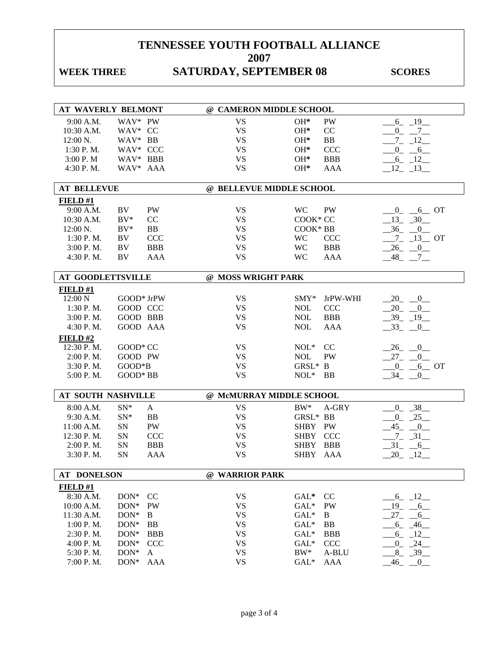## WEEK THREE **SATURDAY, SEPTEMBER 08** SCORES

| AT WAVERLY BELMONT |            |               | @ CAMERON MIDDLE SCHOOL  |             |            |                                    |
|--------------------|------------|---------------|--------------------------|-------------|------------|------------------------------------|
| 9:00 A.M.          | WAV* PW    |               | <b>VS</b>                | $OH*$       | <b>PW</b>  | $-6 - 19$                          |
| 10:30 A.M.         | WAV* CC    |               | <b>VS</b>                | $OH*$       | CC         | $-0 - 7$                           |
| $12:00 N$ .        | WAV* BB    |               | <b>VS</b>                | $OH*$       | BB         | $-7 - 12$                          |
| 1:30 P.M.          | WAV* CCC   |               | <b>VS</b>                | $OH*$       | CCC        | $-0$ $-6$                          |
| 3:00 P. M          | WAV* BBB   |               | <b>VS</b>                | $OH*$       | <b>BBB</b> | $-6 - 12$                          |
| 4:30 P.M.          | WAV* AAA   |               | <b>VS</b>                | $OH*$       | <b>AAA</b> | $-12$ $-13$                        |
|                    |            |               |                          |             |            |                                    |
| <b>AT BELLEVUE</b> |            |               | @ BELLEVUE MIDDLE SCHOOL |             |            |                                    |
| FIELD#1            |            |               |                          |             |            |                                    |
| 9:00 A.M.          | BV         | PW            | <b>VS</b>                | <b>WC</b>   | PW         | $0 - 6$ OT                         |
| 10:30 A.M.         | $BV*$      | CC            | <b>VS</b>                | COOK* CC    |            | $-13 - 30$                         |
| $12:00 N$ .        | $BV^*$     | <b>BB</b>     | <b>VS</b>                | COOK* BB    |            | $-36$ $-0$                         |
| $1:30$ P. M.       | BV         | <b>CCC</b>    | <b>VS</b>                | <b>WC</b>   | <b>CCC</b> | $-7 - 13$ OT                       |
| 3:00 P.M.          | <b>BV</b>  | <b>BBB</b>    | <b>VS</b>                | <b>WC</b>   | <b>BBB</b> | $-26$ $-0$ $-$                     |
| 4:30 P.M.          | BV         | <b>AAA</b>    | <b>VS</b>                | <b>WC</b>   | <b>AAA</b> | $-48$ <sub>-</sub> $-7$            |
|                    |            |               |                          |             |            |                                    |
| AT GOODLETTSVILLE  |            |               | @ MOSS WRIGHT PARK       |             |            |                                    |
| FIELD#1            |            |               |                          |             |            |                                    |
| 12:00 N            | GOOD* JrPW |               | <b>VS</b>                | $SMY*$      | JrPW-WHI   | $-20 - 0$                          |
| 1:30 P.M.          | GOOD CCC   |               | <b>VS</b>                | <b>NOL</b>  | CCC        | $20 - 0$                           |
| 3:00 P.M.          | GOOD BBB   |               | <b>VS</b>                | <b>NOL</b>  | <b>BBB</b> | $-39$ $-19$                        |
| 4:30 P.M.          | GOOD AAA   |               | <b>VS</b>                | <b>NOL</b>  | AAA        | $-33$<br>$-0$                      |
| FIELD#2            |            |               |                          |             |            |                                    |
| 12:30 P.M.         | GOOD* CC   |               | <b>VS</b>                | $NOL*$      | CC         | $-26$ $-0$                         |
| 2:00 P.M.          | GOOD PW    |               | <b>VS</b>                | <b>NOL</b>  | PW         | $27 -$<br>$\overline{0}$           |
| 3:30 P.M.          | GOOD*B     |               | <b>VS</b>                | GRSL* B     |            | $-0$ $-6$ OT                       |
| 5:00 P.M.          | GOOD* BB   |               | <b>VS</b>                | $NOL*$      | BB         | $-34$ $-0$                         |
|                    |            |               |                          |             |            |                                    |
| AT SOUTH NASHVILLE |            |               | @ McMURRAY MIDDLE SCHOOL |             |            |                                    |
| 8:00 A.M.          | $SN*$      | A             | <b>VS</b>                | $BW^*$      | A-GRY      | $-0$ $-38$                         |
| 9:30 A.M.          | $SN^*$     | <b>BB</b>     | <b>VS</b>                | GRSL* BB    |            | $-25$<br>$\overline{0}$            |
| 11:00 A.M.         | SN         | PW            | <b>VS</b>                | SHBY PW     |            | $-45$<br>$\overline{\phantom{0}0}$ |
| 12:30 P.M.         | SN         | <b>CCC</b>    | <b>VS</b>                | SHBY CCC    |            | $-7 - 31$                          |
| 2:00 P.M.          | SN         | <b>BBB</b>    | <b>VS</b>                | <b>SHBY</b> | <b>BBB</b> | $-31$<br>$-6$                      |
| 3:30 P.M.          | SN         | <b>AAA</b>    | <b>VS</b>                | SHBY AAA    |            | $-20 - 12$                         |
| <b>AT DONELSON</b> |            |               |                          |             |            |                                    |
|                    |            |               | @ WARRIOR PARK           |             |            |                                    |
| FIELD#1            |            |               |                          |             |            |                                    |
| 8:30 A.M.          | $DON*$     | <sub>CC</sub> | <b>VS</b>                | $GAL^*$     | CC         | $6 - 12$                           |
| 10:00 A.M.         | $DON*$     | PW            | <b>VS</b>                | $GAL*$      | PW         | $-19 - 6$                          |
| 11:30 A.M.         | $DON*$     | $\, {\bf B}$  | <b>VS</b>                | $GAL^*$     | $\bf{B}$   | $27_{-}$<br>6                      |
| 1:00 P.M.          | $DON*$     | BB            | <b>VS</b>                | $GAL^*$     | BB         | $-6 - 46$                          |
| 2:30 P.M.          | $DON*$     | <b>BBB</b>    | <b>VS</b>                | $GAL*$      | <b>BBB</b> | $-6 - 12$                          |
| 4:00 P.M.          | $DON*$     | <b>CCC</b>    | <b>VS</b>                | $GAL^*$     | CCC        | $0 - 24$                           |
| 5:30 P.M.          | DON*       | A             | <b>VS</b>                | $BW^*$      | A-BLU      | $8 - 39$                           |
| 7:00 P.M.          | DON*       | AAA           | <b>VS</b>                | $GAL*$      | AAA        | $-46$<br>$-0$                      |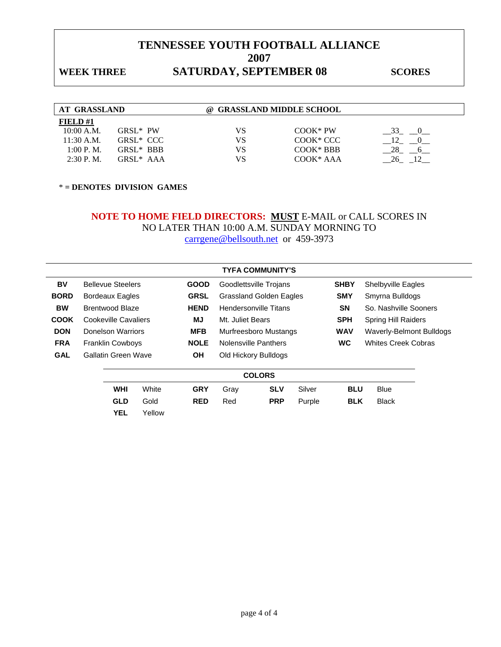### WEEK THREE **SATURDAY, SEPTEMBER 08** SCORES

| AT GRASSLAND |                       | (a) | <b>GRASSLAND MIDDLE SCHOOL</b> |    |
|--------------|-----------------------|-----|--------------------------------|----|
| FIELD $#1$   |                       |     |                                |    |
| 10:00 A.M.   | $GRSI*PW$             | VS  | $COOK*PW$                      |    |
| 11:30 A.M.   | GRSL <sup>*</sup> CCC | VS  | COOK <sup>*</sup> CCC          |    |
| 1:00 P. M.   | GRSL* BBB             | VS  | $COOK*BBB$                     | 28 |

2:30 P.M. GRSL\* AAA  $\qquad \qquad \text{VS}$   $\qquad \qquad \text{COOK}^*$  AAA  $\qquad \qquad \underline{\qquad}$ 26\_  $\Box$ 12

\* **= DENOTES DIVISION GAMES** 

### **NOTE TO HOME FIELD DIRECTORS: MUST** E-MAIL or CALL SCORES IN NO LATER THAN 10:00 A.M. SUNDAY MORNING TO carrgene@bellsouth.net or 459-3973

|             |                            |             | <b>TYFA COMMUNITY'S</b>        |             |                            |
|-------------|----------------------------|-------------|--------------------------------|-------------|----------------------------|
| BV          | <b>Bellevue Steelers</b>   | <b>GOOD</b> | Goodlettsville Trojans         | <b>SHBY</b> | <b>Shelbyville Eagles</b>  |
| <b>BORD</b> | Bordeaux Eagles            | <b>GRSL</b> | <b>Grassland Golden Eagles</b> | <b>SMY</b>  | Smyrna Bulldogs            |
| <b>BW</b>   | <b>Brentwood Blaze</b>     | <b>HEND</b> | Hendersonville Titans          | <b>SN</b>   | So. Nashville Sooners      |
| <b>COOK</b> | Cookeville Cavaliers       | <b>MJ</b>   | Mt. Juliet Bears               | <b>SPH</b>  | <b>Spring Hill Raiders</b> |
| <b>DON</b>  | Donelson Warriors          | <b>MFB</b>  | Murfreesboro Mustangs          | <b>WAV</b>  | Waverly-Belmont Bulldogs   |
| <b>FRA</b>  | <b>Franklin Cowboys</b>    | <b>NOLE</b> | <b>Nolensville Panthers</b>    | <b>WC</b>   | <b>Whites Creek Cobras</b> |
| <b>GAL</b>  | <b>Gallatin Green Wave</b> | OН          | Old Hickory Bulldogs           |             |                            |
|             |                            |             | <b>COLORS</b>                  |             |                            |

|            |        |                 |     | ------- |                   |            |              |  |
|------------|--------|-----------------|-----|---------|-------------------|------------|--------------|--|
| WHI        | White  | <b>GRY</b> Gray |     | SLV     | Silver            | <b>BLU</b> | <b>Blue</b>  |  |
| <b>GLD</b> | Gold   | <b>RED</b>      | Red |         | <b>PRP</b> Purple | BLK        | <b>Black</b> |  |
| YEL        | Yellow |                 |     |         |                   |            |              |  |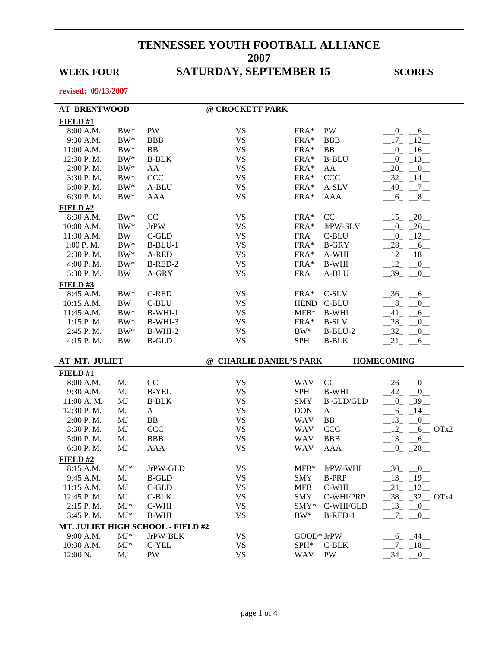# WEEK FOUR SATURDAY, SEPTEMBER 15 SCORES

| <b>AT BRENTWOOD</b>    |              |                                   | @ CROCKETT PARK         |                |                    |                             |
|------------------------|--------------|-----------------------------------|-------------------------|----------------|--------------------|-----------------------------|
| FIELD#1                |              |                                   |                         |                |                    |                             |
| 8:00 A.M.              | $BW^*$       | PW                                | <b>VS</b>               | $FRA*$         | PW                 | $-0$ $-6$ $-$               |
| 9:30 A.M.              | $BW^*$       | <b>BBB</b>                        | <b>VS</b>               | $FRA*$         | <b>BBB</b>         | $17 - 12$                   |
| 11:00 A.M.             | $BW^*$       | <b>BB</b>                         | <b>VS</b>               | $FRA*$         | BB                 | $-0$ $-16$ $-$              |
| 12:30 P.M.             | $BW^*$       | <b>B-BLK</b>                      | <b>VS</b>               | $FRA*$         | <b>B-BLU</b>       | $-0$ $-13$                  |
| 2:00 P.M.              | $BW^*$       | AA                                | <b>VS</b>               | $FRA*$         | AA                 | $-20$ $-0$                  |
| 3:30 P.M.              | $BW^*$       | <b>CCC</b>                        | <b>VS</b>               | $FRA*$         | <b>CCC</b>         | $-32 - 14$                  |
| 5:00 P.M.              | $BW^*$       | A-BLU                             | <b>VS</b>               | $FRA*$         | A-SLV              | $-40$ $-7$ $-$              |
| 6:30 P.M.              | $BW^*$       | <b>AAA</b>                        | <b>VS</b>               | $FRA*$         | <b>AAA</b>         | $-6 - 8$                    |
| FIELD#2                |              |                                   |                         |                |                    |                             |
| 8:30 A.M.              | $BW^*$       | CC                                | <b>VS</b>               | $FRA*$         | CC                 | $-15 - 20$                  |
| 10:00 A.M.             | $BW^*$       | <b>JrPW</b>                       | <b>VS</b>               | $FRA*$         | JrPW-SLV           | $-0$ $-26$                  |
| 11:30 A.M.             | BW           | C-GLD                             | <b>VS</b>               | <b>FRA</b>     | C-BLU              | $-0$ $-12$                  |
| 1:00 P. M.             | $BW^*$       | $B-BLU-1$                         | <b>VS</b>               | FRA*           | <b>B-GRY</b>       | $-28$ <sub>-</sub> $-6$     |
| 2:30 P.M.              | $BW^*$       | A-RED                             | <b>VS</b>               | FRA*           | A-WHI              | $-12 - 18$                  |
| 4:00 P.M.              | $BW^*$       | B-RED-2                           | <b>VS</b>               | FRA*           | <b>B-WHI</b>       | $-12$<br>$-0$               |
| 5:30 P.M.              | <b>BW</b>    | A-GRY                             | <b>VS</b>               | <b>FRA</b>     | A-BLU              | $-39$<br>$\overline{0}$     |
| <b>FIELD #3</b>        |              |                                   |                         |                |                    |                             |
| 8:45 A.M.              | $BW^*$       | C-RED                             | <b>VS</b>               | FRA*           | C-SLV              | $-36 - 6$                   |
| 10:15 A.M.             | <b>BW</b>    | C-BLU                             | <b>VS</b>               | <b>HEND</b>    | C-BLU              | $-$ 8 $-$<br>$\overline{0}$ |
| 11:45 A.M.             | $BW^*$       | $B-WHI-1$                         | <b>VS</b>               | $MFB*$         | <b>B-WHI</b>       | 41<br>6                     |
| 1:15 P.M.              | $BW^*$       | B-WHI-3                           | <b>VS</b>               | $FRA*$         | <b>B-SLV</b>       | 28<br>0                     |
| 2:45 P.M.              | $BW^*$       | $B-WHI-2$                         | <b>VS</b>               | $BW^*$         | $B-BLU-2$          | 32<br>$0$ <sub>—</sub>      |
|                        |              |                                   |                         |                |                    |                             |
|                        |              |                                   |                         |                |                    |                             |
| 4:15 P.M.              | <b>BW</b>    | <b>B-GLD</b>                      | <b>VS</b>               | <b>SPH</b>     | <b>B-BLK</b>       | $-21$<br>$-6$               |
| AT MT. JULIET          |              |                                   | @ CHARLIE DANIEL'S PARK |                |                    | <b>HOMECOMING</b>           |
|                        |              |                                   |                         |                |                    |                             |
| FIELD#1                |              |                                   |                         |                |                    |                             |
| 8:00 A.M.              | MJ           | CC                                | <b>VS</b>               | <b>WAV</b>     | CC                 | $-26$<br>$-0$               |
| 9:30 A.M.              | MJ           | <b>B-YEL</b>                      | <b>VS</b>               | <b>SPH</b>     | <b>B-WHI</b>       | $-42$<br>$\overline{0}$     |
| 11:00 A.M.             | MJ           | <b>B-BLK</b>                      | <b>VS</b>               | <b>SMY</b>     | <b>B-GLD/GLD</b>   | $_{0}$<br>$-39$             |
| 12:30 P.M.             | MJ           | $\mathbf{A}$                      | <b>VS</b>               | <b>DON</b>     | $\mathbf{A}$       | $6_{-}$<br>$-14$            |
| 2:00 P.M.              | MJ           | BB                                | <b>VS</b>               | <b>WAV</b>     | <b>BB</b>          | 13<br>0                     |
| 3:30 P.M.              | MJ           | <b>CCC</b>                        | <b>VS</b>               | <b>WAV</b>     | <b>CCC</b>         | $12 - 6$ OTx2               |
| 5:00 P.M.              | MJ           | <b>BBB</b>                        | <b>VS</b>               | <b>WAV</b>     | <b>BBB</b>         | $13 - 6$                    |
| 6:30 P.M.              | MJ           | <b>AAA</b>                        | <b>VS</b>               | <b>WAV</b>     | <b>AAA</b>         | $0 - 28$                    |
| FIELD#2                |              |                                   |                         |                |                    |                             |
| 8:15 A.M.              | $MJ^*$       | JrPW-GLD                          | <b>VS</b>               |                | MFB* JrPW-WHI      | $-30$<br>$-0$               |
| 9:45 A.M.              | MJ           | <b>B-GLD</b>                      | <b>VS</b>               | SMY            | <b>B-PRP</b>       | $-13 - 19$                  |
| 11:15 A.M.             | MJ           | C-GLD                             | <b>VS</b>               | <b>MFB</b>     | C-WHI              | $-21 - 12$                  |
| 12:45 P.M.             | MJ           | C-BLK                             | <b>VS</b>               | <b>SMY</b>     | C-WHI/PRP          | $-38 - 32$ OTx4             |
| 2:15 P.M.              | $MJ^*$       | C-WHI                             | <b>VS</b>               | $\text{SMY*}$  | C-WHI/GLD          | $-13$ $-0$                  |
| 3:45 P.M.              | $MJ*$        | <b>B-WHI</b>                      | <b>VS</b>               | $BW^*$         | B-RED-1            | $-7$<br>$-0$                |
|                        |              | MT. JULIET HIGH SCHOOL - FIELD #2 |                         |                |                    |                             |
| 9:00 A.M.              | $MJ*$        | JrPW-BLK                          | <b>VS</b>               | GOOD* JrPW     |                    | $-6 - 44$                   |
| 10:30 A.M.<br>12:00 N. | $MJ^*$<br>MJ | C-YEL<br>PW                       | VS<br><b>VS</b>         | $SPH^*$<br>WAV | C-BLK<br><b>PW</b> | $-7 - 18$<br>$-34$ $-0$     |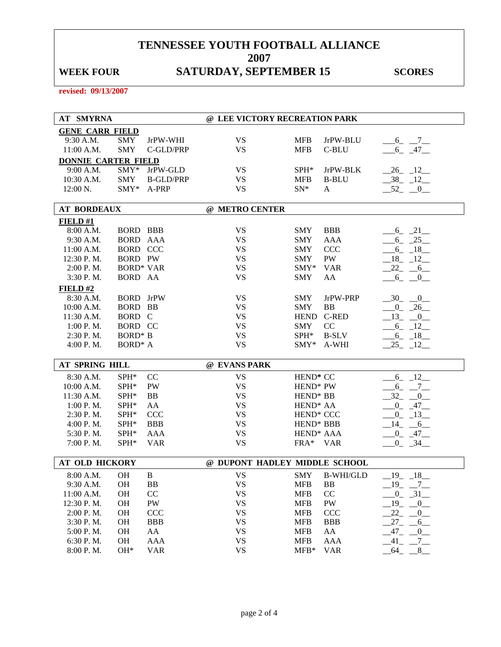## WEEK FOUR SATURDAY, SEPTEMBER 15 SCORES

| <b>AT SMYRNA</b>           |                     |                  | @ LEE VICTORY RECREATION PARK |                       |              |                           |
|----------------------------|---------------------|------------------|-------------------------------|-----------------------|--------------|---------------------------|
| <b>GENE CARR FIELD</b>     |                     |                  |                               |                       |              |                           |
| 9:30 A.M.                  | <b>SMY</b>          | JrPW-WHI         | <b>VS</b>                     | <b>MFB</b>            | JrPW-BLU     | $-6 - 7$                  |
| 11:00 A.M.                 | <b>SMY</b>          | C-GLD/PRP        | <b>VS</b>                     | <b>MFB</b>            | C-BLU        | $-6 - 47$                 |
| <b>DONNIE CARTER FIELD</b> |                     |                  |                               |                       |              |                           |
| 9:00 A.M.                  | SMY*                | JrPW-GLD         | <b>VS</b>                     | $SPH^*$               | JrPW-BLK     | $-26$ $-12$               |
| 10:30 A.M.                 | <b>SMY</b>          | <b>B-GLD/PRP</b> | <b>VS</b>                     | <b>MFB</b>            | <b>B-BLU</b> | $-38$ $-12$               |
| 12:00 N.                   | SMY*                | A-PRP            | <b>VS</b>                     | $SN^*$                | A            | $-52$ $-0$                |
|                            |                     |                  |                               |                       |              |                           |
| <b>AT BORDEAUX</b>         |                     |                  | @ METRO CENTER                |                       |              |                           |
| FIELD#1                    |                     |                  |                               |                       |              |                           |
| 8:00 A.M.                  | <b>BORD BBB</b>     |                  | <b>VS</b>                     | <b>SMY</b>            | <b>BBB</b>   | $-6$ $-21$                |
| 9:30 A.M.                  | BORD AAA            |                  | <b>VS</b>                     | <b>SMY</b>            | AAA          | $-6 - 25$                 |
| 11:00 A.M.                 | <b>BORD CCC</b>     |                  | <b>VS</b>                     | <b>SMY</b>            | <b>CCC</b>   | $-6 - 18$                 |
| 12:30 P.M.                 | BORD PW             |                  | <b>VS</b>                     | <b>SMY</b>            | PW           | $-18$ $-12$               |
| 2:00 P.M.                  | <b>BORD* VAR</b>    |                  | <b>VS</b>                     | SMY*                  | <b>VAR</b>   | $-22$ $-6$                |
| 3:30 P.M.                  | BORD AA             |                  | <b>VS</b>                     | <b>SMY</b>            | AA           | $6 - 0$                   |
| FIELD#2                    |                     |                  |                               |                       |              |                           |
| 8:30 A.M.                  | <b>BORD</b> JrPW    |                  | <b>VS</b>                     | <b>SMY</b>            | JrPW-PRP     | $-30$ $-0$                |
| 10:00 A.M.                 | BORD BB             |                  | <b>VS</b>                     | <b>SMY</b>            | BB           | $-0$ $-26$                |
| 11:30 A.M.                 | BORD C              |                  | <b>VS</b>                     | HEND C-RED            |              | $-13$ $-0$                |
| 1:00 P.M.                  | BORD CC             |                  | <b>VS</b>                     | <b>SMY</b>            | CC           | $-6 - 12$                 |
| 2:30 P.M.                  | <b>BORD*</b> B      |                  | <b>VS</b>                     | $SPH^*$               | <b>B-SLV</b> | $-6 - 18$                 |
| 4:00 P.M.                  | BORD <sup>*</sup> A |                  | <b>VS</b>                     | $\text{SMY*}$         | A-WHI        | $25 - 12$                 |
|                            |                     |                  |                               |                       |              |                           |
| AT SPRING HILL             |                     |                  | @ EVANS PARK                  |                       |              |                           |
| 8:30 A.M.                  | SPH*                | CC               | <b>VS</b>                     | HEND <sup>*</sup> CC  |              | $-6 - 12$                 |
| 10:00 A.M.                 | SPH*                | PW               | <b>VS</b>                     | HEND <sup>*</sup> PW  |              | $-6 - -7$                 |
| 11:30 A.M.                 | SPH*                | <b>BB</b>        | <b>VS</b>                     | HEND <sup>*</sup> BB  |              | $-32$<br>$-0$             |
| 1:00 P.M.                  | SPH*                | AA               | <b>VS</b>                     | HEND <sup>*</sup> AA  |              | $-0 - 47$                 |
| 2:30 P.M.                  | SPH*                | <b>CCC</b>       | <b>VS</b>                     | HEND <sup>*</sup> CCC |              | $-0$ $-13$                |
| $4:00$ P. M.               | $SPH*$              | <b>BBB</b>       | <b>VS</b>                     | HEND <sup>*</sup> BBB |              | $-14 - 6$                 |
| 5:30 P.M.                  | $SPH*$              | AAA              | <b>VS</b>                     | HEND <sup>*</sup> AAA |              | $-0 - 47$                 |
| 7:00 P.M.                  | SPH*                | <b>VAR</b>       | <b>VS</b>                     | FRA* VAR              |              | $0 - 34$                  |
|                            |                     |                  |                               |                       |              |                           |
| <b>AT OLD HICKORY</b>      |                     |                  | @ DUPONT HADLEY MIDDLE SCHOOL |                       |              |                           |
| 8:00 A.M.                  | <b>OH</b>           | B                | <b>VS</b>                     | SMY                   | B-WHI/GLD    | 19<br>18                  |
| 9:30 A.M.                  | OH                  | <b>BB</b>        | <b>VS</b>                     | <b>MFB</b>            | <b>BB</b>    | $-19$ $-7$                |
| 11:00 A.M.                 | OH                  | CC               | <b>VS</b>                     | <b>MFB</b>            | CC           | $-0$ $-31$ $-$            |
| 12:30 P.M.                 | OH                  | PW               | <b>VS</b>                     | <b>MFB</b>            | PW           | $19$ <sub>-</sub><br>$-0$ |
| 2:00 P.M.                  | OH                  | CCC              | <b>VS</b>                     | <b>MFB</b>            | <b>CCC</b>   | 22<br>$_{0}$              |
| 3:30 P.M.                  | <b>OH</b>           | <b>BBB</b>       | <b>VS</b>                     | <b>MFB</b>            | <b>BBB</b>   | $27_{-}$<br>$6_{-}$       |
| 5:00 P.M.                  | OH                  | AA               | <b>VS</b>                     | <b>MFB</b>            | AA           | $-47-$<br>$_{0}$          |
| 6:30 P.M.                  | OH                  | AAA              | <b>VS</b>                     | <b>MFB</b>            | AAA          | $-41$<br>$-7$             |
| 8:00 P.M.                  | OH*                 | <b>VAR</b>       | <b>VS</b>                     | $MFB*$                | <b>VAR</b>   | 64<br>8                   |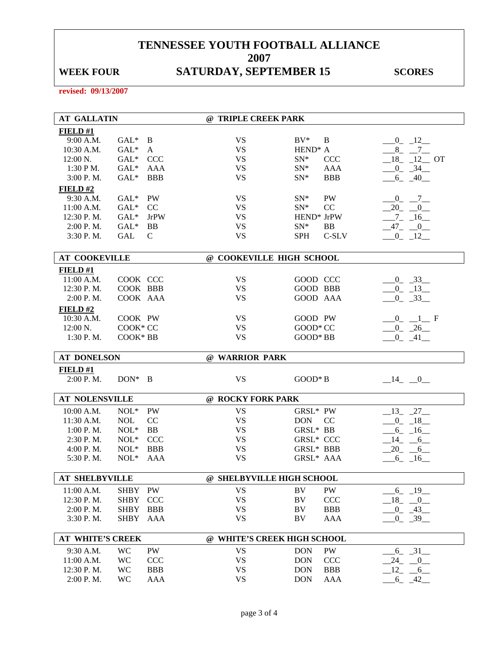## WEEK FOUR SATURDAY, SEPTEMBER 15 SCORES

| <b>AT GALLATIN</b>      |             |              | @ TRIPLE CREEK PARK         |                          |                              |
|-------------------------|-------------|--------------|-----------------------------|--------------------------|------------------------------|
| FIELD#1                 |             |              |                             |                          |                              |
| 9:00 A.M.               | $GAL^*$     | B            | <b>VS</b>                   | $BV^*$<br>B              | $-0$ $-12$                   |
| 10:30 A.M.              | $GAL*$      | A            | <b>VS</b>                   | HEND <sup>*</sup> A      | $-8$ $-7$                    |
| $12:00 N$ .             | $GAL*$      | <b>CCC</b>   | <b>VS</b>                   | $SN^*$<br><b>CCC</b>     | $18$ <sub>-12</sub> OT       |
| 1:30 P M.               | $GAL*$      | <b>AAA</b>   | <b>VS</b>                   | $SN^*$<br>AAA            | $-0$ $-34$                   |
| 3:00 P.M.               | $GAL*$      | <b>BBB</b>   | <b>VS</b>                   | <b>BBB</b><br>$SN^*$     | $-6 - 40$                    |
| $FIED$ #2               |             |              |                             |                          |                              |
| 9:30 A.M.               | $GAL^*$     | PW           | <b>VS</b>                   | PW<br>$SN^*$             | $-0$ $-7$                    |
| 11:00 A.M.              | $GAL*$      | CC           | <b>VS</b>                   | CC<br>$SN^*$             | $-20$ $-0$ $-$               |
| 12:30 P.M.              | $GAL*$      | <b>JrPW</b>  | <b>VS</b>                   | HEND <sup>*</sup> JrPW   | $-7 - 16$                    |
| 2:00 P.M.               | $GAL*$      | BB           | <b>VS</b>                   | $SN^*$<br><b>BB</b>      | $-47 - 0$                    |
| 3:30 P.M.               | <b>GAL</b>  | $\mathsf{C}$ | <b>VS</b>                   | C-SLV<br><b>SPH</b>      | $-0$ $-12$                   |
| <b>AT COOKEVILLE</b>    |             |              | @ COOKEVILLE HIGH SCHOOL    |                          |                              |
|                         |             |              |                             |                          |                              |
| FIELD#1<br>11:00 A.M.   | COOK CCC    |              | <b>VS</b>                   | GOOD CCC                 |                              |
| 12:30 P.M.              | COOK BBB    |              | <b>VS</b>                   | GOOD BBB                 | $-0$ $-33$<br>$-0$ $-13$     |
| 2:00 P.M.               | COOK AAA    |              | <b>VS</b>                   | GOOD AAA                 | $-0$ $-33$                   |
| FIELD#2                 |             |              |                             |                          |                              |
| 10:30 A.M.              | COOK PW     |              | <b>VS</b>                   | GOOD PW                  | $-0$ $-1$ F                  |
| 12:00 N.                | COOK* CC    |              | <b>VS</b>                   | GOOD* CC                 |                              |
| 1:30 P.M.               | COOK* BB    |              | <b>VS</b>                   | GOOD* BB                 | $-0$ $-26$<br>$-0$ $-41$ $-$ |
|                         |             |              |                             |                          |                              |
|                         |             |              |                             |                          |                              |
| <b>AT DONELSON</b>      |             |              | @ WARRIOR PARK              |                          |                              |
| FIELD#1                 |             |              |                             |                          |                              |
| 2:00 P. M.              | $DON^*$ B   |              | <b>VS</b>                   | $GOOD*B$                 | $-14$ $-0$                   |
|                         |             |              |                             |                          |                              |
| <b>AT NOLENSVILLE</b>   |             |              | @ ROCKY FORK PARK           |                          |                              |
| 10:00 A.M.              | $NOL*$      | PW           | <b>VS</b>                   | GRSL* PW                 | $13 - 27$                    |
| 11:30 A.M.              | <b>NOL</b>  | CC           | <b>VS</b>                   | <b>DON</b><br>CC         | $0 - 18$                     |
| 1:00 P. M.              | $NOL*$      | <b>BB</b>    | <b>VS</b>                   | GRSL* BB                 | $-6 - 16$                    |
| 2:30 P.M.               | $NOL*$      | <b>CCC</b>   | <b>VS</b>                   | <b>GRSL* CCC</b>         | $-14$ $-6$                   |
| 4:00 P. M.              | $NOL*$      | <b>BBB</b>   | <b>VS</b>                   | GRSL* BBB                | $20 - 6$                     |
| 5:30 P.M.               | $NOL*$      | AAA          | <b>VS</b>                   | GRSL* AAA                | $-6$ $-16$ $-$               |
| <b>AT SHELBYVILLE</b>   |             |              | @ SHELBYVILLE HIGH SCHOOL   |                          |                              |
|                         |             |              |                             |                          |                              |
| 11:00 A.M.              | SHBY        | PW           | <b>VS</b>                   | PW<br>BV                 | $-6 - 19$                    |
| 12:30 P.M.              | <b>SHBY</b> | <b>CCC</b>   | <b>VS</b>                   | BV<br>CCC                | $18 - 0$                     |
| 2:00 P.M.               | <b>SHBY</b> | <b>BBB</b>   | <b>VS</b><br><b>VS</b>      | <b>BBB</b><br>BV<br>BV   | 0.43                         |
| 3:30 P.M.               | SHBY        | AAA          |                             | AAA                      | $0 - 39$                     |
| <b>AT WHITE'S CREEK</b> |             |              | @ WHITE'S CREEK HIGH SCHOOL |                          |                              |
| 9:30 A.M.               | <b>WC</b>   | PW           | <b>VS</b>                   | <b>DON</b><br>PW         |                              |
| 11:00 A.M.              | WC          | <b>CCC</b>   | <b>VS</b>                   | CCC<br><b>DON</b>        | $-6$ $-31$ $-$<br>$-24$ $-0$ |
| 12:30 P.M.              | WC          | <b>BBB</b>   | <b>VS</b>                   | <b>DON</b><br><b>BBB</b> | $-12$ $-6$                   |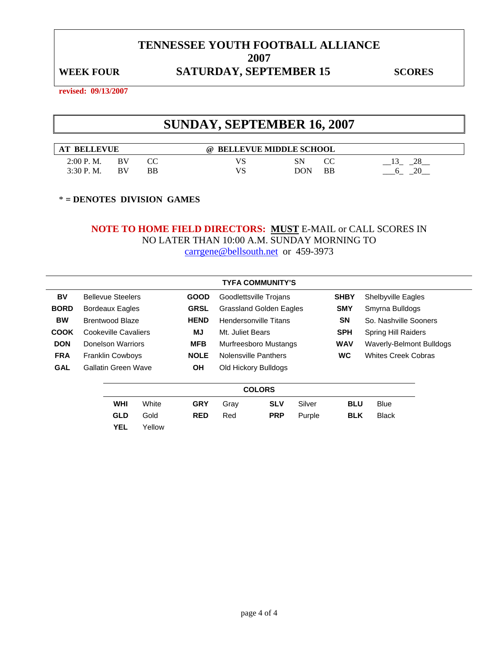### WEEK FOUR SATURDAY, SEPTEMBER 15 SCORES

**revised: 09/13/2007** 

## **SUNDAY, SEPTEMBER 16, 2007**

| <b>LEVUE</b><br><b>BELI</b> |    |    | <b>BELLEVUE MIDDLE SCHOOL</b><br>$\omega$ |     |              |          |
|-----------------------------|----|----|-------------------------------------------|-----|--------------|----------|
| 2:00 P.M.                   | BV | СC | VS                                        | SN  | $\sim$<br>UU | າຂ       |
| 3:30 P.M.                   | BV | BB | VS                                        | DON | BB           | $\gamma$ |

\* **= DENOTES DIVISION GAMES** 

**YEL** Yellow

# **NOTE TO HOME FIELD DIRECTORS: MUST** E-MAIL or CALL SCORES IN NO LATER THAN 10:00 A.M. SUNDAY MORNING TO

carrgene@bellsouth.net or 459-3973

|             |                            |             | <b>TYFA COMMUNITY'S</b>        |            |        |             |                            |
|-------------|----------------------------|-------------|--------------------------------|------------|--------|-------------|----------------------------|
| BV          | <b>Bellevue Steelers</b>   | <b>GOOD</b> | Goodlettsville Trojans         |            |        | <b>SHBY</b> | Shelbyville Eagles         |
| <b>BORD</b> | <b>Bordeaux Eagles</b>     | <b>GRSL</b> | <b>Grassland Golden Eagles</b> |            |        | <b>SMY</b>  | Smyrna Bulldogs            |
| <b>BW</b>   | Brentwood Blaze            | <b>HEND</b> | Hendersonville Titans          |            |        | <b>SN</b>   | So. Nashville Sooners      |
| <b>COOK</b> | Cookeville Cavaliers       | MJ          | Mt. Juliet Bears               |            |        | <b>SPH</b>  | <b>Spring Hill Raiders</b> |
| <b>DON</b>  | Donelson Warriors          | <b>MFB</b>  | Murfreesboro Mustangs          |            |        | <b>WAV</b>  | Waverly-Belmont Bulldogs   |
| <b>FRA</b>  | <b>Franklin Cowboys</b>    | <b>NOLE</b> | Nolensville Panthers           |            |        | <b>WC</b>   | <b>Whites Creek Cobras</b> |
| <b>GAL</b>  | <b>Gallatin Green Wave</b> | <b>OH</b>   | Old Hickory Bulldogs           |            |        |             |                            |
|             |                            |             | <b>COLORS</b>                  |            |        |             |                            |
|             | White<br>WHI               | <b>GRY</b>  | Gray                           | <b>SLV</b> | Silver | <b>BLU</b>  | <b>Blue</b>                |

**GLD** Gold **RED** Red **PRP** Purple **BLK** Black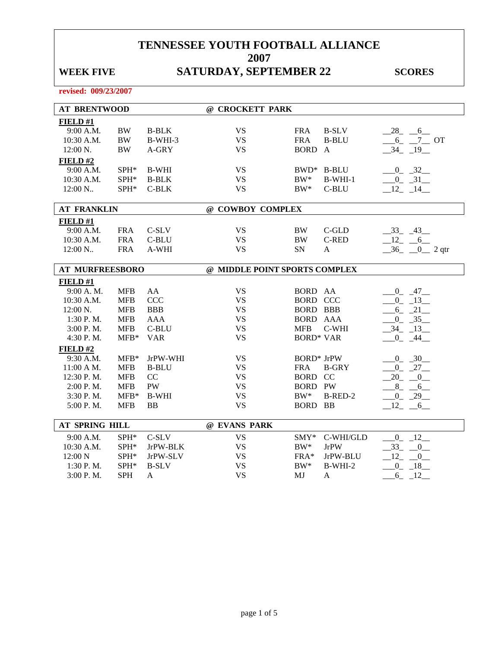## WEEK FIVE **SATURDAY, SEPTEMBER 22** SCORES

| <b>AT BRENTWOOD</b>    |               |              | @ CROCKETT PARK               |                   |              |                         |
|------------------------|---------------|--------------|-------------------------------|-------------------|--------------|-------------------------|
| FIELD #1               |               |              |                               |                   |              |                         |
| 9:00 A.M.              | $\rm BW$      | <b>B-BLK</b> | <b>VS</b>                     | <b>FRA</b>        | <b>B-SLV</b> | $-28$ <sub>-</sub> $-6$ |
| 10:30 A.M.             | $\rm BW$      | B-WHI-3      | <b>VS</b>                     | <b>FRA</b>        | <b>B-BLU</b> | $-6$ $-7$ OT            |
| 12:00 N.               | <b>BW</b>     | A-GRY        | <b>VS</b>                     | <b>BORD</b>       | $\mathbf{A}$ | $-34$ $-19$             |
| FIELD#2                |               |              |                               |                   |              |                         |
| 9:00 A.M.              | SPH*          | <b>B-WHI</b> | <b>VS</b>                     |                   | BWD* B-BLU   | $-0$ $-32$              |
| 10:30 A.M.             | SPH*          | <b>B-BLK</b> | <b>VS</b>                     | $BW^*$            | $B-WHI-1$    | $0 - 31$                |
| 12:00 N                | SPH*          | C-BLK        | <b>VS</b>                     | $BW^*$            | C-BLU        | $12 - 14$               |
|                        |               |              |                               |                   |              |                         |
| <b>AT FRANKLIN</b>     |               |              | @ COWBOY COMPLEX              |                   |              |                         |
| FIELD #1               |               |              |                               |                   |              |                         |
| 9:00 A.M.              | <b>FRA</b>    | C-SLV        | <b>VS</b>                     | <b>BW</b>         | $C$ -GLD     | $-33 - 43$              |
| 10:30 A.M.             | <b>FRA</b>    | C-BLU        | <b>VS</b>                     | <b>BW</b>         | <b>C-RED</b> | $-12 - 6$               |
| 12:00 N                | <b>FRA</b>    | A-WHI        | <b>VS</b>                     | SN                | A            | $-36$ $-0$ $2$ qtr      |
| <b>AT MURFREESBORO</b> |               |              | @ MIDDLE POINT SPORTS COMPLEX |                   |              |                         |
| FIELD#1                |               |              |                               |                   |              |                         |
| 9:00 A.M.              | <b>MFB</b>    | AA           | <b>VS</b>                     | BORD AA           |              | $-0 - 47$               |
| 10:30 A.M.             | <b>MFB</b>    | <b>CCC</b>   | <b>VS</b>                     | <b>BORD CCC</b>   |              | $-0$ $-13$              |
| $12:00 \text{ N}$ .    | <b>MFB</b>    | <b>BBB</b>   | <b>VS</b>                     | <b>BORD BBB</b>   |              | $-6 - 21$               |
| 1:30 P.M.              | <b>MFB</b>    | <b>AAA</b>   | <b>VS</b>                     | <b>BORD AAA</b>   |              | $0 - 35$                |
| 3:00 P.M.              | <b>MFB</b>    | C-BLU        | <b>VS</b>                     | <b>MFB</b>        | C-WHI        | $-34$ $-13$             |
| 4:30 P.M.              | $MFB*$        | <b>VAR</b>   | <b>VS</b>                     | <b>BORD* VAR</b>  |              | $0 - 44$                |
| FIELD #2               |               |              |                               |                   |              |                         |
| 9:30 A.M.              | $MFB*$        | JrPW-WHI     | <b>VS</b>                     | <b>BORD*</b> JrPW |              | $0 - 30$                |
| 11:00 A M.             | <b>MFB</b>    | <b>B-BLU</b> | <b>VS</b>                     | <b>FRA</b>        | <b>B-GRY</b> | $-0$ $-27$              |
| 12:30 P.M.             | <b>MFB</b>    | CC           | <b>VS</b>                     | <b>BORD CC</b>    |              | $-20 - 0$               |
| 2:00 P.M.              | <b>MFB</b>    | <b>PW</b>    | <b>VS</b>                     | <b>BORD PW</b>    |              | $8 - 6$                 |
| 3:30 P.M.              | $MFB*$        | <b>B-WHI</b> | <b>VS</b>                     | $BW^*$            | B-RED-2      | $-0$ $-29$              |
| 5:00 P.M.              | <b>MFB</b>    | <b>BB</b>    | <b>VS</b>                     | <b>BORD</b>       | <b>BB</b>    | 12<br>6                 |
| AT SPRING HILL         |               |              | @ EVANS PARK                  |                   |              |                         |
|                        |               |              |                               |                   |              |                         |
| 9:00 A.M.              | $SPH*$        | C-SLV        | <b>VS</b>                     | $SMY^*$           | C-WHI/GLD    | $-0$ $-12$              |
| 10:30 A.M.             | SPH*          | JrPW-BLK     | <b>VS</b>                     | $BW^*$            | <b>JrPW</b>  | $-33 - 0$               |
| 12:00 N                | ${\rm SPH^*}$ | JrPW-SLV     | <b>VS</b>                     | FRA*              | JrPW-BLU     | $12 - 0$                |
| 1:30 P.M.              | SPH*          | <b>B-SLV</b> | <b>VS</b>                     | BW*               | $B-WHI-2$    | $0 - 18$                |
| 3:00 P.M.              | <b>SPH</b>    | $\mathbf{A}$ | <b>VS</b>                     | MJ                | $\mathbf{A}$ | $6 - 12$                |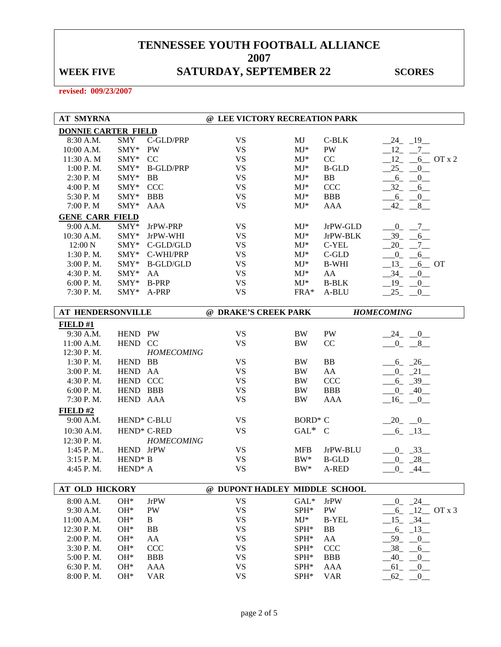## WEEK FIVE **SATURDAY, SEPTEMBER 22** SCORES

| <b>AT SMYRNA</b>           |                     |                         | @ LEE VICTORY RECREATION PARK |                     |              |                                    |
|----------------------------|---------------------|-------------------------|-------------------------------|---------------------|--------------|------------------------------------|
| <b>DONNIE CARTER FIELD</b> |                     |                         |                               |                     |              |                                    |
| 8:30 A.M.                  | <b>SMY</b>          | C-GLD/PRP               | <b>VS</b>                     | MJ                  | $C-BLK$      | $-24$ $-19$                        |
| 10:00 A.M.                 | SMY*                | PW                      | <b>VS</b>                     | $MJ^*$              | PW           | $-12$ $-7$                         |
| 11:30 A. M                 | $SMY*$              | CC                      | <b>VS</b>                     | $MJ*$               | CC           | $12_{-}$ $-$<br>$6$ OT x 2         |
| 1:00 P. M.                 | SMY*                | <b>B-GLD/PRP</b>        | <b>VS</b>                     | $MJ^*$              | <b>B-GLD</b> | $-25 - 0$                          |
| 2:30 P.M                   | SMY*                | <b>BB</b>               | <b>VS</b>                     | $MJ^*$              | <b>BB</b>    | $-6 - 0$                           |
| 4:00 P.M                   | SMY*                | <b>CCC</b>              | <b>VS</b>                     | $MJ^*$              | <b>CCC</b>   | $-32$ -<br>$6_{-}$                 |
| 5:30 P.M                   | SMY*                | <b>BBB</b>              | <b>VS</b>                     | $MJ^*$              | <b>BBB</b>   | $6 -$<br>$-0$                      |
| 7:00 P.M                   | SMY*                | <b>AAA</b>              | <b>VS</b>                     | $MJ*$               | AAA          | $8$ <sub>—</sub><br>$-42$          |
| <b>GENE CARR FIELD</b>     |                     |                         |                               |                     |              |                                    |
| 9:00 A.M.                  | SMY*                | JrPW-PRP                | <b>VS</b>                     | $MJ^*$              | JrPW-GLD     | $-0 - 7$                           |
| 10:30 A.M.                 | SMY*                | JrPW-WHI                | <b>VS</b>                     | $MJ*$               | JrPW-BLK     | $-39$ -<br>6                       |
| 12:00 N                    |                     | SMY* C-GLD/GLD          | <b>VS</b>                     | $MJ^*$              | C-YEL        | $\frac{7}{2}$<br>$-20$             |
| 1:30 P.M.                  |                     | SMY* C-WHI/PRP          | <b>VS</b>                     | $MJ^*$              | $C$ -GLD     | $\overline{0}$<br>$6$ <sub>—</sub> |
| 3:00 P.M.                  | SMY*                | <b>B-GLD/GLD</b>        | <b>VS</b>                     | $MJ^*$              | <b>B-WHI</b> | $13_{-}$ $-6$ OT                   |
| 4:30 P.M.                  | SMY*                | AA                      | <b>VS</b>                     | $MJ^*$              | AA           | $-34$ -<br>$^{0}$                  |
| 6:00 P.M.                  | SMY*                | <b>B-PRP</b>            | <b>VS</b>                     | $MJ^*$              | <b>B-BLK</b> | $-19$ -<br>$_{0-}$                 |
| 7:30 P.M.                  | SMY*                | A-PRP                   | <b>VS</b>                     | $FRA*$              | A-BLU        | $-25$ $-$                          |
|                            |                     |                         |                               |                     |              | $\overline{0}$                     |
| AT HENDERSONVILLE          |                     |                         | @ DRAKE'S CREEK PARK          |                     |              | <b>HOMECOMING</b>                  |
| FIELD#1                    |                     |                         |                               |                     |              |                                    |
| 9:30 A.M.                  | HEND PW             |                         | <b>VS</b>                     | <b>BW</b>           | PW           | $-24$ $-0$                         |
| 11:00 A.M.                 | HEND CC             |                         | <b>VS</b>                     | <b>BW</b>           | CC           | $-0 - 8$                           |
| 12:30 P.M.                 |                     | <b>HOMECOMING</b>       |                               |                     |              |                                    |
| 1:30 P.M.                  | HEND BB             |                         | <b>VS</b>                     | <b>BW</b>           | BB           | $6 - 26$                           |
| 3:00 P.M.                  | HEND AA             |                         | <b>VS</b>                     | <b>BW</b>           | AA           | $-0$ $-21$                         |
| 4:30 P.M.                  | HEND CCC            |                         | <b>VS</b>                     | <b>BW</b>           | <b>CCC</b>   | $-6 - 39$                          |
| 6:00 P.M.                  | HEND BBB            |                         | <b>VS</b>                     | <b>BW</b>           | <b>BBB</b>   | $-0$ $-40$ $-$                     |
| 7:30 P.M.                  | HEND AAA            |                         | <b>VS</b>                     | <b>BW</b>           | AAA          |                                    |
|                            |                     |                         |                               |                     |              | $-16$ $-0$                         |
| $FIED$ #2                  |                     |                         |                               |                     |              |                                    |
| 9:00 A.M.                  |                     | HEND* C-BLU             | <b>VS</b>                     | BORD <sup>*</sup> C |              | $-20$ $-0$ $-$                     |
| 10:30 A.M.                 |                     | HEND <sup>*</sup> C-RED | <b>VS</b>                     | $GAL^*$ C           |              | $-6$ $-13$                         |
| 12:30 P.M.                 |                     | <b>HOMECOMING</b>       |                               |                     |              |                                    |
| 1:45 P.M                   | HEND JrPW           |                         | <b>VS</b>                     | <b>MFB</b>          | JrPW-BLU     | $0 - 33$                           |
| 3:15 P.M.                  | HEND <sup>*</sup> B |                         | <b>VS</b>                     | $BW^*$              | <b>B-GLD</b> | $0 - 28$                           |
| 4:45 P.M.                  | HEND <sup>*</sup> A |                         | <b>VS</b>                     | $BW^*$              | A-RED        | $-44$<br>$0_{-}$                   |
|                            |                     |                         |                               |                     |              |                                    |
| AT OLD HICKORY             |                     |                         | @ DUPONT HADLEY MIDDLE SCHOOL |                     |              |                                    |
| 8:00 A.M.                  | OH*                 | <b>JrPW</b>             | <b>VS</b>                     | $GAL*$              | <b>JrPW</b>  | $0 - 24$                           |
| 9:30 A.M.                  | OH*                 | PW                      | <b>VS</b>                     | SPH*                | PW           | $6 - 12$ OT x 3                    |
| 11:00 A.M.                 | OH*                 | B                       | <b>VS</b>                     | $MJ^*$              | <b>B-YEL</b> | $-15 - 34$                         |
| 12:30 P.M.                 | OH*                 | <b>BB</b>               | <b>VS</b>                     | SPH*                | BB           | $-6 - 13$                          |
| 2:00 P.M.                  | $OH*$               | AA                      | <b>VS</b>                     | SPH*                | AA           | 59<br>$\overline{0}$               |
| 3:30 P.M.                  | OH*                 | <b>CCC</b>              | <b>VS</b>                     | SPH*                | <b>CCC</b>   | $-38$<br>6                         |
| 5:00 P.M.                  | OH*                 | <b>BBB</b>              | <b>VS</b>                     | SPH*                | <b>BBB</b>   | $-40$<br>$\overline{0}$            |
| 6:30 P.M.                  | OH*                 | AAA                     | <b>VS</b>                     | SPH*                | AAA          | $-61$<br>$\overline{0}$            |
| 8:00 P.M.                  | $OH*$               | <b>VAR</b>              | <b>VS</b>                     | SPH*                | <b>VAR</b>   | $-62$<br>$_{0}$                    |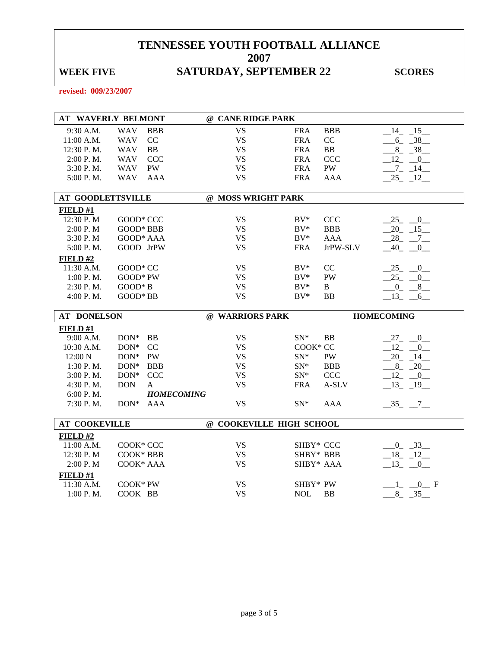## WEEK FIVE **SATURDAY, SEPTEMBER 22** SCORES

| <b>AT WAVERLY BELMONT</b> |                        |                   | @ CANE RIDGE PARK        |                        |            |                          |
|---------------------------|------------------------|-------------------|--------------------------|------------------------|------------|--------------------------|
| 9:30 A.M.                 | <b>WAV</b>             | <b>BBB</b>        | <b>VS</b>                | <b>FRA</b>             | <b>BBB</b> | $-14$ $-15$              |
| 11:00 A.M.                | <b>WAV</b>             | CC                | <b>VS</b>                | <b>FRA</b>             | CC         | $-6 - 38$                |
| 12:30 P.M.                | <b>WAV</b>             | BB                | <b>VS</b>                | <b>FRA</b>             | <b>BB</b>  | $8 - 38$                 |
| 2:00 P.M.                 | <b>WAV</b>             | <b>CCC</b>        | <b>VS</b>                | <b>FRA</b>             | CCC        | $-12$ $-0$               |
| 3:30 P.M.                 | <b>WAV</b>             | <b>PW</b>         | <b>VS</b>                | <b>FRA</b>             | PW         | $-7 - 14$                |
| 5:00 P.M.                 | <b>WAV</b>             | <b>AAA</b>        | <b>VS</b>                | <b>FRA</b>             | <b>AAA</b> | $-25 - 12$               |
| <b>AT GOODLETTSVILLE</b>  |                        |                   | @ MOSS WRIGHT PARK       |                        |            |                          |
| FIELD #1                  |                        |                   |                          |                        |            |                          |
| 12:30 P.M                 | GOOD* CCC              |                   | <b>VS</b>                | $BV^*$                 | CCC        | $25 - 0$                 |
| 2:00 P.M                  | <b>GOOD* BBB</b>       |                   | <b>VS</b>                | $BV^*$                 | <b>BBB</b> | $20 - 15$                |
| 3:30 P.M                  | GOOD* AAA              |                   | <b>VS</b>                | $BV^*$                 | <b>AAA</b> | $-28$ <sub>-</sub> $-7$  |
| 5:00 P.M.                 | GOOD JrPW              |                   | <b>VS</b>                | <b>FRA</b>             | JrPW-SLV   | $-40$ $-0$               |
| FIELD#2                   |                        |                   |                          |                        |            |                          |
| 11:30 A.M.                | GOOD* CC               |                   | <b>VS</b>                | $BV^*$                 | CC         | $-25$ $-0$               |
| 1:00 P.M.                 | $GOOD*PW$              |                   | <b>VS</b>                | $BV^*$                 | <b>PW</b>  | $25 -$<br>$\overline{0}$ |
| 2:30 P.M.                 | $GOOD*B$               |                   | <b>VS</b>                | $BV^*$                 | B          | $0 - 8$                  |
| 4:00 P.M.                 | GOOD* BB               |                   | <b>VS</b>                | $BV^*$                 | <b>BB</b>  | $13 - 6$                 |
|                           |                        |                   |                          |                        |            |                          |
| <b>AT DONELSON</b>        |                        |                   | @ WARRIORS PARK          |                        |            | <b>HOMECOMING</b>        |
|                           |                        |                   |                          |                        |            |                          |
| FIELD #1                  |                        |                   |                          |                        |            |                          |
| 9:00 A.M.                 | $DOM*$                 | <b>BB</b>         | <b>VS</b>                | $SN^*$                 | <b>BB</b>  | $27 - 0$                 |
| 10:30 A.M.<br>12:00 N     | DON*<br>DON*           | CC<br>PW          | <b>VS</b><br><b>VS</b>   | COOK* CC<br>$SN^*$     | PW         | $12 - 0$                 |
| 1:30 P.M.                 | $DON*$                 | <b>BBB</b>        | <b>VS</b>                | $SN^*$                 | <b>BBB</b> | $-20$ $-14$ $-$          |
| 3:00 P.M.                 | $DON^*$                | <b>CCC</b>        | <b>VS</b>                | $SN^*$                 | <b>CCC</b> | $8 - 20$<br>$12 - 0$     |
| 4:30 P.M.                 | <b>DON</b>             | A                 | <b>VS</b>                | <b>FRA</b>             | A-SLV      | $-13 - 19$               |
| 6:00 P.M.                 |                        | <b>HOMECOMING</b> |                          |                        |            |                          |
| 7:30 P.M.                 | $DON*$                 | <b>AAA</b>        | <b>VS</b>                | $SN^*$                 | <b>AAA</b> | $-35 - -7$               |
| <b>AT COOKEVILLE</b>      |                        |                   | @ COOKEVILLE HIGH SCHOOL |                        |            |                          |
|                           |                        |                   |                          |                        |            |                          |
| FIELD#2                   |                        |                   |                          |                        |            |                          |
| 11:00 A.M.<br>12:30 P.M   | COOK* CCC<br>COOK* BBB |                   | <b>VS</b><br><b>VS</b>   | SHBY* CCC<br>SHBY* BBB |            | $-0$ $-33$               |
|                           | COOK* AAA              |                   | <b>VS</b>                |                        |            | $-18$ $-12$              |
| 2:00 P.M                  |                        |                   |                          | SHBY* AAA              |            | $-13$ $-0$               |
| FIELD#1<br>11:30 A.M.     | COOK* PW               |                   | <b>VS</b>                | SHBY* PW               |            | $-1$ $-0$ F              |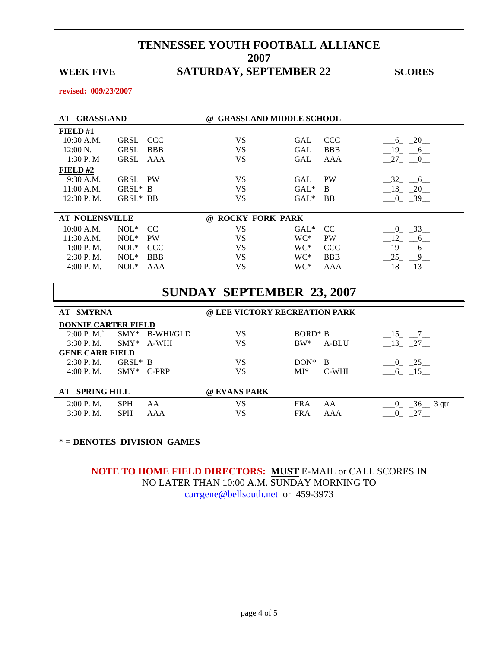### WEEK FIVE **SATURDAY, SEPTEMBER 22** SCORES

**revised: 009/23/2007** 

| <b>AT GRASSLAND</b> |                    | <b>GRASSLAND MIDDLE SCHOOL</b><br>$\omega$ |                                                                    |
|---------------------|--------------------|--------------------------------------------|--------------------------------------------------------------------|
| FIELD $#1$          |                    |                                            |                                                                    |
| $10:30$ A.M.        | GRSL CCC           | VS                                         | <b>CCC</b><br>$\overline{\phantom{0}}20$<br>GAL<br>$6\overline{6}$ |
| $12:00 \text{ N.}$  | <b>BBB</b><br>GRSL | VS                                         | <b>BBB</b><br>GAL<br>- 19<br>6                                     |
| 1:30P. M            | GRSL AAA           | VS                                         | 27 0<br>GAL<br>AAA                                                 |
| FIELD#2             |                    |                                            |                                                                    |
| $9:30$ A.M.         | GRSL PW            | VS                                         | PW<br>$-32 - 6$<br>GAL                                             |
| $11:00$ A.M.        | $GRSL^* B$         | VS                                         | $GAL^*$<br>$-20$<br>- B<br>$-13$                                   |
| 12:30 P.M.          | GRSL* BB           | VS                                         | $GAL^*$<br><b>BB</b><br>39                                         |
|                     |                    |                                            |                                                                    |

| <b>AT NOLENSVILLE</b> |               |            | @ ROCKY FORK PARK |                     |            |  |
|-----------------------|---------------|------------|-------------------|---------------------|------------|--|
| 10:00 A.M.            | $NOL^*$ $CC$  |            | VS                | GAL <sup>*</sup> CC |            |  |
| $11:30$ A.M.          | $NOL^*$       | PW         | VS                | $WC^*$              | <b>PW</b>  |  |
| 1:00 P. M.            | $NOL^*$ $CCC$ |            | VS                | WC*                 | CCC.       |  |
| $2:30$ P.M.           | $NOL^*$       | <b>BBB</b> | VS                | WC*                 | <b>BBB</b> |  |
| 4:00 P. M.            | $NOT*$        | AAA        | VS                | WC*                 | AAA        |  |

|                            |            |              | <b>SUNDAY SEPTEMBER 23, 2007</b> |            |       |                        |
|----------------------------|------------|--------------|----------------------------------|------------|-------|------------------------|
| <b>AT SMYRNA</b>           |            |              | @ LEE VICTORY RECREATION PARK    |            |       |                        |
| <b>DONNIE CARTER FIELD</b> |            |              |                                  |            |       |                        |
| 2:00 P. M.                 | $SMY*$     | B-WHI/GLD    | VS                               | $BORD^* B$ |       | $-15$ $-7$             |
| $3:30$ P.M.                | $SWY^*$    | A-WHI        | VS                               | $BW^*$     | A-BLU | 13 27                  |
| <b>GENE CARR FIELD</b>     |            |              |                                  |            |       |                        |
| $2:30$ P.M.                | $GRSL^*$ B |              | VS                               | $DON*$     | B     | 25<br>$\overline{0}$   |
| 4:00 P. M.                 |            | $SMY*$ C-PRP | VS                               | $MJ*$      | C-WHI | 6 15                   |
|                            |            |              |                                  |            |       |                        |
| <b>AT SPRING HILL</b>      |            |              | @ EVANS PARK                     |            |       |                        |
| $2:00$ P.M.                | <b>SPH</b> | AA           | VS                               | <b>FRA</b> | AA    | $-36$ 3 qtr            |
| 3:30 P.M.                  | <b>SPH</b> | AAA          | VS                               | <b>FRA</b> | AAA   | $27$ <sub>—</sub><br>0 |

### \* **= DENOTES DIVISION GAMES**

**NOTE TO HOME FIELD DIRECTORS: MUST** E-MAIL or CALL SCORES IN NO LATER THAN 10:00 A.M. SUNDAY MORNING TO carrgene@bellsouth.net or 459-3973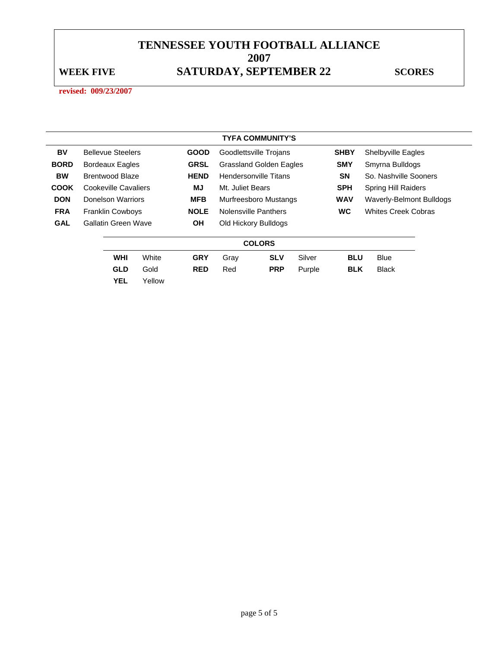## WEEK FIVE **SATURDAY, SEPTEMBER 22** SCORES

|             |                            |        |             |                  | <b>TYFA COMMUNITY'S</b>        |        |             |                            |  |
|-------------|----------------------------|--------|-------------|------------------|--------------------------------|--------|-------------|----------------------------|--|
| BV          | <b>Bellevue Steelers</b>   |        | <b>GOOD</b> |                  | Goodlettsville Trojans         |        | <b>SHBY</b> | Shelbyville Eagles         |  |
| <b>BORD</b> | <b>Bordeaux Eagles</b>     |        | <b>GRSL</b> |                  | <b>Grassland Golden Eagles</b> |        | <b>SMY</b>  | Smyrna Bulldogs            |  |
| <b>BW</b>   | Brentwood Blaze            |        | <b>HEND</b> |                  | Hendersonville Titans          |        | <b>SN</b>   | So. Nashville Sooners      |  |
| <b>COOK</b> | Cookeville Cavaliers       |        | MJ          | Mt. Juliet Bears |                                |        | <b>SPH</b>  | <b>Spring Hill Raiders</b> |  |
| <b>DON</b>  | Donelson Warriors          |        | <b>MFB</b>  |                  | Murfreesboro Mustangs          |        | <b>WAV</b>  | Waverly-Belmont Bulldogs   |  |
| <b>FRA</b>  | <b>Franklin Cowboys</b>    |        | <b>NOLE</b> |                  | <b>Nolensville Panthers</b>    |        | <b>WC</b>   | <b>Whites Creek Cobras</b> |  |
| <b>GAL</b>  | <b>Gallatin Green Wave</b> |        | <b>OH</b>   |                  | Old Hickory Bulldogs           |        |             |                            |  |
|             |                            |        |             |                  | <b>COLORS</b>                  |        |             |                            |  |
|             | <b>WHI</b>                 | White  | <b>GRY</b>  | Gray             | <b>SLV</b>                     | Silver | <b>BLU</b>  | <b>Blue</b>                |  |
|             | <b>GLD</b>                 | Gold   | <b>RED</b>  | Red              | <b>PRP</b>                     | Purple | <b>BLK</b>  | <b>Black</b>               |  |
|             | <b>YEL</b>                 | Yellow |             |                  |                                |        |             |                            |  |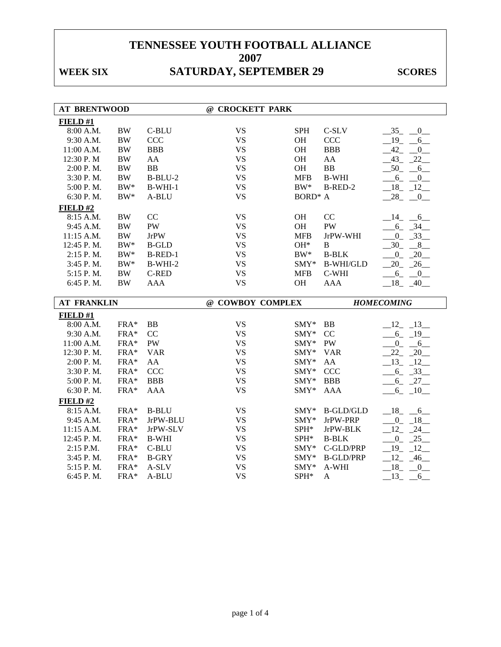## WEEK SIX SATURDAY, SEPTEMBER 29 SCORES

| <b>AT BRENTWOOD</b>    |              |                | @ CROCKETT PARK        |                            |                       |                                 |
|------------------------|--------------|----------------|------------------------|----------------------------|-----------------------|---------------------------------|
| FIELD#1                |              |                |                        |                            |                       |                                 |
| 8:00 A.M.              | <b>BW</b>    | C-BLU          | <b>VS</b>              | <b>SPH</b>                 | $C-SLV$               | $-35$ $-0$                      |
| 9:30 A.M.              | <b>BW</b>    | CCC            | <b>VS</b>              | OH                         | CCC                   | $-19$ -<br>6                    |
| 11:00 A.M.             | $\rm BW$     | <b>BBB</b>     | <b>VS</b>              | OH                         | <b>BBB</b>            | $-42$ $-$<br>$\overline{0}$     |
| 12:30 P.M              | $\rm BW$     | AA             | <b>VS</b>              | OH                         | AA                    | $-43$ $-22$                     |
| 2:00 P.M.              | $\rm BW$     | <b>BB</b>      | <b>VS</b>              | OH                         | B <sub>B</sub>        | $-50$ $-6$                      |
| 3:30 P.M.              | $\rm BW$     | $B-BLU-2$      | <b>VS</b>              | <b>MFB</b>                 | <b>B-WHI</b>          | $-6 - 0$                        |
| 5:00 P.M.              | $BW^*$       | $B-WHI-1$      | <b>VS</b>              | $BW^*$                     | B-RED-2               | $18 - 12$                       |
| 6:30 P.M.              | $\rm BW^*$   | A-BLU          | <b>VS</b>              | $\text{BORD}^*\; \text{A}$ |                       | 28<br>0                         |
| FIELD#2                |              |                |                        |                            |                       |                                 |
| 8:15 A.M.              | $\rm BW$     | CC             | <b>VS</b>              | OH                         | CC                    | $-14$ $-6$                      |
| 9:45 A.M.              | $\rm BW$     | <b>PW</b>      | <b>VS</b>              | OH                         | <b>PW</b>             | $6 - 34$                        |
| 11:15 A.M.             | $\rm BW$     | <b>JrPW</b>    | <b>VS</b>              | <b>MFB</b>                 | JrPW-WHI              | $0 - 33$                        |
| 12:45 P.M.             | $BW^*$       | <b>B-GLD</b>   | <b>VS</b>              | $OH*$                      | B                     | $-30 - 8$                       |
| 2:15 P.M.              | $\rm BW^*$   | B-RED-1        | <b>VS</b>              | $BW^*$                     | <b>B-BLK</b>          | $0 - 20$                        |
| 3:45 P.M.              | $\rm BW^*$   | $B-WHI-2$      | <b>VS</b>              | SMY*                       | <b>B-WHI/GLD</b>      | $20 - 26$                       |
| 5:15 P.M.              | $\rm BW$     | <b>C-RED</b>   | <b>VS</b>              | <b>MFB</b>                 | $C-WHI$               | $-6 - -0$                       |
| 6:45 P.M.              | <b>BW</b>    | <b>AAA</b>     | <b>VS</b>              | OH                         | <b>AAA</b>            | $18 - 40$                       |
|                        |              |                |                        |                            |                       |                                 |
|                        |              |                |                        |                            |                       |                                 |
| <b>AT FRANKLIN</b>     |              |                | @ COWBOY COMPLEX       |                            |                       | <b>HOMECOMING</b>               |
| FIELD #1               |              |                |                        |                            |                       |                                 |
| 8:00 A.M.              | FRA*         | <b>BB</b>      | <b>VS</b>              | $SMY^*$ BB                 |                       | $-12 - 13$                      |
| 9:30 A.M.              | FRA*         | CC             | <b>VS</b>              | SMY* CC                    |                       | $-6 - 19$                       |
| 11:00 A.M.             | FRA*         | <b>PW</b>      | <b>VS</b>              | SMY* PW                    |                       | $0 - 6$                         |
| 12:30 P.M.             | FRA*         | <b>VAR</b>     | <b>VS</b>              | SMY* VAR                   |                       | $-22 - 20$                      |
| 2:00 P.M.              | FRA*         | AA             | <b>VS</b>              | $SMY*$                     | AA                    | $-13$ $-12$                     |
| 3:30 P.M.              | FRA*         | <b>CCC</b>     | <b>VS</b>              | SMY*                       | <b>CCC</b>            | $-6 - 33$                       |
| 5:00 P.M.              | FRA*         | <b>BBB</b>     | <b>VS</b>              | SMY*                       | <b>BBB</b>            | $-6 - 27$                       |
| 6:30 P.M.              | FRA*         | <b>AAA</b>     | <b>VS</b>              | SMY*                       | <b>AAA</b>            | $-6 - 10$                       |
| FIELD#2                |              |                |                        |                            |                       |                                 |
| 8:15 A.M.              | FRA*         | <b>B-BLU</b>   | <b>VS</b>              | $SMY^*$                    | B-GLD/GLD             | $-18$ $-6$                      |
| 9:45 A.M.              | FRA*         | JrPW-BLU       | <b>VS</b>              | $SMY*$                     | JrPW-PRP              | $0\qquad 18$                    |
| 11:15 A.M.             | FRA*         | JrPW-SLV       | <b>VS</b>              | SPH*                       | JrPW-BLK              | $12 - 24$                       |
| 12:45 P.M.             | FRA*         | <b>B-WHI</b>   | <b>VS</b>              | SPH*                       | <b>B-BLK</b>          | $-0$ $-25$                      |
| 2:15 P.M.              | FRA*         | C-BLU          | <b>VS</b>              | SMY*                       | C-GLD/PRP             | $-19$ $-12$                     |
| 3:45 P.M.              | FRA*         | <b>B-GRY</b>   | <b>VS</b>              | $SMY*$                     | <b>B-GLD/PRP</b>      | $-12 - 46$                      |
| 5:15 P.M.<br>6:45 P.M. | FRA*<br>FRA* | A-SLV<br>A-BLU | <b>VS</b><br><b>VS</b> | $SMY*$<br>SPH*             | A-WHI<br>$\mathbf{A}$ | 18<br>$\overline{0}$<br>13<br>6 |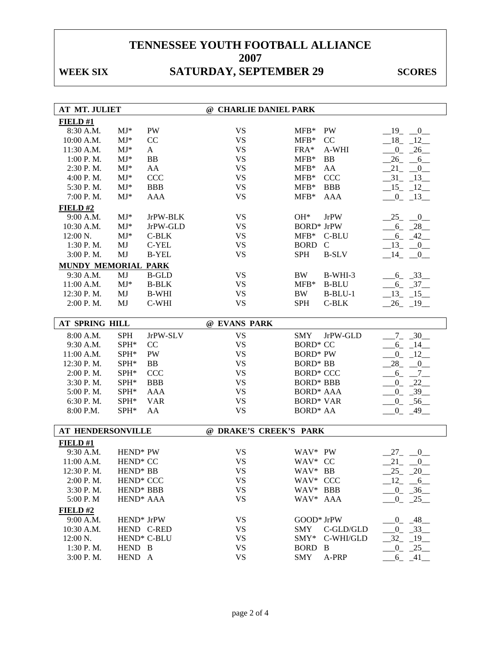# WEEK SIX SATURDAY, SEPTEMBER 29 SCORES

| <b>AT MT. JULIET</b> |                        |                         | @ CHARLIE DANIEL PARK  |                              |                                  |
|----------------------|------------------------|-------------------------|------------------------|------------------------------|----------------------------------|
| FIELD#1              |                        |                         |                        |                              |                                  |
| 8:30 A.M.            | $MJ^*$                 | PW                      | <b>VS</b>              | PW<br>$MFB*$                 | $-19$ $-0$                       |
| 10:00 A.M.           | $MJ*$                  | CC                      | <b>VS</b>              | $MFB*$<br>CC                 | $-18$ $-12$                      |
| 11:30 A.M.           | $MJ*$                  | A                       | <b>VS</b>              | FRA*<br>A-WHI                | $0 - 26$                         |
| 1:00 P.M.            | $MJ*$                  | <b>BB</b>               | <b>VS</b>              | <b>BB</b><br>$MFB*$          | $-26 - 6$                        |
| 2:30 P.M.            | $MJ*$                  | AA                      | <b>VS</b>              | $MFB*$<br>AA                 | $21 -$<br>$\overline{0}$         |
| 4:00 P.M.            | $MJ*$                  | <b>CCC</b>              | <b>VS</b>              | $MFB*$<br><b>CCC</b>         | $-31 - 13$                       |
| 5:30 P.M.            | $MJ*$                  | <b>BBB</b>              | <b>VS</b>              | <b>BBB</b><br>$MFB*$         | $-15 - 12$                       |
| 7:00 P.M.            | $MJ*$                  | <b>AAA</b>              | <b>VS</b>              | $MFB*$<br><b>AAA</b>         | $-0$ $-13$ $-$                   |
| FIELD#2              |                        |                         |                        |                              |                                  |
| 9:00 A.M.            | $MJ*$                  | JrPW-BLK                | <b>VS</b>              | $OH*$<br><b>JrPW</b>         | 25<br>$\overline{\phantom{0}}^0$ |
| 10:30 A.M.           | $MJ*$                  | JrPW-GLD                | <b>VS</b>              | <b>BORD*</b> JrPW            | $-6 - 28$                        |
| 12:00 N.             | $MJ*$                  | $C-BLK$                 | <b>VS</b>              | $MFB*$<br>C-BLU              | $-6 - 42$                        |
| $1:30$ P. M.         | MJ                     | C-YEL                   | <b>VS</b>              | <b>BORD</b><br>$\mathcal{C}$ | $-13$ $-0$                       |
| 3:00 P.M.            | MJ                     | <b>B-YEL</b>            | <b>VS</b>              | <b>SPH</b><br><b>B-SLV</b>   | $-14$ $-0$                       |
| MUNDY MEMORIAL PARK  |                        |                         |                        |                              |                                  |
| 9:30 A.M.            | MJ                     | <b>B-GLD</b>            | <b>VS</b>              | <b>BW</b><br>B-WHI-3         | $-6 - 33$                        |
| 11:00 A.M.           | $MJ*$                  | <b>B-BLK</b>            | <b>VS</b>              | <b>B-BLU</b><br>$MFB*$       | $-6 - 37$                        |
| 12:30 P.M.           | MJ                     | <b>B-WHI</b>            | <b>VS</b>              | $B-BLU-1$<br>BW              | $-13$ $-15$                      |
| 2:00 P.M.            | MJ                     | C-WHI                   | <b>VS</b>              | <b>SPH</b><br>C-BLK          | $-26$ $-19$                      |
|                      |                        |                         |                        |                              |                                  |
| AT SPRING HILL       |                        |                         | @ EVANS PARK           |                              |                                  |
| 8:00 A.M.            | <b>SPH</b>             | JrPW-SLV                | <b>VS</b>              | <b>SMY</b><br>JrPW-GLD       | $-7 - 30$                        |
| 9:30 A.M.            | SPH*                   | CC                      | <b>VS</b>              | <b>BORD* CC</b>              | $-6 - 14$                        |
| 11:00 A.M.           | SPH*                   | PW                      | <b>VS</b>              | <b>BORD* PW</b>              | $0 - 12$                         |
| 12:30 P.M.           | SPH*                   | <b>BB</b>               | <b>VS</b>              | <b>BORD* BB</b>              | $-28$ <sub>-</sub> $-0$          |
| 2:00 P.M.            | SPH*                   | <b>CCC</b>              | <b>VS</b>              | <b>BORD* CCC</b>             | $-6 - -7$                        |
| 3:30 P.M.            | SPH*                   | <b>BBB</b>              | <b>VS</b>              | <b>BORD* BBB</b>             | $0 - 22$                         |
| 5:00 P.M.            | SPH*                   | AAA                     | <b>VS</b>              | <b>BORD* AAA</b>             | $-0$ $-39$                       |
| 6:30 P.M.            | SPH*                   | <b>VAR</b>              | <b>VS</b>              | <b>BORD* VAR</b>             | $-0$ $-56$                       |
| 8:00 P.M.            | SPH*                   | AA                      | <b>VS</b>              | <b>BORD* AA</b>              | $-0$ $-49$ $-$                   |
|                      |                        |                         |                        |                              |                                  |
| AT HENDERSONVILLE    |                        |                         | @ DRAKE'S CREEK'S PARK |                              |                                  |
| FIELD#1              |                        |                         |                        |                              |                                  |
| 9:30 A.M.            | HEND* PW               |                         | <b>VS</b>              | WAV* PW                      | 27<br>$\sqrt{0}$                 |
| 11:00 A.M.           | HEND <sup>*</sup> CC   |                         | <b>VS</b>              | WAV* CC                      | 21<br>$_{-0}$                    |
| 12:30 P.M.           | HEND <sup>*</sup> BB   |                         | <b>VS</b>              | WAV* BB                      | $25 - 20$                        |
| 2:00 P.M.            | HEND <sup>*</sup> CCC  |                         | <b>VS</b>              | WAV* CCC                     | $-12$ $-6$                       |
| 3:30 P.M.            | HEND <sup>*</sup> BBB  |                         | <b>VS</b>              | WAV* BBB                     | $-0$ $-36$                       |
| 5:00 P.M             | HEND <sup>*</sup> AAA  |                         | <b>VS</b>              | WAV* AAA                     | $-0$ $-25$ $-$                   |
| FIELD#2              |                        |                         |                        |                              |                                  |
| 9:00 A.M.            | HEND <sup>*</sup> JrPW |                         | <b>VS</b>              | GOOD* JrPW                   | $-0$ $-48$ $-$                   |
| 10:30 A.M.           |                        | HEND C-RED              | <b>VS</b>              | SMY<br>C-GLD/GLD             | $-0$ $-33$                       |
| $12:00 N$ .          |                        | HEND <sup>*</sup> C-BLU | <b>VS</b>              | SMY*<br>C-WHI/GLD            | $-32 - 19$                       |
| 1:30 P.M.            | HEND B                 |                         | <b>VS</b>              | BORD B                       | $0 - 25$                         |
| 3:00 P.M.            | HEND A                 |                         | <b>VS</b>              | A-PRP<br><b>SMY</b>          | $-6 - 41$                        |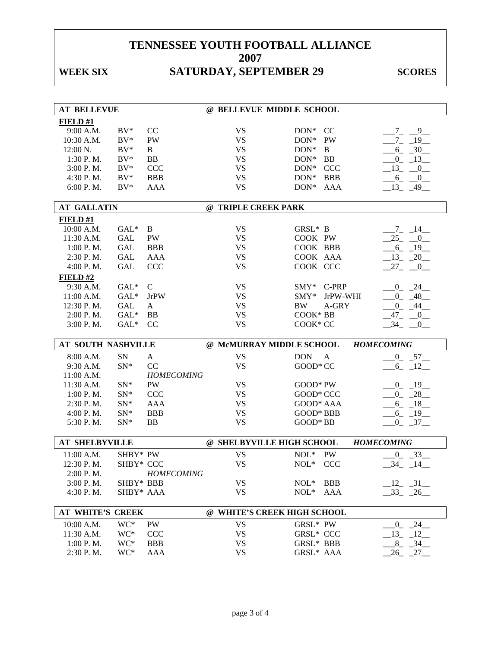## WEEK SIX SATURDAY, SEPTEMBER 29 SCORES

| <b>AT BELLEVUE</b>    |           |                   | @ BELLEVUE MIDDLE SCHOOL    |                                |                        |
|-----------------------|-----------|-------------------|-----------------------------|--------------------------------|------------------------|
| FIELD#1               |           |                   |                             |                                |                        |
| 9:00 A.M.             | $BV^*$    | CC                | <b>VS</b>                   | DON* CC                        | $-7 - -9$              |
| 10:30 A.M.            | $BV^*$    | PW                | <b>VS</b>                   | $DON*$<br>PW                   | $7_{-}$<br>$-19$       |
| 12:00 N.              | $BV^*$    | $\mathbf{B}$      | <b>VS</b>                   | DON*<br>$\mathbf{B}$           | $6 - 30$               |
| 1:30 P.M.             | $BV^*$    | <b>BB</b>         | <b>VS</b>                   | DON* BB                        | $0 - 13$               |
| 3:00 P.M.             | $BV^*$    | CCC               | <b>VS</b>                   | DON* CCC                       | $-13$ $-0$             |
| 4:30 P.M.             | $BV^*$    | <b>BBB</b>        | <b>VS</b>                   | $DON*$<br><b>BBB</b>           | $-6$ <sub>-</sub> $-0$ |
| 6:00 P.M.             | $BV^*$    | <b>AAA</b>        | <b>VS</b>                   | $DON*$<br>AAA                  | $13 - 49$              |
| <b>AT GALLATIN</b>    |           |                   | @ TRIPLE CREEK PARK         |                                |                        |
|                       |           |                   |                             |                                |                        |
| FIED#1                |           |                   |                             |                                |                        |
| 10:00 A.M.            | $GAL^*$   | B                 | <b>VS</b>                   | GRSL* B                        | $-7 - 14$              |
| 11:30 A.M.            | GAL       | PW                | <b>VS</b>                   | COOK PW                        | $-25$ $-0$             |
| 1:00 P.M.             | GAL       | <b>BBB</b>        | <b>VS</b>                   | COOK BBB                       | $-6 - 19$              |
| 2:30 P.M.             | GAL       | AAA               | <b>VS</b>                   | COOK AAA                       | $-13 - 20$             |
| 4:00 P.M.             | GAL       | CCC               | <b>VS</b>                   | COOK CCC                       | $27_{-}$<br>$-0$       |
| FIELD#2               |           |                   |                             |                                |                        |
| 9:30 A.M.             | $GAL^*$   | $\mathcal{C}$     | <b>VS</b>                   | SMY* C-PRP                     | $0 - 24$               |
| 11:00 A.M.            | $GAL^*$   | <b>JrPW</b>       | <b>VS</b>                   | $\text{SMY*}$<br>JrPW-WHI      | $0 - 48$               |
| 12:30 P.M.            | GAL       | $\mathbf{A}$      | <b>VS</b>                   | <b>BW</b><br>A-GRY             | $0 - 44$               |
| 2:00 P.M.             | $GAL^*$   | <b>BB</b>         | <b>VS</b>                   | COOK* BB                       | $-47$ $-0$ $-$         |
| 3:00 P.M.             | $GAL^*$   | <sub>CC</sub>     | <b>VS</b>                   | COOK* CC                       | $-34$ $-0$             |
|                       |           |                   |                             |                                |                        |
|                       |           |                   |                             |                                |                        |
| AT SOUTH NASHVILLE    |           |                   | @ McMURRAY MIDDLE SCHOOL    |                                | <b>HOMECOMING</b>      |
| 8:00 A.M.             | SN        | A                 | <b>VS</b>                   | <b>DON</b><br>$\mathbf{A}$     | $0 - 57$               |
| 9:30 A.M.             | $SN^*$    | CC                | <b>VS</b>                   | GOOD* CC                       | $6 - 12$               |
| 11:00 A.M.            |           | <b>HOMECOMING</b> |                             |                                |                        |
| 11:30 A.M.            | $SN^*$    | PW                | <b>VS</b>                   | GOOD* PW                       | $0 - 19$               |
| 1:00 P.M.             | $SN*$     | CCC               | <b>VS</b>                   | GOOD* CCC                      | $-0$ $-28$             |
| 2:30 P.M.             | $SN^*$    | AAA               | <b>VS</b>                   | GOOD* AAA                      | $-6 - 18$              |
| 4:00 P.M.             | $SN^*$    | <b>BBB</b>        | <b>VS</b>                   | GOOD* BBB                      | $-6 - 19$              |
| 5:30 P.M.             | $SN^*$    | <b>BB</b>         | <b>VS</b>                   | GOOD* BB                       | $0 - 37$               |
| <b>AT SHELBYVILLE</b> |           |                   | @ SHELBYVILLE HIGH SCHOOL   |                                | <b>HOMECOMING</b>      |
| 11:00 A.M.            |           |                   |                             | <b>PW</b>                      |                        |
|                       | SHBY* PW  |                   | <b>VS</b>                   | $NOL*$                         | $0 - 33$               |
| 12:30 P.M.            | SHBY* CCC |                   | <b>VS</b>                   | $NOL*$<br>CCC                  | 34<br>14               |
| 2:00 P.M.             | SHBY* BBB | <b>HOMECOMING</b> |                             |                                |                        |
| 3:00 P.M.             | SHBY* AAA |                   | VS<br><b>VS</b>             | $NOL*$<br><b>BBB</b><br>$NOL*$ | $12 - 31$              |
| 4:30 P.M.             |           |                   |                             | AAA                            | $-33 - 26$             |
| AT WHITE'S CREEK      |           |                   | @ WHITE'S CREEK HIGH SCHOOL |                                |                        |
| 10:00 A.M.            | WC*       | <b>PW</b>         | <b>VS</b>                   | GRSL* PW                       | $-0$ $-24$             |
| 11:30 A.M.            | WC*       | <b>CCC</b>        | <b>VS</b>                   | <b>GRSL* CCC</b>               | $-13$ $-12$            |
| 1:00 P.M.             | WC*       | <b>BBB</b>        | <b>VS</b>                   | GRSL* BBB                      | $8 - 34$               |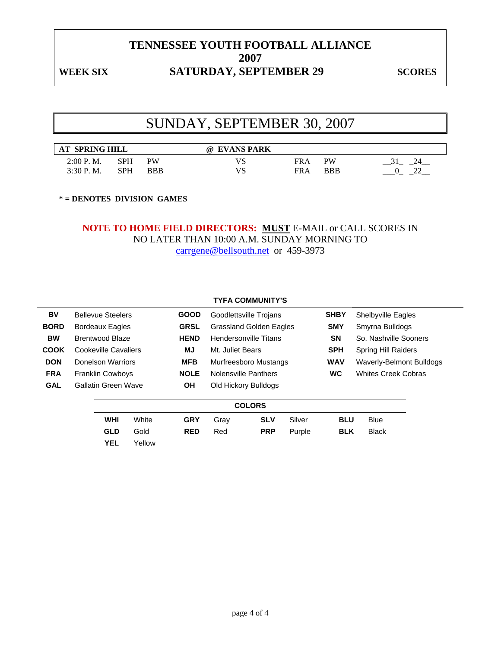### WEEK SIX SATURDAY, SEPTEMBER 29 SCORES

# SUNDAY, SEPTEMBER 30, 2007

| <b>SPRING HILL</b><br>$\bf AT$ |            |     | <b>EVANS PARK</b><br>ω |            |     |  |
|--------------------------------|------------|-----|------------------------|------------|-----|--|
| 2:00 P.<br>M.                  | SPH        | PW  | VS                     | <b>FRA</b> | PW  |  |
| 3:30P.<br>M.                   | <b>SPH</b> | BBB | VS                     | FRA        | BBB |  |

\* **= DENOTES DIVISION GAMES** 

### **NOTE TO HOME FIELD DIRECTORS: MUST** E-MAIL or CALL SCORES IN NO LATER THAN 10:00 A.M. SUNDAY MORNING TO carrgene@bellsouth.net or 459-3973

|             |                          |        |             |                  | <b>TYFA COMMUNITY'S</b>        |        |             |                                 |  |
|-------------|--------------------------|--------|-------------|------------------|--------------------------------|--------|-------------|---------------------------------|--|
| BV          | <b>Bellevue Steelers</b> |        | <b>GOOD</b> |                  | Goodlettsville Trojans         |        | <b>SHBY</b> | Shelbyville Eagles              |  |
| <b>BORD</b> | <b>Bordeaux Eagles</b>   |        | <b>GRSL</b> |                  | <b>Grassland Golden Eagles</b> |        | <b>SMY</b>  | Smyrna Bulldogs                 |  |
| <b>BW</b>   | <b>Brentwood Blaze</b>   |        | <b>HEND</b> |                  | <b>Hendersonville Titans</b>   |        | <b>SN</b>   | So. Nashville Sooners           |  |
| <b>COOK</b> | Cookeville Cavaliers     |        | MJ          | Mt. Juliet Bears |                                |        | <b>SPH</b>  | <b>Spring Hill Raiders</b>      |  |
| <b>DON</b>  | Donelson Warriors        |        | <b>MFB</b>  |                  | Murfreesboro Mustangs          |        | <b>WAV</b>  | <b>Waverly-Belmont Bulldogs</b> |  |
| <b>FRA</b>  | <b>Franklin Cowboys</b>  |        | <b>NOLE</b> |                  | <b>Nolensville Panthers</b>    |        | <b>WC</b>   | <b>Whites Creek Cobras</b>      |  |
| <b>GAL</b>  | Gallatin Green Wave      |        | <b>OH</b>   |                  | Old Hickory Bulldogs           |        |             |                                 |  |
|             |                          |        |             |                  | <b>COLORS</b>                  |        |             |                                 |  |
|             | <b>WHI</b>               | White  | <b>GRY</b>  | Gray             | <b>SLV</b>                     | Silver | <b>BLU</b>  | <b>Blue</b>                     |  |
|             | <b>GLD</b>               | Gold   | <b>RED</b>  | Red              | <b>PRP</b>                     | Purple | <b>BLK</b>  | <b>Black</b>                    |  |
|             | <b>YEL</b>               | Yellow |             |                  |                                |        |             |                                 |  |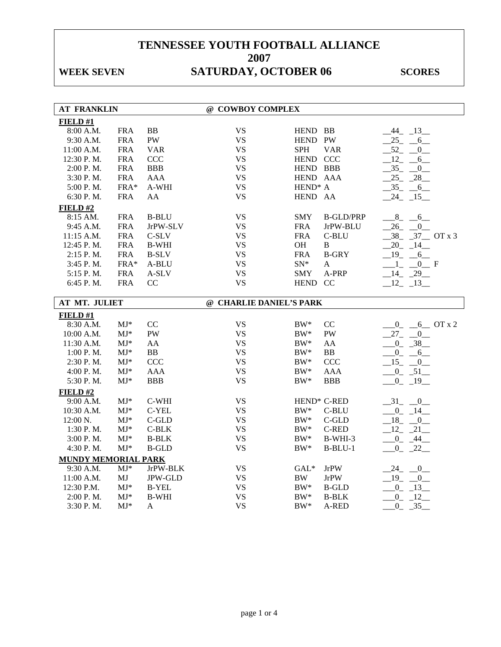# WEEK SEVEN SATURDAY, OCTOBER 06 SCORES

| <b>AT FRANKLIN</b>  |            |                | @ COWBOY COMPLEX        |                         |                  |                         |
|---------------------|------------|----------------|-------------------------|-------------------------|------------------|-------------------------|
| FIELD#1             |            |                |                         |                         |                  |                         |
| 8:00 A.M.           | <b>FRA</b> | BB             | <b>VS</b>               | HEND BB                 |                  | $-44$ $-13$             |
| 9:30 A.M.           | <b>FRA</b> | PW             | <b>VS</b>               | HEND PW                 |                  | $25 - 6$                |
| 11:00 A.M.          | <b>FRA</b> | <b>VAR</b>     | <b>VS</b>               | <b>SPH</b>              | <b>VAR</b>       | $-52 - 0$               |
| 12:30 P.M.          | <b>FRA</b> | <b>CCC</b>     | <b>VS</b>               | HEND CCC                |                  | $-12 - 6$               |
| 2:00 P.M.           | <b>FRA</b> | <b>BBB</b>     | <b>VS</b>               | HEND BBB                |                  | $-35 - 0$               |
| 3:30 P.M.           | <b>FRA</b> | <b>AAA</b>     | <b>VS</b>               | HEND AAA                |                  | $-25 - 28$              |
| 5:00 P.M.           | FRA*       | A-WHI          | <b>VS</b>               | HEND <sup>*</sup> A     |                  | $-35 - -6$              |
| 6:30 P.M.           | <b>FRA</b> | AA             | <b>VS</b>               | HEND AA                 |                  | $-24$ $-15$             |
| FIELD#2             |            |                |                         |                         |                  |                         |
| 8:15 AM.            | <b>FRA</b> | <b>B-BLU</b>   | <b>VS</b>               | <b>SMY</b>              | <b>B-GLD/PRP</b> | $8 - 6$                 |
| 9:45 A.M.           | <b>FRA</b> | JrPW-SLV       | <b>VS</b>               | <b>FRA</b>              | JrPW-BLU         | $-26$ $-0$              |
| 11:15 A.M.          | <b>FRA</b> | $C-SLV$        | <b>VS</b>               | <b>FRA</b>              | C-BLU            | $-38$ $-37$ OT x 3      |
| 12:45 P.M.          | <b>FRA</b> | <b>B-WHI</b>   | <b>VS</b>               | OH                      | $\bf{B}$         | $-20$ $-14$ $-$         |
| 2:15 P.M.           | <b>FRA</b> | <b>B-SLV</b>   | <b>VS</b>               | <b>FRA</b>              | <b>B-GRY</b>     | $19 - 6$                |
| 3:45 P.M.           | FRA*       | A-BLU          | <b>VS</b>               | $SN^*$                  | A                | $1 - 0$ F               |
| 5:15 P.M.           | <b>FRA</b> | A-SLV          | <b>VS</b>               | <b>SMY</b>              | A-PRP            | $-14$ $-29$             |
| 6:45 P.M.           | <b>FRA</b> | CC             | <b>VS</b>               | HEND CC                 |                  | $-12 - 13$              |
|                     |            |                |                         |                         |                  |                         |
| AT MT. JULIET       |            |                | @ CHARLIE DANIEL'S PARK |                         |                  |                         |
| FIELD#1             |            |                |                         |                         |                  |                         |
| 8:30 A.M.           | $MJ^*$     | CC             | <b>VS</b>               | $BW^*$                  | CC               | $0 - 6$ OT x 2          |
| 10:00 A.M.          | $MJ^*$     | PW             | <b>VS</b>               | $BW^*$                  | <b>PW</b>        | $27 - 0$                |
| 11:30 A.M.          | $MJ*$      | AA             | <b>VS</b>               | $BW^*$                  | AA               | $-0$ $-38$              |
| 1:00 P.M.           | $MJ*$      | ${\bf BB}$     | <b>VS</b>               | $BW^*$                  | ${\bf BB}$       | $0 - 6$                 |
| 2:30 P.M.           | $MJ^*$     | <b>CCC</b>     | <b>VS</b>               | $BW^*$                  | <b>CCC</b>       | $15 - 0$                |
| 4:00 P.M.           | $MJ*$      | <b>AAA</b>     | <b>VS</b>               | $BW^*$                  | <b>AAA</b>       | $-0$ $-51$              |
| 5:30 P.M.           | $MJ*$      | <b>BBB</b>     | <b>VS</b>               | $BW^*$                  | <b>BBB</b>       | $0 - 19$                |
| FIELD#2             |            |                |                         |                         |                  |                         |
| 9:00 A.M.           | $MJ*$      | C-WHI          | <b>VS</b>               | HEND <sup>*</sup> C-RED |                  | $-31$ $-0$              |
| 10:30 A.M.          | $MJ^*$     | C-YEL          | <b>VS</b>               | $BW^*$                  | C-BLU            | $-0$ $-14$              |
| 12:00 N.            | $MJ*$      | C-GLD          | <b>VS</b>               | $BW^*$                  | $C$ -GLD         | $-18$ <sub>-</sub> $-0$ |
| 1:30 P.M.           | $MJ*$      | $C-BLK$        | <b>VS</b>               | $BW^*$                  | <b>C-RED</b>     | $12 - 21$               |
| 3:00 P.M.           | $MJ^*$     | <b>B-BLK</b>   | <b>VS</b>               | $BW^*$                  | B-WHI-3          | $-0 - 44$               |
| 4:30 P.M.           | $MJ^*$     | <b>B-GLD</b>   | <b>VS</b>               | $BW^*$                  | $B-BLU-1$        | $-0$ $-22$ $-$          |
| MUNDY MEMORIAL PARK |            |                |                         |                         |                  |                         |
| 9:30 A.M.           | $MJ*$      | JrPW-BLK       | <b>VS</b>               | $GAL*$                  | <b>JrPW</b>      | $-24$ $-0$              |
| 11:00 A.M.          | MJ         | <b>JPW-GLD</b> | <b>VS</b>               | <b>BW</b>               | <b>JrPW</b>      | $19 - 0$                |
| 12:30 P.M.          | $MJ^*$     | <b>B-YEL</b>   | <b>VS</b>               | $BW^*$                  | <b>B-GLD</b>     | $0 - 13$                |
| 2:00 P.M.           | $MJ^*$     | <b>B-WHI</b>   | <b>VS</b>               | $BW^*$                  | <b>B-BLK</b>     | $-0$ $-12$              |
| 3:30 P.M.           | $MJ*$      | A              | <b>VS</b>               | $\rm BW^*$              | A-RED            | 35<br>$\overline{0}$    |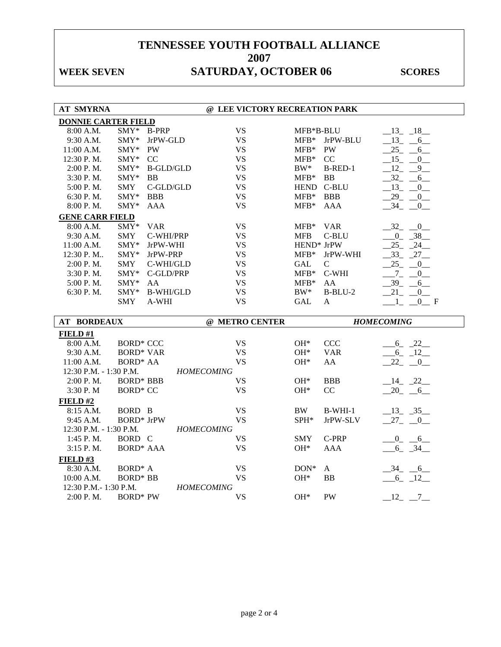# WEEK SEVEN SATURDAY, OCTOBER 06 SCORES

| <b>AT SMYRNA</b>                     |                     |                  | @ LEE VICTORY RECREATION PARK  |               |              |                                  |
|--------------------------------------|---------------------|------------------|--------------------------------|---------------|--------------|----------------------------------|
| <b>DONNIE CARTER FIELD</b>           |                     |                  |                                |               |              |                                  |
| 8:00 A.M.                            | $SMY*$              | <b>B-PRP</b>     | <b>VS</b>                      | MFB*B-BLU     |              | $-13 - 18$                       |
| 9:30 A.M.                            | SMY*                | JrPW-GLD         | <b>VS</b>                      | ${\rm MFB^*}$ | JrPW-BLU     | $13 - 6$                         |
| 11:00 A.M.                           | SMY*                | <b>PW</b>        | <b>VS</b>                      | $MFB*$        | PW           | $25 -$<br>6                      |
| 12:30 P.M.                           | $SMY*$              | CC               | <b>VS</b>                      | $MFB*$        | CC           | $-15$ $-$<br>$\mathbf{0}$        |
| 2:00 P.M.                            | $SMY*$              | <b>B-GLD/GLD</b> | <b>VS</b>                      | $BW^*$        | B-RED-1      | $-12$ -<br>9                     |
| 3:30 P.M.                            | SMY*                | <b>BB</b>        | <b>VS</b>                      | $MFB*$        | <b>BB</b>    | $32 - 6$                         |
| 5:00 P.M.                            | <b>SMY</b>          | C-GLD/GLD        | <b>VS</b>                      | <b>HEND</b>   | C-BLU        | $-13$ $-$<br>$\overline{0}$      |
| 6:30 P.M.                            | SMY*                | <b>BBB</b>       | <b>VS</b>                      | $MFB*$        | <b>BBB</b>   | $29 -$<br>$\overline{0}$         |
| 8:00 P.M.                            | $SMY*$              | <b>AAA</b>       | <b>VS</b>                      | $MFB*$        | <b>AAA</b>   | 34<br>$\overline{0}$             |
| <b>GENE CARR FIELD</b>               |                     |                  |                                |               |              |                                  |
| 8:00 A.M.                            | SMY*                | <b>VAR</b>       | <b>VS</b>                      | $MFB*$        | <b>VAR</b>   | $-32$<br>$\overline{\mathbf{0}}$ |
| 9:30 A.M.                            | <b>SMY</b>          | C-WHI/PRP        | <b>VS</b>                      | <b>MFB</b>    | C-BLU        | $0 - 38$                         |
| 11:00 A.M.                           | $SMY*$              | JrPW-WHI         | <b>VS</b>                      | HEND* JrPW    |              | $25 - 24$                        |
| 12:30 P.M                            | SMY*                | JrPW-PRP         | <b>VS</b>                      | $MFB*$        | JrPW-WHI     | $-33$ $-27$                      |
| 2:00 P.M.                            | <b>SMY</b>          | C-WHI/GLD        | <b>VS</b>                      | <b>GAL</b>    | $\mathbf C$  | 25<br>$\mathbf{0}$               |
| 3:30 P.M.                            | $SMY*$              | C-GLD/PRP        | <b>VS</b>                      | $MFB*$        | C-WHI        | $-7 - -$<br>$\overline{0}$       |
| 5:00 P.M.                            | SMY*                | AA               | <b>VS</b>                      | $MFB*$        | AA           | $-39 - -6$                       |
| 6:30 P.M.                            | SMY*                | <b>B-WHI/GLD</b> | <b>VS</b>                      | $BW^*$        | $B-BLU-2$    | 21<br>$-0$                       |
|                                      | <b>SMY</b>          | A-WHI            | <b>VS</b>                      | <b>GAL</b>    | $\mathbf{A}$ | 0 F                              |
|                                      |                     |                  |                                |               |              |                                  |
|                                      |                     |                  |                                |               |              |                                  |
| <b>AT BORDEAUX</b>                   |                     |                  | @ METRO CENTER                 |               |              | <b>HOMECOMING</b>                |
| FIELD #1                             |                     |                  |                                |               |              |                                  |
| 8:00 A.M.                            | <b>BORD* CCC</b>    |                  | <b>VS</b>                      | $OH*$         | <b>CCC</b>   | $-6 - 22$                        |
| 9:30 A.M.                            | <b>BORD* VAR</b>    |                  | <b>VS</b>                      | $OH*$         | <b>VAR</b>   | $-6 - 12$                        |
| 11:00 A.M.<br>12:30 P.M. - 1:30 P.M. | <b>BORD* AA</b>     |                  | <b>VS</b><br><b>HOMECOMING</b> | $OH*$         | AA           | $-22$ $-0$                       |
| 2:00 P.M.                            | <b>BORD* BBB</b>    |                  | <b>VS</b>                      | $OH*$         | <b>BBB</b>   |                                  |
| 3:30 P.M                             | <b>BORD* CC</b>     |                  | <b>VS</b>                      | $OH*$         | CC           | $-14$ $-22$<br>$-20 - 6$         |
| FIELD#2                              |                     |                  |                                |               |              |                                  |
| 8:15 A.M.                            | BORD B              |                  | <b>VS</b>                      | <b>BW</b>     | $B-WHI-1$    | $-13$ $-35$                      |
| 9:45 A.M.                            | <b>BORD*</b> JrPW   |                  | <b>VS</b>                      | SPH*          | JrPW-SLV     | $-27$ $-0$                       |
| 12:30 P.M. - 1:30 P.M.               |                     |                  | <b>HOMECOMING</b>              |               |              |                                  |
| 1:45 P.M.                            | BORD C              |                  | <b>VS</b>                      | SMY           | C-PRP        | $-0$ $-6$                        |
| 3:15 P.M.                            | <b>BORD* AAA</b>    |                  | <b>VS</b>                      | $OH*$         | <b>AAA</b>   | $6 - 34$                         |
| FIELD#3                              |                     |                  |                                |               |              |                                  |
| 8:30 A.M.                            | BORD <sup>*</sup> A |                  | <b>VS</b>                      | $DOM*$        | A            | $-34 - 6$                        |
| 10:00 A.M.                           | <b>BORD* BB</b>     |                  | <b>VS</b>                      | OH*           | <b>BB</b>    | $-6$ $-12$                       |
| 12:30 P.M.-1:30 P.M.<br>2:00 P.M.    | <b>BORD*</b> PW     |                  | <b>HOMECOMING</b><br><b>VS</b> | $OH*$         | <b>PW</b>    | $-12 - -7$                       |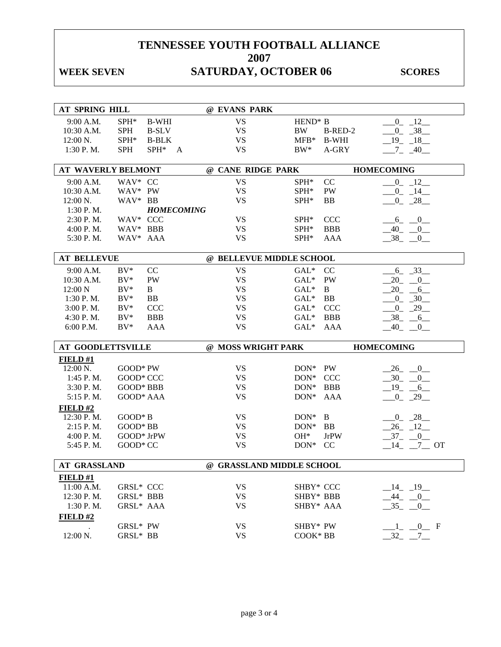# WEEK SEVEN SATURDAY, OCTOBER 06 SCORES

| AT SPRING HILL            |                      |              |                   | @ EVANS PARK              |                      |              |                                   |
|---------------------------|----------------------|--------------|-------------------|---------------------------|----------------------|--------------|-----------------------------------|
| 9:00 A.M.                 | SPH*                 | <b>B-WHI</b> |                   | <b>VS</b>                 | HEND <sup>*</sup> B  |              | $-0$ $-12$                        |
| 10:30 A.M.                | <b>SPH</b>           | <b>B-SLV</b> |                   | <b>VS</b>                 | <b>BW</b>            | B-RED-2      | $-0$ $-38$                        |
| 12:00 N.                  | SPH*                 | <b>B-BLK</b> |                   | <b>VS</b>                 | ${\rm MFB^*}$        | <b>B-WHI</b> | $19 - 18$                         |
| $1:30$ P.M.               | <b>SPH</b>           | $SPH^*$      | A                 | <b>VS</b>                 | $BW^*$               | A-GRY        | $7 - 40$                          |
|                           |                      |              |                   |                           |                      |              |                                   |
| <b>AT WAVERLY BELMONT</b> |                      |              |                   | @ CANE RIDGE PARK         |                      |              | <b>HOMECOMING</b>                 |
| 9:00 A.M.                 | WAV* CC              |              |                   | <b>VS</b>                 | $SPH*$               | CC           | $-0$ $-12$ $-$                    |
| 10:30 A.M.                | WAV* PW              |              |                   | <b>VS</b>                 | $SPH^*$              | PW           | $-0$ $-14$ $-$                    |
| $12:00 N$ .               | WAV* BB              |              |                   | <b>VS</b>                 | $SPH*$               | <b>BB</b>    | $0 - 28$                          |
| 1:30 P.M.                 |                      |              | <b>HOMECOMING</b> |                           |                      |              |                                   |
| 2:30 P.M.                 | WAV* CCC             |              |                   | <b>VS</b>                 | SPH <sup>*</sup>     | <b>CCC</b>   | $-6 - 0$                          |
| 4:00 P.M.                 | WAV* BBB             |              |                   | <b>VS</b>                 | SPH*                 | <b>BBB</b>   | $-40$ -<br>$\overline{0}$         |
| 5:30 P.M.                 | WAV* AAA             |              |                   | <b>VS</b>                 | SPH*                 | AAA          | $-38$ <sub>-</sub> -<br>$_{0}$    |
|                           |                      |              |                   |                           |                      |              |                                   |
| <b>AT BELLEVUE</b>        |                      |              |                   | @ BELLEVUE MIDDLE SCHOOL  |                      |              |                                   |
| 9:00 A.M.                 | $BV^*$               | CC           |                   | <b>VS</b>                 | $GAL*$               | CC           | $-6 - 33$                         |
| 10:30 A.M.                | $BV^*$               | <b>PW</b>    |                   | <b>VS</b>                 | $GAL*$               | PW           | $-20 - 0$                         |
| 12:00 N                   | $BV^*$               | B            |                   | <b>VS</b>                 | $GAL^*$              | B            | $-20 - 6$                         |
| 1:30 P.M.                 | $BV^*$               | <b>BB</b>    |                   | <b>VS</b>                 | $GAL^*$              | BB           | $-0$ $-30$                        |
| 3:00 P. M.                | $BV^*$               | CCC          |                   | <b>VS</b>                 | $GAL^*$              | <b>CCC</b>   | $-0$ $-29$                        |
| 4:30 P.M.                 | $BV^*$               | <b>BBB</b>   |                   | <b>VS</b>                 | $GAL^*$              | <b>BBB</b>   | $-38$ $-6$                        |
|                           |                      |              |                   |                           |                      |              |                                   |
| 6:00 P.M.                 | $BV^*$               | <b>AAA</b>   |                   | <b>VS</b>                 | $GAL*$               | <b>AAA</b>   | $-40$<br>$\bf{0}$                 |
|                           |                      |              |                   |                           |                      |              |                                   |
| <b>AT GOODLETTSVILLE</b>  |                      |              |                   | @ MOSS WRIGHT PARK        |                      |              | <b>HOMECOMING</b>                 |
| $FIED$ #1                 |                      |              |                   |                           |                      |              |                                   |
| $12:00 \text{ N.}$        | $GOOD*PW$            |              |                   | <b>VS</b>                 | DON* PW              |              | $-26$ $-0$                        |
| 1:45 P.M.                 | GOOD* CCC            |              |                   | <b>VS</b>                 | $DOM^*$              | <b>CCC</b>   | $-30$ $-0$                        |
| 3:30 P.M.                 | GOOD* BBB            |              |                   | <b>VS</b>                 | $DON^*$              | <b>BBB</b>   | $-19$ $-6$                        |
| 5:15 P.M.                 | GOOD* AAA            |              |                   | <b>VS</b>                 | $DON^*$              | AAA          | $-0$ $-29$ $-$                    |
| FIELD#2                   |                      |              |                   |                           |                      |              |                                   |
| 12:30 P.M.                | $GOOD * B$           |              |                   | <b>VS</b>                 | $DON^*$              | B            | $-0$ $-28$                        |
| $2:15$ P.M.               | GOOD* BB             |              |                   | <b>VS</b>                 | $DON^*$              | BB           | $-26$ $-12$                       |
| 4:00 P. M.                | GOOD* JrPW           |              |                   | <b>VS</b>                 | $OH*$                | <b>JrPW</b>  | $-37 - 0$                         |
| 5:45 P.M.                 | GOOD* CC             |              |                   | <b>VS</b>                 | $DON^*$              | CC           | $-14$ $-7$ OT                     |
|                           |                      |              |                   |                           |                      |              |                                   |
| <b>AT GRASSLAND</b>       |                      |              |                   | @ GRASSLAND MIDDLE SCHOOL |                      |              |                                   |
| FIELD#1                   |                      |              |                   |                           |                      |              |                                   |
| 11:00 A.M.                | GRSL* CCC            |              |                   | <b>VS</b>                 | SHBY* CCC            |              | $-14$ $-19$                       |
| 12:30 P.M.                | GRSL* BBB            |              |                   | <b>VS</b>                 | SHBY* BBB            |              | $-44$ $-0$                        |
| 1:30 P.M.                 | GRSL* AAA            |              |                   | <b>VS</b>                 | SHBY* AAA            |              | $-35$<br>$\overline{0}$           |
| FIELD#2                   |                      |              |                   |                           |                      |              |                                   |
| 12:00 N.                  | GRSL* PW<br>GRSL* BB |              |                   | <b>VS</b><br><b>VS</b>    | SHBY* PW<br>COOK* BB |              | $0$ F<br>$-32$<br>$7\overline{ }$ |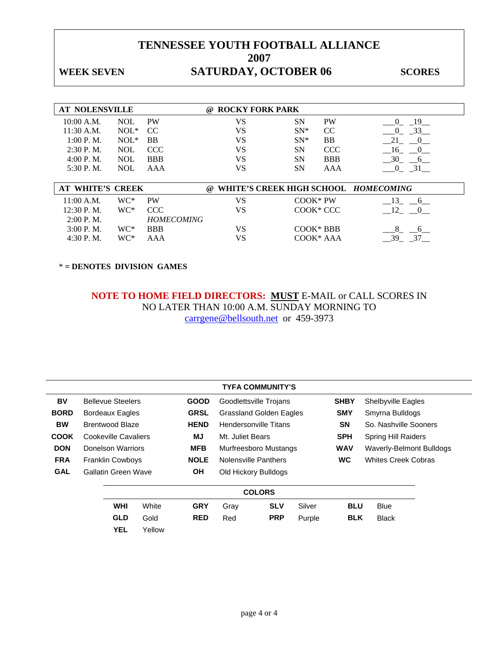### WEEK SEVEN SATURDAY, OCTOBER 06 SCORES

| <b>AT NOLENSVILLE</b> |            |                   | <b>ROCKY FORK PARK</b><br>$\omega$ |            |               |                                      |
|-----------------------|------------|-------------------|------------------------------------|------------|---------------|--------------------------------------|
| 10:00 A.M.            | <b>NOL</b> | <b>PW</b>         | VS                                 | <b>SN</b>  | <b>PW</b>     | - 19<br>$\theta$                     |
| $11:30$ A.M.          | $NOL*$     | CC.               | VS                                 | $SN^*$     | <sub>CC</sub> | 33<br>$\Omega$                       |
| 1:00 P. M.            | $NOL*$     | <b>BB</b>         | VS                                 | $SN^*$     | BB            | 21<br>0                              |
| $2:30$ P.M.           | <b>NOL</b> | <b>CCC</b>        | VS                                 | <b>SN</b>  | <b>CCC</b>    | - 16<br>$\Omega$                     |
| 4:00 P. M.            | <b>NOL</b> | <b>BBB</b>        | VS                                 | <b>SN</b>  | <b>BBB</b>    | 30<br>$\sigma$                       |
| 5:30 P.M.             | <b>NOL</b> | AAA               | VS                                 | <b>SN</b>  | AAA           | 31<br>$\bf{0}$                       |
|                       |            |                   |                                    |            |               |                                      |
| AT WHITE'S CREEK      |            |                   | $\omega$                           |            |               | WHITE'S CREEK HIGH SCHOOL HOMECOMING |
| 11:00 A.M.            | WC*        | <b>PW</b>         | VS                                 | $COOK*PW$  |               | - 13<br>6 <sup>6</sup>               |
| $12:30$ P.M.          | WC*        | <b>CCC</b>        | VS                                 |            | COOK* CCC     | 12<br>0                              |
| $2:00$ P.M.           |            | <b>HOMECOMING</b> |                                    |            |               |                                      |
| $3:00$ P.M.           | WC*        | <b>BBB</b>        | VS                                 | $COOK*BBB$ |               | 8<br>6                               |
| 4:30 P.M.             | WC*        | AAA               | VS                                 |            | COOK* AAA     | $-39$<br>37                          |

\* **= DENOTES DIVISION GAMES** 

**NOTE TO HOME FIELD DIRECTORS: MUST** E-MAIL or CALL SCORES IN NO LATER THAN 10:00 A.M. SUNDAY MORNING TO carrgene@bellsouth.net or 459-3973

|             |                          |             | <b>TYFA COMMUNITY'S</b>        |             |                            |
|-------------|--------------------------|-------------|--------------------------------|-------------|----------------------------|
| BV          | <b>Bellevue Steelers</b> | <b>GOOD</b> | Goodlettsville Trojans         | <b>SHBY</b> | Shelbyville Eagles         |
| <b>BORD</b> | <b>Bordeaux Eagles</b>   | <b>GRSL</b> | <b>Grassland Golden Eagles</b> | <b>SMY</b>  | Smyrna Bulldogs            |
| <b>BW</b>   | <b>Brentwood Blaze</b>   | <b>HEND</b> | <b>Hendersonville Titans</b>   | SΝ          | So. Nashville Sooners      |
| <b>COOK</b> | Cookeville Cavaliers     | MJ          | Mt. Juliet Bears               | <b>SPH</b>  | <b>Spring Hill Raiders</b> |
| <b>DON</b>  | Donelson Warriors        | <b>MFB</b>  | Murfreesboro Mustangs          | <b>WAV</b>  | Waverly-Belmont Bulldogs   |
| <b>FRA</b>  | <b>Franklin Cowboys</b>  | <b>NOLE</b> | Nolensville Panthers           | <b>WC</b>   | <b>Whites Creek Cobras</b> |
| <b>GAL</b>  | Gallatin Green Wave      | OН          | Old Hickory Bulldogs           |             |                            |
|             |                          |             |                                |             |                            |

|            | <b>COLORS</b> |            |      |            |        |            |              |  |  |  |  |
|------------|---------------|------------|------|------------|--------|------------|--------------|--|--|--|--|
| <b>WHI</b> | White         | <b>GRY</b> | Grav | <b>SLV</b> | Silver | <b>BLU</b> | <b>Blue</b>  |  |  |  |  |
| <b>GLD</b> | Gold          | <b>RED</b> | Red  | <b>PRP</b> | Purple | <b>BLK</b> | <b>Black</b> |  |  |  |  |
| <b>YEL</b> | Yellow        |            |      |            |        |            |              |  |  |  |  |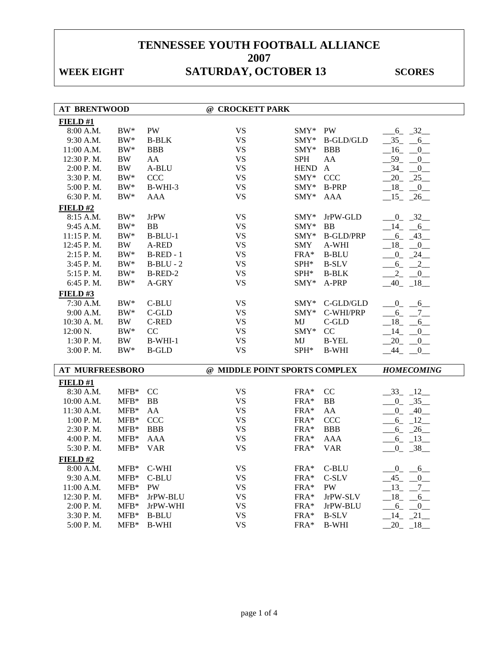# WEEK EIGHT **SATURDAY, OCTOBER 13** SCORES

| <b>AT BRENTWOOD</b>    |            |               | @ CROCKETT PARK               |               |                  |                            |
|------------------------|------------|---------------|-------------------------------|---------------|------------------|----------------------------|
| FIELD#1                |            |               |                               |               |                  |                            |
| 8:00 A.M.              | $\rm BW^*$ | PW            | <b>VS</b>                     | $\text{SMY*}$ | <b>PW</b>        | $-6 - 32$                  |
| 9:30 A.M.              | $BW^*$     | <b>B-BLK</b>  | <b>VS</b>                     | SMY*          | <b>B-GLD/GLD</b> | $35 - 6$                   |
| 11:00 A.M.             | $BW^*$     | <b>BBB</b>    | <b>VS</b>                     | SMY*          | <b>BBB</b>       | $16$ $-$<br>$\overline{0}$ |
| 12:30 P.M.             | <b>BW</b>  | AA            | <b>VS</b>                     | <b>SPH</b>    | AA               | $-59$ $-0$                 |
| 2:00 P.M.              | $\rm BW$   | A-BLU         | <b>VS</b>                     | <b>HEND</b>   | $\mathbf{A}$     | $-34$ -<br>$\overline{0}$  |
| 3:30 P.M.              | $\rm BW^*$ | <b>CCC</b>    | <b>VS</b>                     | SMY*          | <b>CCC</b>       | $20 - 25$                  |
| 5:00 P.M.              | $\rm BW^*$ | B-WHI-3       | <b>VS</b>                     | SMY*          | <b>B-PRP</b>     | $18 - 0$                   |
| 6:30 P.M.              | $BW^*$     | AAA           | <b>VS</b>                     | SMY*          | <b>AAA</b>       | $-15$ $-26$                |
| FIELD#2                |            |               |                               |               |                  |                            |
| 8:15 A.M.              | $BW^*$     | <b>JrPW</b>   | <b>VS</b>                     | SMY*          | JrPW-GLD         | $-0$ $-32$ $-$             |
| 9:45 A.M.              | $BW^*$     | BB            | <b>VS</b>                     | $SMY*$        | BB               | $-14$ $-6$                 |
| 11:15 P.M.             | $\rm BW^*$ | $B-BLU-1$     | <b>VS</b>                     | SMY*          | <b>B-GLD/PRP</b> | $-6 - 43$                  |
| 12:45 P.M.             | BW         | A-RED         | <b>VS</b>                     | SMY           | A-WHI            | $-18$ $-0$                 |
| 2:15 P.M.              | $\rm BW^*$ | $B-RED-1$     | <b>VS</b>                     | FRA*          | <b>B-BLU</b>     | $-0$ $-24$                 |
| $3:45$ P.M.            | $\rm BW^*$ | $B-BLU - 2$   | <b>VS</b>                     | SPH*          | <b>B-SLV</b>     | $6 - 2$                    |
| 5:15 P.M.              | $\rm BW^*$ | B-RED-2       | <b>VS</b>                     | SPH*          | <b>B-BLK</b>     | 2<br>0                     |
| 6:45 P.M.              | $\rm BW^*$ | A-GRY         | <b>VS</b>                     | SMY*          | A-PRP            | $-40$ $-18$                |
| FIELD#3                |            |               |                               |               |                  |                            |
| $7:30$ A.M.            | $BW^*$     | C-BLU         | <b>VS</b>                     | $\text{SMY*}$ | C-GLD/GLD        | $0 \qquad 6$               |
| 9:00 A.M.              | $BW^*$     | C-GLD         | <b>VS</b>                     | $\text{SMY*}$ | C-WHI/PRP        | $-6 - 7$                   |
| 10:30 A.M.             | BW         | C-RED         | <b>VS</b>                     | MJ            | C-GLD            | $-18$ <sub>-</sub> $-6$    |
| 12:00 N.               | $\rm BW^*$ | CC            | <b>VS</b>                     | SMY*          | CC               | 14<br>$\mathbf{0}$         |
| $1:30$ P. M.           | BW         | $B-WHI-1$     | <b>VS</b>                     | MJ            | <b>B-YEL</b>     | $20 -$<br>$\overline{0}$   |
| 3:00 P.M.              | $\rm BW^*$ | <b>B-GLD</b>  | <b>VS</b>                     | SPH*          | <b>B-WHI</b>     | $-44$<br>$-0$              |
|                        |            |               |                               |               |                  |                            |
| <b>AT MURFREESBORO</b> |            |               | @ MIDDLE POINT SPORTS COMPLEX |               |                  | <b>HOMECOMING</b>          |
| FIELD#1                |            |               |                               |               |                  |                            |
| 8:30 A.M.              | $MFB*$     | <sub>CC</sub> | <b>VS</b>                     | FRA*          | CC               | $-33 - 12$                 |
| 10:00 A.M.             | $MFB*$     | <b>BB</b>     | <b>VS</b>                     | $FRA*$        | <b>BB</b>        | $0 - 35$                   |
| 11:30 A.M.             | $MFB*$     | AA            | <b>VS</b>                     | FRA*          | AA               | $0 - 40$                   |
| $1:00$ P. M.           | $MFB*$     | <b>CCC</b>    | <b>VS</b>                     | $FRA*$        | <b>CCC</b>       | $-6 - 12$                  |
| $2:30$ P.M.            | $MFB*$     | <b>BBB</b>    | <b>VS</b>                     | FRA*          | <b>BBB</b>       | $-6 - 26$                  |
| 4:00 P.M.              | $MFB*$     | AAA           | <b>VS</b>                     | FRA*          | AAA              | $6 - 13$                   |
| 5:30 P.M.              | $MFB*$     | <b>VAR</b>    | <b>VS</b>                     | FRA*          | <b>VAR</b>       | $0 - 38$                   |
| FIELD#2                |            |               |                               |               |                  |                            |
| 8:00 A.M.              | $MFB*$     | C-WHI         | VS.                           | $FRA*$        | C-BLU            | $_{0}$<br>$-6$             |
| 9:30 A.M.              | $MFB*$     | C-BLU         | <b>VS</b>                     | $FRA*$        | C-SLV            | $-45$ $-$<br>$\mathbf{0}$  |
| 11:00 A.M.             | $MFB*$     | PW            | <b>VS</b>                     | $FRA*$        | PW               | $-13 - -7$                 |
| 12:30 P.M.             | $MFB*$     | JrPW-BLU      | <b>VS</b>                     | FRA*          | JrPW-SLV         | $-18$ -<br>6               |
| 2:00 P.M.              | $MFB*$     | JrPW-WHI      | <b>VS</b>                     | FRA*          | JrPW-BLU         | $-6$<br>$\overline{0}$     |
| 3:30 P.M.              | $MFB*$     | <b>B-BLU</b>  | <b>VS</b>                     | FRA*          | <b>B-SLV</b>     | $-14$ $-21$                |
| 5:00 P.M.              | $MFB*$     | <b>B-WHI</b>  | <b>VS</b>                     | FRA*          | <b>B-WHI</b>     | 20<br>18                   |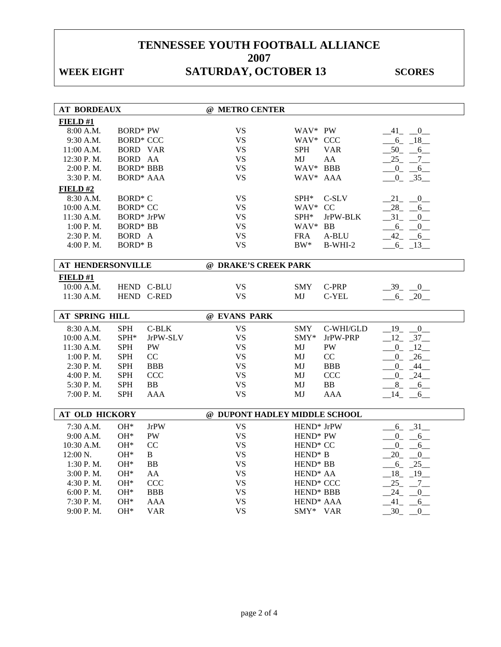## WEEK EIGHT **SATURDAY, OCTOBER 13** SCORES

| <b>AT BORDEAUX</b>       |                     |                   | @ METRO CENTER                |                                   |                        |                                 |
|--------------------------|---------------------|-------------------|-------------------------------|-----------------------------------|------------------------|---------------------------------|
| FIELD#1                  |                     |                   |                               |                                   |                        |                                 |
| 8:00 A.M.                | <b>BORD* PW</b>     |                   | <b>VS</b>                     | WAV* PW                           |                        | $-41$ $-0$                      |
| 9:30 A.M.                | <b>BORD* CCC</b>    |                   | <b>VS</b>                     | WAV* CCC                          |                        | $-6 - 18$                       |
| 11:00 A.M.               | <b>BORD VAR</b>     |                   | <b>VS</b>                     | <b>SPH</b>                        | <b>VAR</b>             | $-50 - -6$                      |
| 12:30 P.M.               | BORD AA             |                   | <b>VS</b>                     | МJ                                | AA                     | 25<br>$-7$                      |
| 2:00 P.M.                | <b>BORD* BBB</b>    |                   | <b>VS</b>                     | WAV* BBB                          |                        | $0$ <sub>-</sub><br>6           |
| 3:30 P.M.                | <b>BORD* AAA</b>    |                   | <b>VS</b>                     | WAV* AAA                          |                        | $0 - 35$                        |
| FIELD #2                 |                     |                   |                               |                                   |                        |                                 |
| 8:30 A.M.                | BORD <sup>*</sup> C |                   | <b>VS</b>                     | SPH*                              | C-SLV                  | $21 - 0$                        |
| 10:00 A.M.               | <b>BORD* CC</b>     |                   | <b>VS</b>                     | WAV* CC                           |                        | 28 6                            |
| 11:30 A.M.               | <b>BORD*</b> JrPW   |                   | <b>VS</b>                     | $SPH^*$                           | JrPW-BLK               | $-31$ $-0$                      |
| 1:00 P. M.               | <b>BORD*</b> BB     |                   | <b>VS</b>                     | WAV* BB                           |                        | $-6$ <sub>-</sub> $-0$          |
| 2:30 P.M.                | BORD A              |                   | <b>VS</b>                     | FRA                               | A-BLU                  | 42 6                            |
| 4:00 P.M.                | <b>BORD*</b> B      |                   | <b>VS</b>                     | $\rm BW^*$                        | $B-WHI-2$              | $-6 - 13$                       |
|                          |                     |                   |                               |                                   |                        |                                 |
| <b>AT HENDERSONVILLE</b> |                     |                   | @ DRAKE'S CREEK PARK          |                                   |                        |                                 |
| FIELD#1                  |                     |                   |                               |                                   |                        |                                 |
| $10:00$ A.M.             |                     | HEND C-BLU        | <b>VS</b>                     | <b>SMY</b>                        | C-PRP                  | $-39$ $-0$                      |
| 11:30 A.M.               |                     | HEND C-RED        | <b>VS</b>                     | MJ                                | C-YEL                  | $-6 - 20$                       |
|                          |                     |                   |                               |                                   |                        |                                 |
|                          |                     |                   |                               |                                   |                        |                                 |
| AT SPRING HILL           |                     |                   | @ EVANS PARK                  |                                   |                        |                                 |
| 8:30 A.M.                | <b>SPH</b>          | $C-BLK$           | <b>VS</b>                     | <b>SMY</b>                        | C-WHI/GLD              | $19 - 0$                        |
| 10:00 A.M.               | SPH*                | JrPW-SLV          | <b>VS</b>                     | $SMY^*$                           | JrPW-PRP               | $-12 - 37$                      |
| 11:30 A.M.               | <b>SPH</b>          | PW                | <b>VS</b>                     | MJ                                | $\mathbf{P}\mathbf{W}$ | $0 - 12$                        |
| 1:00 P.M.                | <b>SPH</b>          | CC                | <b>VS</b>                     | MJ                                | CC                     | $0 - 26$                        |
| $2:30$ P.M.              | <b>SPH</b>          | <b>BBB</b>        | <b>VS</b>                     | MJ                                | <b>BBB</b>             | $0 - 44$                        |
| 4:00 P. M.               | <b>SPH</b>          | <b>CCC</b>        | <b>VS</b>                     | MJ                                | <b>CCC</b>             | $-0$ $-24$ $-$                  |
| 5:30 P.M.                | <b>SPH</b>          | <b>BB</b>         | <b>VS</b>                     | MJ                                | ${\bf BB}$             | 8<br>$6\overline{6}$            |
| 7:00 P.M.                | <b>SPH</b>          | <b>AAA</b>        | <b>VS</b>                     | MJ                                | <b>AAA</b>             | $14 - 6$                        |
|                          |                     |                   |                               |                                   |                        |                                 |
| <b>AT OLD HICKORY</b>    |                     |                   | @ DUPONT HADLEY MIDDLE SCHOOL |                                   |                        |                                 |
| 7:30 A.M.                | $OH*$               | <b>JrPW</b>       | <b>VS</b>                     | HEND <sup>*</sup> JrPW            |                        | $-6 - 31$                       |
| 9:00 A.M.                | $OH*$               | <b>PW</b>         | <b>VS</b>                     | HEND* PW                          |                        | $0 - 6$                         |
| 10:30 A.M.               | OH*                 | CC                | <b>VS</b>                     | HEND <sup>*</sup> CC              |                        | $\overline{0}$<br>6             |
| 12:00 N.                 | $OH*$               | B                 | <b>VS</b>                     | HEND <sup>*</sup> B               |                        | 20<br>$\mathbf{0}$              |
| $1:30$ P.M.              | $OH*$               | ${\bf BB}$        | <b>VS</b>                     | HEND <sup>*</sup> BB              |                        | $-6 - 25$                       |
| 3:00 P. M.               | $OH*$               | AA                | <b>VS</b>                     | HEND <sup>*</sup> AA              |                        | 18 19                           |
| 4:30 P.M.                | $OH*$               | <b>CCC</b>        | <b>VS</b>                     | HEND <sup>*</sup> CCC             |                        | $25 - 7$                        |
| 6:00 P.M.                | OH*                 | <b>BBB</b>        | <b>VS</b>                     | HEND* BBB                         |                        | $24 -$<br>$\overline{0}$        |
| 7:30 P.M.<br>9:00 P.M.   | $OH*$<br>OH*        | <b>AAA</b><br>VAR | <b>VS</b><br><b>VS</b>        | HEND <sup>*</sup> AAA<br>SMY* VAR |                        | 41<br>6<br>30<br>$\overline{0}$ |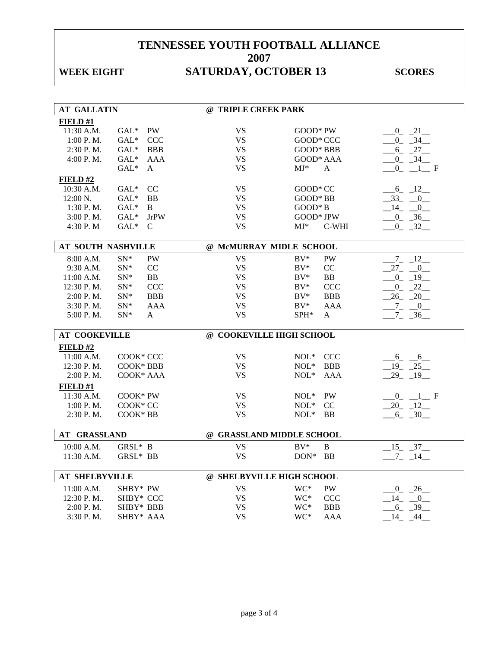## WEEK EIGHT **SATURDAY, OCTOBER 13** SCORES

| <b>AT GALLATIN</b>        |                          | @ TRIPLE CREEK PARK       |                                        |                       |
|---------------------------|--------------------------|---------------------------|----------------------------------------|-----------------------|
| FIELD#1                   |                          |                           |                                        |                       |
| 11:30 A.M.                | <b>PW</b><br>$GAL*$      | <b>VS</b>                 | GOOD* PW                               | $-0$ $-21$            |
| 1:00 P.M.                 | $GAL^*$<br>CCC           | <b>VS</b>                 | GOOD* CCC                              | $0 \t 34$             |
| 2:30 P.M.                 | $GAL*$<br><b>BBB</b>     | <b>VS</b>                 | GOOD* BBB                              | $-6 - 27$             |
| 4:00 P.M.                 | $GAL*$<br>AAA            | <b>VS</b>                 | GOOD* AAA                              | $-0$ $-34$ $-$        |
|                           | $GAL*$<br>$\mathbf{A}$   | <b>VS</b>                 | $MJ^*$<br>A                            | $0 \t1 \tF$           |
| FIELD#2                   |                          |                           |                                        |                       |
| $10:30$ A.M.              | $GAL^*$<br><sub>CC</sub> | <b>VS</b>                 | GOOD* CC                               | $-6 - 12$             |
| $12:00 \text{ N}$ .       | $GAL^*$<br>BB            | <b>VS</b>                 | $GOOD*BB$                              | $-33$ $-0$            |
| 1:30 P.M.                 | $GAL^*$<br>B             | <b>VS</b>                 | $GOOD*B$                               | 14<br>$\overline{0}$  |
| 3:00 P. M.                | $GAL*$<br><b>JrPW</b>    | <b>VS</b>                 | GOOD* JPW                              | $-0$ $-36$            |
| 4:30 P.M                  | $GAL^*$<br>$\mathsf{C}$  | <b>VS</b>                 | $MJ^*$<br>C-WHI                        | $-0$ $-32$            |
|                           |                          |                           |                                        |                       |
| AT SOUTH NASHVILLE        |                          | @ McMURRAY MIDLE SCHOOL   |                                        |                       |
| 8:00 A.M.                 | <b>PW</b><br>$SN^*$      | <b>VS</b>                 | <b>PW</b><br>$BV^*$                    | $-7 - 12$             |
| 9:30 A.M.                 | $SN^*$<br>CC             | <b>VS</b>                 | $BV^*$<br>CC                           | $27 - 0$              |
| 11:00 A.M.                | $SN^*$<br>BB             | <b>VS</b>                 | $BV^*$<br>BB                           | $-0$ $-19$            |
| 12:30 P.M.                | $SN^*$<br><b>CCC</b>     | <b>VS</b>                 | <b>CCC</b><br>$BV^*$                   | $\overline{0}$<br>22  |
| 2:00 P.M.                 | <b>BBB</b><br>$SN^*$     | <b>VS</b>                 | <b>BBB</b><br>$BV^*$                   | $26 - 20$             |
| 3:30 P.M.                 | $SN*$<br><b>AAA</b>      | <b>VS</b>                 | $BV^*$<br><b>AAA</b>                   | $-7 - 0$              |
| 5:00 P.M.                 | $SN*$<br>A               | <b>VS</b>                 | $SPH*$<br>A                            | $7 - 36$              |
|                           |                          |                           |                                        |                       |
| <b>AT COOKEVILLE</b>      |                          | @ COOKEVILLE HIGH SCHOOL  |                                        |                       |
| FIELD#2                   |                          |                           |                                        |                       |
| 11:00 A.M.                | COOK* CCC                | <b>VS</b>                 | $NOL*$<br><b>CCC</b>                   | $6 - 6$               |
| 12:30 P.M.                | COOK* BBB                | <b>VS</b>                 | <b>BBB</b><br>$NOL*$                   | $-19$ $-25$           |
| 2:00 P.M.                 | COOK* AAA                | <b>VS</b>                 | $NOL*$<br><b>AAA</b>                   | $29 - 19$             |
| FIELD#1                   |                          |                           |                                        |                       |
| 11:30 A.M.                | COOK* PW                 | <b>VS</b>                 | PW<br>$NOL*$                           | $-0$ $-1$ F           |
| 1:00 P.M.                 | COOK* CC                 | <b>VS</b>                 | $NOL*$<br>CC                           | $-20$ $-12$ $-$       |
| $2:30$ P.M.               | COOK* BB                 | <b>VS</b>                 | $NOL*$<br><b>BB</b>                    | $-6 - 30$             |
|                           |                          |                           |                                        |                       |
| AT GRASSLAND              |                          |                           | @ GRASSLAND MIDDLE SCHOOL              |                       |
| 10:00 A.M.                | GRSL* B                  | <b>VS</b>                 | $BV^*$<br>B                            | $-15 - 37$            |
| 11:30 A.M.                | $GRSL^*$ BB              | <b>VS</b>                 | $DON*$<br><b>BB</b>                    | $-7 - 14$             |
| <b>AT SHELBYVILLE</b>     |                          | @ SHELBYVILLE HIGH SCHOOL |                                        |                       |
|                           |                          |                           |                                        |                       |
| 11:00 A.M.                | SHBY* PW                 | <b>VS</b>                 | PW<br>WC*                              | $0 - 26$              |
| 12:30 P.M                 | SHBY* CCC                | <b>VS</b>                 | WC*<br><b>CCC</b>                      | 14 0                  |
|                           |                          |                           |                                        |                       |
| $2:00$ P. M.<br>3:30 P.M. | SHBY* BBB<br>SHBY* AAA   | <b>VS</b><br><b>VS</b>    | WC*<br><b>BBB</b><br>WC*<br><b>AAA</b> | $-6 - 39$<br>44<br>14 |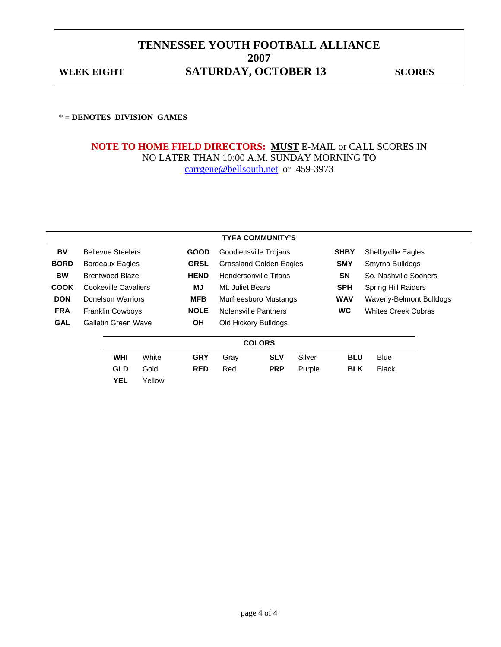### **TENNESSEE YOUTH FOOTBALL ALLIANCE 2007**  WEEK EIGHT **SATURDAY, OCTOBER 13** SCORES

### \* **= DENOTES DIVISION GAMES**

### **NOTE TO HOME FIELD DIRECTORS: MUST** E-MAIL or CALL SCORES IN NO LATER THAN 10:00 A.M. SUNDAY MORNING TO carrgene@bellsouth.net or 459-3973

|               | <b>TYFA COMMUNITY'S</b> |                            |        |             |                                |                        |            |                            |                    |  |  |
|---------------|-------------------------|----------------------------|--------|-------------|--------------------------------|------------------------|------------|----------------------------|--------------------|--|--|
| BV            |                         | <b>Bellevue Steelers</b>   |        | <b>GOOD</b> |                                | Goodlettsville Trojans |            | <b>SHBY</b>                | Shelbyville Eagles |  |  |
| <b>BORD</b>   |                         | <b>Bordeaux Eagles</b>     |        | <b>GRSL</b> | <b>Grassland Golden Eagles</b> |                        | <b>SMY</b> | Smyrna Bulldogs            |                    |  |  |
| <b>BW</b>     |                         | Brentwood Blaze            |        | <b>HEND</b> | <b>Hendersonville Titans</b>   |                        | <b>SN</b>  | So. Nashville Sooners      |                    |  |  |
| <b>COOK</b>   |                         | Cookeville Cavaliers       |        | MJ          | Mt. Juliet Bears               |                        | <b>SPH</b> | <b>Spring Hill Raiders</b> |                    |  |  |
| <b>DON</b>    |                         | Donelson Warriors          |        | <b>MFB</b>  | Murfreesboro Mustangs          |                        | <b>WAV</b> | Waverly-Belmont Bulldogs   |                    |  |  |
| <b>FRA</b>    |                         | <b>Franklin Cowboys</b>    |        | <b>NOLE</b> | Nolensville Panthers           |                        | <b>WC</b>  | <b>Whites Creek Cobras</b> |                    |  |  |
| <b>GAL</b>    |                         | <b>Gallatin Green Wave</b> |        | <b>OH</b>   | Old Hickory Bulldogs           |                        |            |                            |                    |  |  |
| <b>COLORS</b> |                         |                            |        |             |                                |                        |            |                            |                    |  |  |
|               |                         | <b>WHI</b>                 | White  | <b>GRY</b>  | Gray                           | <b>SLV</b>             | Silver     | <b>BLU</b>                 | <b>Blue</b>        |  |  |
|               |                         | <b>GLD</b>                 | Gold   | <b>RED</b>  | Red                            | <b>PRP</b>             | Purple     | <b>BLK</b>                 | <b>Black</b>       |  |  |
|               |                         | <b>YEL</b>                 | Yellow |             |                                |                        |            |                            |                    |  |  |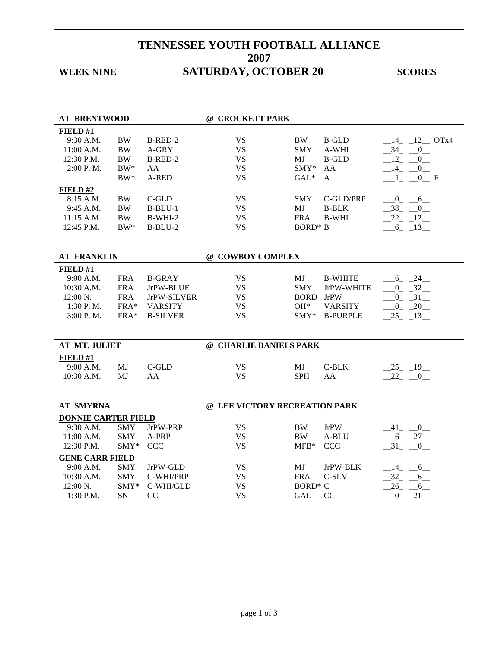## WEEK NINE **SATURDAY, OCTOBER 20** SCORES

| <b>AT BRENTWOOD</b>        |            |                 | @ CROCKETT PARK               |                     |                 |                         |
|----------------------------|------------|-----------------|-------------------------------|---------------------|-----------------|-------------------------|
| FIELD#1                    |            |                 |                               |                     |                 |                         |
| 9:30 A.M.                  | <b>BW</b>  | B-RED-2         | <b>VS</b>                     | BW                  | <b>B-GLD</b>    | $14$ $12$ OTx4          |
| 11:00 A.M.                 | <b>BW</b>  | A-GRY           | <b>VS</b>                     | SMY                 | A-WHI           | $-34$ $-0$              |
| 12:30 P.M.                 | <b>BW</b>  | B-RED-2         | <b>VS</b>                     | MJ                  | <b>B-GLD</b>    | $-12$ -<br>$\mathbf{0}$ |
| 2:00 P.M.                  | $BW^*$     | AA              | <b>VS</b>                     | $SMY*$              | AA              | $-14$ $-0$              |
|                            | $BW^*$     | A-RED           | <b>VS</b>                     | $GAL*$              | $\mathsf{A}$    | 0 F<br>$1_{-}$          |
| FIELD#2                    |            |                 |                               |                     |                 |                         |
| 8:15 A.M.                  | <b>BW</b>  | $C$ -GLD        | <b>VS</b>                     | <b>SMY</b>          | C-GLD/PRP       | $-0$ $-6$               |
| 9:45 A.M.                  | <b>BW</b>  | $B-BLU-1$       | <b>VS</b>                     | MJ                  | <b>B-BLK</b>    | $38 - 0$                |
| 11:15 A.M.                 | <b>BW</b>  | $B-WHI-2$       | <b>VS</b>                     | <b>FRA</b>          | <b>B-WHI</b>    | $22 - 12$               |
| 12:45 P.M.                 | $BW^*$     | $B-BLU-2$       | <b>VS</b>                     | <b>BORD*</b> B      |                 | $-6 - 13$               |
|                            |            |                 |                               |                     |                 |                         |
|                            |            |                 |                               |                     |                 |                         |
| <b>AT FRANKLIN</b>         |            |                 | @ COWBOY COMPLEX              |                     |                 |                         |
| FIELD#1                    |            |                 |                               |                     |                 |                         |
| 9:00 A.M.                  | <b>FRA</b> | <b>B-GRAY</b>   | <b>VS</b>                     | MJ                  | <b>B-WHITE</b>  | $-6 - 24$               |
| $10:30$ A.M.               | <b>FRA</b> | JrPW-BLUE       | <b>VS</b>                     | <b>SMY</b>          | JrPW-WHITE      | $0 \quad 32$            |
| 12:00 N.                   | <b>FRA</b> | JrPW-SILVER     | <b>VS</b>                     | <b>BORD</b> JrPW    |                 | $-0$ $-31$ $-$          |
| 1:30 P.M.                  | FRA*       | <b>VARSITY</b>  | <b>VS</b>                     | $OH*$               | <b>VARSITY</b>  | $-0$ $-20$              |
| 3:00 P.M.                  | FRA*       | <b>B-SILVER</b> | <b>VS</b>                     | $\text{SMY*}$       | <b>B-PURPLE</b> | $-25 - 13$              |
|                            |            |                 |                               |                     |                 |                         |
| <b>AT MT. JULIET</b>       |            |                 | @ CHARLIE DANIELS PARK        |                     |                 |                         |
| FIELD#1                    |            |                 |                               |                     |                 |                         |
| 9:00 A.M.                  | MJ         | $C$ -GLD        | <b>VS</b>                     | MJ                  | $C-BLK$         | $25 - 19$               |
| 10:30 A.M.                 | MJ         | AA              | <b>VS</b>                     | <b>SPH</b>          | AA              | 22 0                    |
|                            |            |                 |                               |                     |                 |                         |
|                            |            |                 |                               |                     |                 |                         |
| <b>AT SMYRNA</b>           |            |                 | @ LEE VICTORY RECREATION PARK |                     |                 |                         |
| <b>DONNIE CARTER FIELD</b> |            |                 |                               |                     |                 |                         |
| 9:30 A.M.                  | <b>SMY</b> | JrPW-PRP        | <b>VS</b>                     | <b>BW</b>           | JrPW            | $-41$ $-0$              |
| 11:00 A.M.                 | <b>SMY</b> | A-PRP           | <b>VS</b>                     | <b>BW</b>           | A-BLU           | $-6 - 27$               |
| 12:30 P.M.                 | SMY*       | <b>CCC</b>      | <b>VS</b>                     | $MFB*$              | <b>CCC</b>      | 31 0                    |
| <b>GENE CARR FIELD</b>     |            |                 |                               |                     |                 |                         |
| 9:00 A.M.                  | <b>SMY</b> | JrPW-GLD        | <b>VS</b>                     | MJ                  | JrPW-BLK        | $-14$ $-6$              |
| 10:30 A.M.                 | <b>SMY</b> | C-WHI/PRP       | <b>VS</b>                     | <b>FRA</b>          | C-SLV           | $-32 - 6$               |
| 12:00 N.                   | $SMY*$     | C-WHI/GLD       | <b>VS</b>                     | BORD <sup>*</sup> C |                 | $26 - 6$                |
| 1:30 P.M.                  | SN         | CC              | <b>VS</b>                     | <b>GAL</b>          | CC              | $-0$ $-21$              |
|                            |            |                 |                               |                     |                 |                         |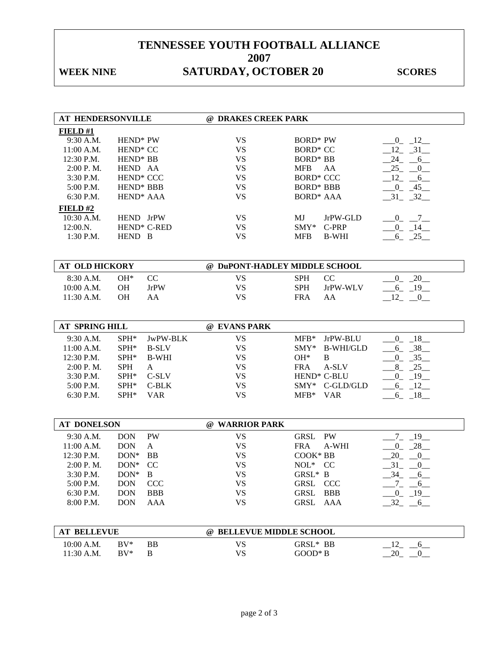## WEEK NINE **SATURDAY, OCTOBER 20** SCORES

| AT HENDERSONVILLE     |                       |                         | @ DRAKES CREEK PARK           |                             |                                   |
|-----------------------|-----------------------|-------------------------|-------------------------------|-----------------------------|-----------------------------------|
| FIELD#1               |                       |                         |                               |                             |                                   |
| 9:30 A.M.             | HEND* PW              |                         | <b>VS</b>                     | <b>BORD*</b> PW             | $0 \t 12$                         |
| 11:00 A.M.            | HEND <sup>*</sup> CC  |                         | <b>VS</b>                     | <b>BORD* CC</b>             | $12 - 31$                         |
| 12:30 P.M.            | HEND <sup>*</sup> BB  |                         | <b>VS</b>                     | <b>BORD* BB</b>             | $24 - 6$                          |
| 2:00 P.M.             | HEND AA               |                         | <b>VS</b>                     | <b>MFB</b><br>AA            | 25<br>$\overline{0}$              |
| 3:30 P.M.             | HEND <sup>*</sup> CCC |                         | <b>VS</b>                     | <b>BORD* CCC</b>            | $12 - 6$                          |
| 5:00 P.M.             | HEND <sup>*</sup> BBB |                         | <b>VS</b>                     | <b>BORD* BBB</b>            | $-0$ $-45$                        |
| 6:30 P.M.             | HEND <sup>*</sup> AAA |                         | <b>VS</b>                     | <b>BORD* AAA</b>            | $-31 - 32$                        |
| FIELD#2               |                       |                         |                               |                             |                                   |
| 10:30 A.M.            | HEND JrPW             |                         | <b>VS</b>                     | MJ<br>JrPW-GLD              | $-0$ $-7$ $-$                     |
| 12:00.N.              |                       | HEND <sup>*</sup> C-RED | <b>VS</b>                     | $\text{SMY*}$<br>C-PRP      | $-0$ $-14$                        |
| 1:30 P.M.             | HEND B                |                         | <b>VS</b>                     | <b>MFB</b><br><b>B-WHI</b>  | $-6 - 25$                         |
|                       |                       |                         |                               |                             |                                   |
| <b>AT OLD HICKORY</b> |                       |                         | @ DuPONT-HADLEY MIDDLE SCHOOL |                             |                                   |
| 8:30 A.M.             | $OH*$                 | $\rm CC$                | <b>VS</b>                     | CC<br><b>SPH</b>            | $0 - 20$                          |
| 10:00 A.M.            | <b>OH</b>             | <b>JrPW</b>             | <b>VS</b>                     | <b>SPH</b><br>JrPW-WLV      | $-6$ $-19$                        |
| 11:30 A.M.            | <b>OH</b>             | AA                      | <b>VS</b>                     | <b>FRA</b><br>AA            | $-12$ $-0$                        |
|                       |                       |                         |                               |                             |                                   |
|                       |                       |                         |                               |                             |                                   |
| <b>AT SPRING HILL</b> |                       |                         | @ EVANS PARK                  |                             |                                   |
| 9:30 A.M.             | $SPH*$                | JwPW-BLK                | <b>VS</b>                     | $MFB*$<br>JrPW-BLU          | $0 - 18$                          |
| 11:00 A.M.            | $SPH*$                | <b>B-SLV</b>            | <b>VS</b>                     | $SMY^*$<br><b>B-WHI/GLD</b> | $-6 - 38$                         |
| 12:30 P.M.            | SPH*                  | <b>B-WHI</b>            | <b>VS</b>                     | $OH*$<br>B                  | $0 - 35$                          |
| $2:00$ P. M.          | <b>SPH</b>            | A                       | <b>VS</b>                     | A-SLV<br><b>FRA</b>         | $-8$ $-25$                        |
| 3:30 P.M.             | SPH*                  | C-SLV                   | <b>VS</b>                     | HEND <sup>*</sup> C-BLU     | $-0$ $-19$ $-$                    |
| 5:00 P.M.             | SPH*                  | $C-BLK$                 | <b>VS</b>                     | SMY* C-GLD/GLD              | $-6 - 12$                         |
| 6:30 P.M.             | SPH*                  | <b>VAR</b>              | <b>VS</b>                     | $MFB*$<br><b>VAR</b>        | $-6 - 18$                         |
|                       |                       |                         |                               |                             |                                   |
| <b>AT DONELSON</b>    |                       |                         | @ WARRIOR PARK                |                             |                                   |
| 9:30 A.M.             | <b>DON</b>            | <b>PW</b>               | <b>VS</b>                     | <b>GRSL</b><br>PW           | $-7 - 19$                         |
| 11:00 A.M.            | <b>DON</b>            | A                       | <b>VS</b>                     | <b>FRA</b><br>A-WHI         | $0 - 28$                          |
| 12:30 P.M.            | $DOM*$                | <b>BB</b>               | <b>VS</b>                     | COOK*BB                     | 20<br>$\equiv 0$                  |
| $2:00$ P. M.          | $DON^*$               | CC                      | <b>VS</b>                     | NOL* CC                     | $-31$ $-$<br>$\bf{0}$             |
| 3:30 P.M.             | $DON^*$ B             |                         | <b>VS</b>                     | GRSL* B                     | $-34 - 6$                         |
| 5:00 P.M.             | <b>DON</b>            | <b>CCC</b>              | <b>VS</b>                     | GRSL<br><b>CCC</b>          | $\overline{C}$<br>$6\overline{6}$ |
| 6:30 P.M.             | <b>DON</b>            | <b>BBB</b>              | <b>VS</b>                     | GRSL<br><b>BBB</b>          | $_{0_{-}}$<br>$-19$               |
| 8:00 P.M.             | <b>DON</b>            | AAA                     | <b>VS</b>                     | GRSL<br>AAA                 | 32<br>$-6$                        |
|                       |                       |                         |                               |                             |                                   |
| <b>AT BELLEVUE</b>    |                       |                         | @ BELLEVUE MIDDLE SCHOOL      |                             |                                   |
|                       |                       |                         |                               |                             |                                   |
| 10:00 A.M.            | $BV^*$                | <b>BB</b>               | <b>VS</b>                     | GRSL* BB                    | $-6$<br>$-12$                     |
| 11:30 A.M.            | $BV^*$                | $\, {\bf B}$            | <b>VS</b>                     | $GOOD*B$                    | 20<br>$_{0}$                      |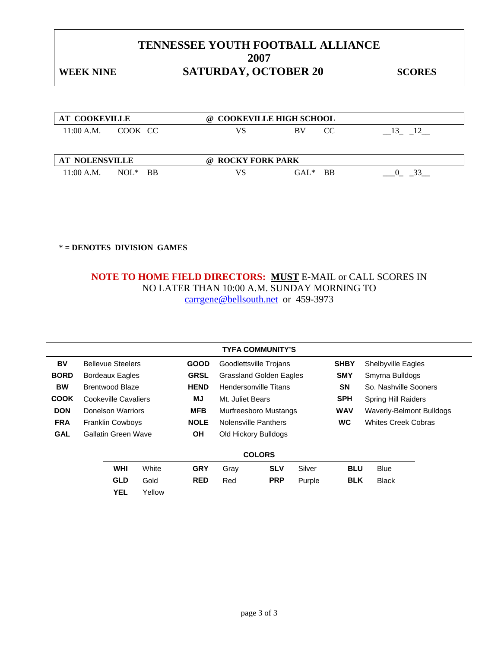## WEEK NINE **SATURDAY, OCTOBER 20** SCORES

| <b>AT COOKEVILLE</b>  |         |           | $\omega$          | <b>COOKEVILLE HIGH SCHOOL</b> |      |
|-----------------------|---------|-----------|-------------------|-------------------------------|------|
| 11:00 A.M.            | COOK CC |           | VS                | <b>BV</b><br>CC               | - 13 |
|                       |         |           |                   |                               |      |
| <b>AT NOLENSVILLE</b> |         |           | @ ROCKY FORK PARK |                               |      |
| 11:00 A.M.            | $NOL^*$ | <b>BB</b> | VS                | $GAI.*$<br>- BB               |      |

\* **= DENOTES DIVISION GAMES** 

### **NOTE TO HOME FIELD DIRECTORS: MUST** E-MAIL or CALL SCORES IN NO LATER THAN 10:00 A.M. SUNDAY MORNING TO carrgene@bellsouth.net or 459-3973

|               | <b>TYFA COMMUNITY'S</b>                |                            |             |                                |                              |            |                            |                            |                           |  |  |
|---------------|----------------------------------------|----------------------------|-------------|--------------------------------|------------------------------|------------|----------------------------|----------------------------|---------------------------|--|--|
| BV            |                                        | <b>Bellevue Steelers</b>   | <b>GOOD</b> |                                | Goodlettsville Trojans       |            |                            | <b>SHBY</b>                | <b>Shelbyville Eagles</b> |  |  |
| <b>BORD</b>   | <b>Bordeaux Eagles</b>                 |                            | <b>GRSL</b> | <b>Grassland Golden Eagles</b> |                              | <b>SMY</b> | Smyrna Bulldogs            |                            |                           |  |  |
| <b>BW</b>     |                                        | Brentwood Blaze            |             | <b>HEND</b>                    | <b>Hendersonville Titans</b> |            | <b>SN</b>                  | So. Nashville Sooners      |                           |  |  |
| <b>COOK</b>   |                                        | Cookeville Cavaliers       |             | MJ                             | Mt. Juliet Bears             |            | <b>SPH</b>                 | <b>Spring Hill Raiders</b> |                           |  |  |
| <b>DON</b>    |                                        | Donelson Warriors          |             | <b>MFB</b>                     | Murfreesboro Mustangs        |            |                            | <b>WAV</b>                 | Waverly-Belmont Bulldogs  |  |  |
| <b>FRA</b>    | <b>NOLE</b><br><b>Franklin Cowboys</b> |                            |             | Nolensville Panthers           |                              | <b>WC</b>  | <b>Whites Creek Cobras</b> |                            |                           |  |  |
| <b>GAL</b>    |                                        | <b>Gallatin Green Wave</b> |             | <b>OH</b>                      | Old Hickory Bulldogs         |            |                            |                            |                           |  |  |
| <b>COLORS</b> |                                        |                            |             |                                |                              |            |                            |                            |                           |  |  |
|               |                                        | <b>WHI</b>                 | White       | <b>GRY</b>                     | Gray                         | <b>SLV</b> | Silver                     | <b>BLU</b>                 | <b>Blue</b>               |  |  |
|               |                                        | <b>GLD</b>                 | Gold        | <b>RED</b>                     | Red                          | <b>PRP</b> | Purple                     | <b>BLK</b>                 | <b>Black</b>              |  |  |
|               |                                        | <b>YEL</b>                 | Yellow      |                                |                              |            |                            |                            |                           |  |  |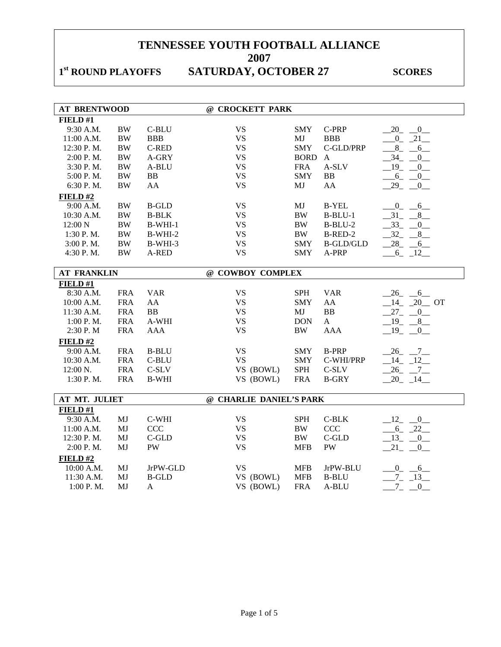# 1<sup>st</sup> ROUND PLAYOFFS SATURDAY, OCTOBER 27 SCORES

| <b>AT BRENTWOOD</b> |            |              | @ CROCKETT PARK         |             |                  |                           |
|---------------------|------------|--------------|-------------------------|-------------|------------------|---------------------------|
| FIELD#1             |            |              |                         |             |                  |                           |
| 9:30 A.M.           | <b>BW</b>  | C-BLU        | <b>VS</b>               | <b>SMY</b>  | C-PRP            | $-20$ $-0$                |
| 11:00 A.M.          | $\rm BW$   | <b>BBB</b>   | <b>VS</b>               | MJ          | <b>BBB</b>       | $-0$ $-21$                |
| 12:30 P.M.          | $\rm BW$   | <b>C-RED</b> | <b>VS</b>               | <b>SMY</b>  | C-GLD/PRP        | $8$ <sub>-</sub><br>6     |
| 2:00 P.M.           | <b>BW</b>  | A-GRY        | <b>VS</b>               | <b>BORD</b> | $\mathbf{A}$     | $-34$ -<br>$\overline{0}$ |
| 3:30 P.M.           | <b>BW</b>  | A-BLU        | <b>VS</b>               | <b>FRA</b>  | A-SLV            | $-19$ $-0$                |
| 5:00 P.M.           | <b>BW</b>  | <b>BB</b>    | <b>VS</b>               | <b>SMY</b>  | <b>BB</b>        | $-6 - 0$                  |
| 6:30 P.M.           | $\rm BW$   | AA           | <b>VS</b>               | MJ          | AA               | $-29$ $-0$                |
| FIELD #2            |            |              |                         |             |                  |                           |
| 9:00 A.M.           | $\rm BW$   | <b>B-GLD</b> | <b>VS</b>               | MJ          | <b>B-YEL</b>     | $-0$ $-6$                 |
| 10:30 A.M.          | <b>BW</b>  | <b>B-BLK</b> | <b>VS</b>               | <b>BW</b>   | $B-BLU-1$        | 31<br>8                   |
| 12:00 N             | <b>BW</b>  | $B-WHI-1$    | <b>VS</b>               | <b>BW</b>   | $B-BLU-2$        | $-33$<br>0                |
| 1:30 P.M.           | $\rm BW$   | $B-WHI-2$    | <b>VS</b>               | <b>BW</b>   | B-RED-2          | $-32 - 8$                 |
| 3:00 P.M.           | $\rm BW$   | B-WHI-3      | <b>VS</b>               | <b>SMY</b>  | <b>B-GLD/GLD</b> | $-28$ <sub>-</sub> $-6$   |
| 4:30 P.M.           | $\rm BW$   | A-RED        | <b>VS</b>               | <b>SMY</b>  | A-PRP            | $-6 - 12$                 |
|                     |            |              |                         |             |                  |                           |
| <b>AT FRANKLIN</b>  |            |              | @ COWBOY COMPLEX        |             |                  |                           |
| FIELD#1             |            |              |                         |             |                  |                           |
| 8:30 A.M.           | <b>FRA</b> | <b>VAR</b>   | <b>VS</b>               | <b>SPH</b>  | <b>VAR</b>       | $26 - 6$                  |
| 10:00 A.M.          | <b>FRA</b> | AA           | <b>VS</b>               | <b>SMY</b>  | AA               | $-14$ $-20$ OT            |
| 11:30 A.M.          | <b>FRA</b> | <b>BB</b>    | <b>VS</b>               | MJ          | <b>BB</b>        | $27 - 0$                  |
| 1:00 P.M.           | <b>FRA</b> | A-WHI        | <b>VS</b>               | <b>DON</b>  | $\mathbf{A}$     | $-19$ $-8$                |
| 2:30 P.M            | <b>FRA</b> | <b>AAA</b>   | <b>VS</b>               | <b>BW</b>   | <b>AAA</b>       | $19 - 0$                  |
| FIELD#2             |            |              |                         |             |                  |                           |
| 9:00 A.M.           | <b>FRA</b> | <b>B-BLU</b> | <b>VS</b>               | <b>SMY</b>  | <b>B-PRP</b>     | $-26$ $-7$                |
| 10:30 A.M.          | <b>FRA</b> | C-BLU        | <b>VS</b>               | <b>SMY</b>  | C-WHI/PRP        | $-14$ $-12$               |
| 12:00 N.            | <b>FRA</b> | $C-SLV$      | VS (BOWL)               | SPH         | $C-SLV$          | $-26$ $-7$                |
| 1:30 P.M.           | <b>FRA</b> | <b>B-WHI</b> | VS (BOWL)               | <b>FRA</b>  | <b>B-GRY</b>     | $-20 - 14$                |
|                     |            |              |                         |             |                  |                           |
| AT MT. JULIET       |            |              | @ CHARLIE DANIEL'S PARK |             |                  |                           |
| FIELD #1            |            |              |                         |             |                  |                           |
| 9:30 A.M.           | MJ         | C-WHI        | <b>VS</b>               | <b>SPH</b>  | $C-BLK$          | $-12$ $-0$                |
| 11:00 A.M.          | MJ         | <b>CCC</b>   | <b>VS</b>               | $\rm BW$    | CCC              | $-6 - 22$                 |
| 12:30 P.M.          | MJ         | $C$ -GLD     | <b>VS</b>               | <b>BW</b>   | $C$ -GLD         | $13 - 0$                  |
| 2:00 P.M.           | MJ         | PW           | <b>VS</b>               | <b>MFB</b>  | <b>PW</b>        | $21 - 0$                  |
| FIELD#2             |            |              |                         |             |                  |                           |
| 10:00 A.M.          | MJ         | JrPW-GLD     | <b>VS</b>               | <b>MFB</b>  | JrPW-BLU         | $0 - 6$                   |
| 11:30 A.M.          | MJ         | <b>B-GLD</b> | VS (BOWL)               | <b>MFB</b>  | <b>B-BLU</b>     | $7 - 13$                  |
| 1:00 P.M.           | MJ         | A            | VS (BOWL)               | <b>FRA</b>  | A-BLU            | $7_{-}$<br>$\overline{0}$ |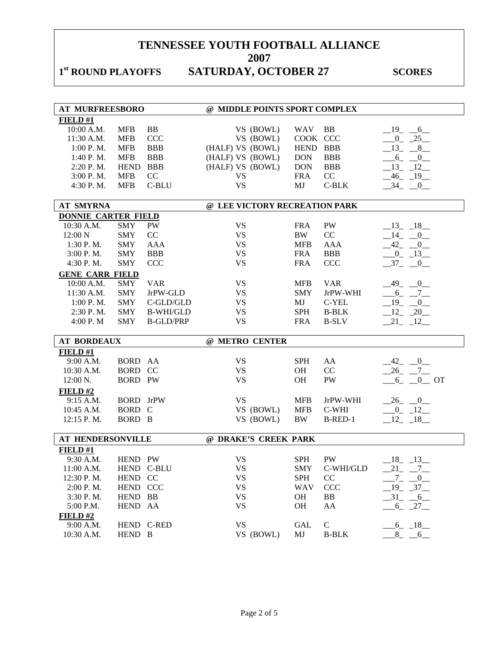# 1<sup>st</sup> ROUND PLAYOFFS SATURDAY, OCTOBER 27 SCORES

|                            | <b>AT MURFREESBORO</b> |                  | @ MIDDLE POINTS SPORT COMPLEX |             |              |                             |
|----------------------------|------------------------|------------------|-------------------------------|-------------|--------------|-----------------------------|
| FIELD#1                    |                        |                  |                               |             |              |                             |
| 10:00 A.M.                 | <b>MFB</b>             | <b>BB</b>        | VS (BOWL)                     | <b>WAV</b>  | <b>BB</b>    | $-19$ $-6$                  |
| 11:30 A.M.                 | <b>MFB</b>             | CCC              | VS (BOWL)                     | COOK CCC    |              | $-0$ $-25$                  |
| 1:00 P.M.                  | <b>MFB</b>             | <b>BBB</b>       | (HALF) VS (BOWL)              | <b>HEND</b> | <b>BBB</b>   | $-13 - 8$                   |
| 1:40 P.M.                  | <b>MFB</b>             | <b>BBB</b>       | (HALF) VS (BOWL)              | <b>DON</b>  | <b>BBB</b>   | $6_{-}$<br>$-0$             |
| 2:20 P.M.                  | <b>HEND</b>            | <b>BBB</b>       | (HALF) VS (BOWL)              | <b>DON</b>  | <b>BBB</b>   | $-13$ $-12$                 |
| 3:00 P.M.                  | <b>MFB</b>             | CC               | <b>VS</b>                     | <b>FRA</b>  | CC           | $-46$ $-19$ $-$             |
| 4:30 P.M.                  | <b>MFB</b>             | C-BLU            | <b>VS</b>                     | MJ          | C-BLK        | $-34$<br>$\overline{0}$     |
|                            |                        |                  |                               |             |              |                             |
| <b>AT SMYRNA</b>           |                        |                  | @ LEE VICTORY RECREATION PARK |             |              |                             |
| <b>DONNIE CARTER FIELD</b> |                        |                  |                               |             |              |                             |
| 10:30 A.M.                 | <b>SMY</b>             | PW               | <b>VS</b>                     | <b>FRA</b>  | PW           | $-13$ $-18$ $-$             |
| 12:00 N                    | <b>SMY</b>             | CC               | <b>VS</b>                     | <b>BW</b>   | CC           | $-14$ $-$<br>$\overline{0}$ |
| 1:30 P.M.                  | <b>SMY</b>             | <b>AAA</b>       | <b>VS</b>                     | <b>MFB</b>  | <b>AAA</b>   | 42<br>$\overline{0}$        |
| 3:00 P. M.                 | <b>SMY</b>             | <b>BBB</b>       | <b>VS</b>                     | <b>FRA</b>  | <b>BBB</b>   | $-0$ $-13$                  |
| 4:30 P.M.                  | <b>SMY</b>             | <b>CCC</b>       | <b>VS</b>                     | <b>FRA</b>  | CCC          | $-37 - 0$                   |
| <b>GENE CARR FIELD</b>     |                        |                  |                               |             |              |                             |
| 10:00 A.M.                 | <b>SMY</b>             | <b>VAR</b>       | <b>VS</b>                     | <b>MFB</b>  | <b>VAR</b>   | $-49$ $-0$                  |
| 11:30 A.M.                 | <b>SMY</b>             | JrPW-GLD         | <b>VS</b>                     | <b>SMY</b>  | JrPW-WHI     | $-6 - 7$                    |
| 1:00 P. M.                 | <b>SMY</b>             | C-GLD/GLD        | <b>VS</b>                     | MJ          | C-YEL        | $-19$ $-$<br>$\overline{0}$ |
| 2:30 P.M.                  | <b>SMY</b>             | <b>B-WHI/GLD</b> | <b>VS</b>                     | <b>SPH</b>  | <b>B-BLK</b> | $12 - 20$                   |
| 4:00 P.M                   | <b>SMY</b>             | <b>B-GLD/PRP</b> | <b>VS</b>                     | <b>FRA</b>  | <b>B-SLV</b> | $-21 - 12$                  |
|                            |                        |                  |                               |             |              |                             |
| <b>AT BORDEAUX</b>         |                        |                  | @ METRO CENTER                |             |              |                             |
| FIELD#1                    |                        |                  |                               |             |              |                             |
| 9:00 A.M.                  | BORD AA                |                  | <b>VS</b>                     | <b>SPH</b>  | AA           | $-42$ $-0$                  |
| 10:30 A.M.                 | BORD CC                |                  | <b>VS</b>                     | OH          | CC           | $-26$ $-7$ $-$              |
| 12:00 N.                   | <b>BORD PW</b>         |                  | <b>VS</b>                     | <b>OH</b>   | PW           | $0$ OT<br>$6 -$             |
| FIELD#2                    |                        |                  |                               |             |              |                             |
| 9:15 A.M.                  | <b>BORD</b> JrPW       |                  | <b>VS</b>                     | <b>MFB</b>  | JrPW-WHI     | $-26$ $-0$                  |
| 10:45 A.M.                 | BORD C                 |                  | VS (BOWL)                     | <b>MFB</b>  | C-WHI        | $-0$ $-12$                  |
| 12:15 P.M.                 | BORD B                 |                  | VS (BOWL)                     | <b>BW</b>   | B-RED-1      | 12 18                       |
|                            |                        |                  |                               |             |              |                             |
| AT HENDERSONVILLE          |                        |                  | @ DRAKE'S CREEK PARK          |             |              |                             |
| FIELD#1                    |                        |                  |                               |             |              |                             |
| 9:30 A.M.                  | HEND PW                |                  | <b>VS</b>                     | <b>SPH</b>  | <b>PW</b>    | $-18$ $-13$                 |
| 11:00 A.M.                 |                        | HEND C-BLU       | <b>VS</b>                     | <b>SMY</b>  | C-WHI/GLD    | $21 - 7$                    |
| 12:30 P.M.                 | HEND CC                |                  | <b>VS</b>                     | <b>SPH</b>  | CC           | $-7 - 0$                    |
| 2:00 P.M.                  | HEND CCC               |                  | <b>VS</b>                     | <b>WAV</b>  | CCC          | $-19$ $-37$ $-$             |
| 3:30 P.M.                  | HEND BB                |                  | <b>VS</b>                     | <b>OH</b>   | BB           | $-31$ $-6$                  |
| 5:00 P.M.                  | HEND AA                |                  | <b>VS</b>                     | OH          | AA           | $-6$ $-27$ $-$              |
| FIELD#2                    |                        |                  |                               |             |              |                             |
| 9:00 A.M.                  |                        | HEND C-RED       | <b>VS</b>                     | <b>GAL</b>  | $\mathbf C$  | $-6 - 18$                   |
| 10:30 A.M.                 | HEND B                 |                  | VS (BOWL)                     | MJ          | <b>B-BLK</b> | $-8 - -6$                   |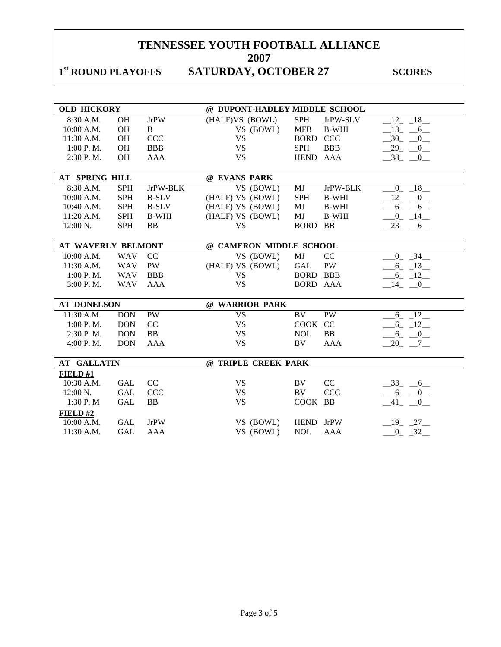# 1<sup>st</sup> ROUND PLAYOFFS SATURDAY, OCTOBER 27 SCORES

| <b>OLD HICKORY</b>        |            |              | @ DUPONT-HADLEY MIDDLE SCHOOL |                 |              |                |
|---------------------------|------------|--------------|-------------------------------|-----------------|--------------|----------------|
| 8:30 A.M.                 | <b>OH</b>  | <b>JrPW</b>  | (HALF)VS (BOWL)               | <b>SPH</b>      | JrPW-SLV     | $-12 - 18$     |
| 10:00 A.M.                | OH         | B            | VS (BOWL)                     | <b>MFB</b>      | <b>B-WHI</b> | $13 - 6$       |
| 11:30 A.M.                | OH         | <b>CCC</b>   | <b>VS</b>                     | <b>BORD CCC</b> |              | $-30 - 0$      |
| 1:00 P.M.                 | OH         | <b>BBB</b>   | <b>VS</b>                     | <b>SPH</b>      | <b>BBB</b>   | $-29$ $-0$     |
| 2:30 P.M.                 | OH         | <b>AAA</b>   | <b>VS</b>                     | HEND AAA        |              | $-38$ $-0$     |
|                           |            |              |                               |                 |              |                |
| AT SPRING HILL            |            |              | @ EVANS PARK                  |                 |              |                |
| 8:30 A.M.                 | <b>SPH</b> | JrPW-BLK     | VS (BOWL)                     | MJ              | JrPW-BLK     | $-0$ $-18$     |
| 10:00 A.M.                | <b>SPH</b> | <b>B-SLV</b> | (HALF) VS (BOWL)              | <b>SPH</b>      | <b>B-WHI</b> | $-12$ $-0$     |
| 10:40 A.M.                | <b>SPH</b> | <b>B-SLV</b> | (HALF) VS (BOWL)              | MJ              | <b>B-WHI</b> | $-6 - 6$       |
| 11:20 A.M.                | SPH        | <b>B-WHI</b> | (HALF) VS (BOWL)              | MJ              | <b>B-WHI</b> | $-0$ $-14$     |
| 12:00 N.                  | <b>SPH</b> | <b>BB</b>    | <b>VS</b>                     | BORD BB         |              | $-23 - 6$      |
|                           |            |              |                               |                 |              |                |
| <b>AT WAVERLY BELMONT</b> |            |              | @ CAMERON MIDDLE SCHOOL       |                 |              |                |
| 10:00 A.M.                | <b>WAV</b> | CC           | VS (BOWL)                     | MJ              | CC           | $-0$ $-34$ $-$ |
| 11:30 A.M.                | <b>WAV</b> | PW           | (HALF) VS (BOWL)              | GAL             | ${\rm PW}$   | $-6 - 13$      |
| 1:00 P.M.                 | <b>WAV</b> | <b>BBB</b>   | <b>VS</b>                     | <b>BORD BBB</b> |              | $-6 - 12$      |
| 3:00 P. M.                | <b>WAV</b> | <b>AAA</b>   | <b>VS</b>                     | <b>BORD AAA</b> |              | $-14$ $-0$     |
|                           |            |              |                               |                 |              |                |
| <b>AT DONELSON</b>        |            |              | @ WARRIOR PARK                |                 |              |                |
| 11:30 A.M.                | <b>DON</b> | PW           | <b>VS</b>                     | BV              | PW           | $-6 - 12$      |
| 1:00 P.M.                 | <b>DON</b> | CC           | <b>VS</b>                     | COOK CC         |              | $-6 - 12$      |
| 2:30 P.M.                 | <b>DON</b> | BB           | <b>VS</b>                     | <b>NOL</b>      | <b>BB</b>    | $-6$ $-0$      |
| 4:00 P.M.                 | <b>DON</b> | <b>AAA</b>   | <b>VS</b>                     | BV              | <b>AAA</b>   | $-20$ $-7$ $-$ |
|                           |            |              |                               |                 |              |                |
| <b>AT GALLATIN</b>        |            |              | @ TRIPLE CREEK PARK           |                 |              |                |
| FIELD#1                   |            |              |                               |                 |              |                |
| 10:30 A.M.                | <b>GAL</b> | CC           | <b>VS</b>                     | BV              | CC           | $-33 - 6$      |
| 12:00 N.                  | <b>GAL</b> | <b>CCC</b>   | <b>VS</b>                     | BV              | <b>CCC</b>   | $-6 - 0$       |
| 1:30 P.M                  | <b>GAL</b> | ${\bf BB}$   | <b>VS</b>                     | COOK BB         |              | $-41$ $-0$     |
| FIELD#2                   |            |              |                               |                 |              |                |
| 10:00 A.M.                | <b>GAL</b> | <b>JrPW</b>  | VS (BOWL)                     | HEND JrPW       |              | $-19$ $-27$    |
| $11:30$ A.M.              | <b>GAL</b> | AAA          | VS (BOWL)                     | <b>NOL</b>      | AAA          | $-0$ $-32$     |
|                           |            |              |                               |                 |              |                |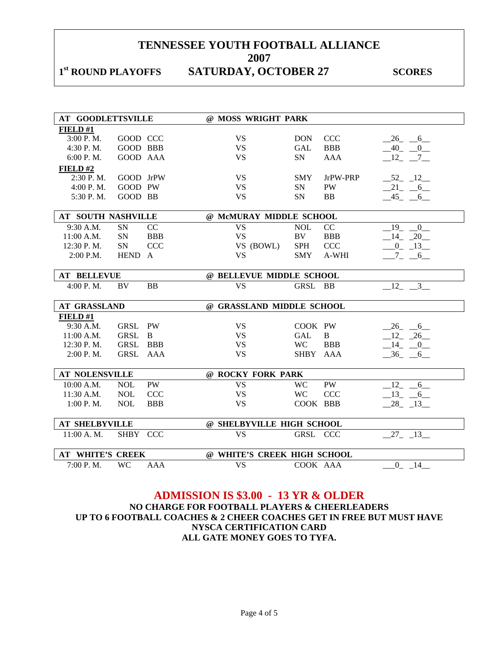**2007** 

## 1st ROUND PLAYOFFS SATURDAY, OCTOBER 27 SCORES

| <b>AT GOODLETTSVILLE</b>  |                 |            | @ MOSS WRIGHT PARK          |            |            |                               |
|---------------------------|-----------------|------------|-----------------------------|------------|------------|-------------------------------|
| FIELD#1                   |                 |            |                             |            |            |                               |
| 3:00 P.M.                 | GOOD CCC        |            | <b>VS</b>                   | <b>DON</b> | CCC        | $-26$ $-6$                    |
| 4:30 P.M.                 | <b>GOOD BBB</b> |            | <b>VS</b>                   | <b>GAL</b> | <b>BBB</b> | $-40$ $-0$                    |
| 6:00 P.M.                 | GOOD AAA        |            | <b>VS</b>                   | SN         | <b>AAA</b> | $12 - 7$                      |
| FIELD#2                   |                 |            |                             |            |            |                               |
| 2:30 P.M.                 | GOOD JrPW       |            | <b>VS</b>                   | <b>SMY</b> | JrPW-PRP   | $-52 - 12$                    |
| 4:00 P.M.                 | GOOD PW         |            | <b>VS</b>                   | <b>SN</b>  | PW         | $-21$ $-6$                    |
| 5:30 P.M.                 | GOOD BB         |            | <b>VS</b>                   | SN         | <b>BB</b>  | $-45 - 6$                     |
|                           |                 |            |                             |            |            |                               |
| <b>AT SOUTH NASHVILLE</b> |                 |            | @ McMURAY MIDDLE SCHOOL     |            |            |                               |
| 9:30 A.M.                 | <b>SN</b>       | CC         | <b>VS</b>                   | <b>NOL</b> | CC         | 19<br>$\overline{0}$          |
| 11:00 A.M.                | SN              | <b>BBB</b> | <b>VS</b>                   | BV         | <b>BBB</b> | $-14$ $-20$                   |
| 12:30 P.M.                | SN              | <b>CCC</b> | VS (BOWL)                   | <b>SPH</b> | CCC        | $-0$ $-13$                    |
| $2:00$ P.M.               | HEND A          |            | <b>VS</b>                   | <b>SMY</b> | A-WHI      | $-7 - 6$                      |
|                           |                 |            |                             |            |            |                               |
| <b>AT BELLEVUE</b>        |                 |            | @ BELLEVUE MIDDLE SCHOOL    |            |            |                               |
| 4:00 P.M.                 | <b>BV</b>       | <b>BB</b>  | <b>VS</b>                   | GRSL BB    |            | $\overline{\mathbf{3}}$<br>12 |
|                           |                 |            |                             |            |            |                               |
| <b>AT GRASSLAND</b>       |                 |            | @ GRASSLAND MIDDLE SCHOOL   |            |            |                               |
| FIELD #1                  |                 |            |                             |            |            |                               |
| $9:30$ A.M.               | GRSL PW         |            | <b>VS</b>                   | COOK PW    |            | 26 6                          |
| 11:00 A.M.                | <b>GRSL</b>     | B          | <b>VS</b>                   | GAL        | B          | $12 - 26$                     |
| 12:30 P.M.                | GRSL BBB        |            | <b>VS</b>                   | <b>WC</b>  | <b>BBB</b> | $-14$ $-0$                    |
| 2:00 P.M.                 | GRSL AAA        |            | <b>VS</b>                   | SHBY AAA   |            | $-36$ $-6$                    |
|                           |                 |            |                             |            |            |                               |
| <b>AT NOLENSVILLE</b>     |                 |            | @ ROCKY FORK PARK           |            |            |                               |
| 10:00 A.M.                | <b>NOL</b>      | <b>PW</b>  | <b>VS</b>                   | <b>WC</b>  | <b>PW</b>  | $12 - 6$                      |
| 11:30 A.M.                | <b>NOL</b>      | <b>CCC</b> | <b>VS</b>                   | <b>WC</b>  | <b>CCC</b> | $13 - 6$                      |
| 1:00 P.M.                 | <b>NOL</b>      | <b>BBB</b> | <b>VS</b>                   | COOK BBB   |            | $-28$ <sub>-13</sub>          |
|                           |                 |            |                             |            |            |                               |
| <b>AT SHELBYVILLE</b>     |                 |            | @ SHELBYVILLE HIGH SCHOOL   |            |            |                               |
| 11:00 A.M.                | SHBY CCC        |            | <b>VS</b>                   | GRSL CCC   |            | 27 13                         |
|                           |                 |            |                             |            |            |                               |
| <b>AT WHITE'S CREEK</b>   |                 |            | @ WHITE'S CREEK HIGH SCHOOL |            |            |                               |
| 7:00 P.M.                 | <b>WC</b>       | <b>AAA</b> | <b>VS</b>                   | COOK AAA   |            | $0 - 14$                      |

### **ADMISSION IS \$3.00 - 13 YR & OLDER NO CHARGE FOR FOOTBALL PLAYERS & CHEERLEADERS**

**UP TO 6 FOOTBALL COACHES & 2 CHEER COACHES GET IN FREE BUT MUST HAVE NYSCA CERTIFICATION CARD ALL GATE MONEY GOES TO TYFA.**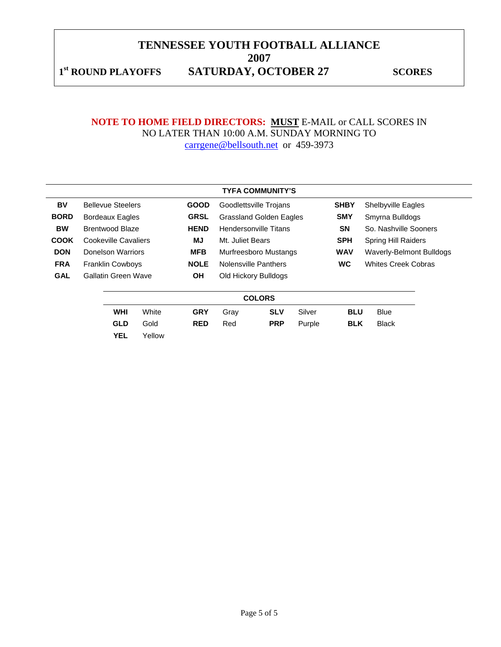**2007** 

1st ROUND PLAYOFFS SATURDAY, OCTOBER 27 SCORES

### **NOTE TO HOME FIELD DIRECTORS: MUST** E-MAIL or CALL SCORES IN NO LATER THAN 10:00 A.M. SUNDAY MORNING TO carrgene@bellsouth.net or 459-3973

|             | <b>TYFA COMMUNITY'S</b> |                            |        |             |                                |                        |            |                            |                           |  |
|-------------|-------------------------|----------------------------|--------|-------------|--------------------------------|------------------------|------------|----------------------------|---------------------------|--|
| BV          |                         | <b>Bellevue Steelers</b>   |        | <b>GOOD</b> |                                | Goodlettsville Trojans |            | <b>SHBY</b>                | <b>Shelbyville Eagles</b> |  |
| <b>BORD</b> |                         | <b>Bordeaux Eagles</b>     |        | <b>GRSL</b> | <b>Grassland Golden Eagles</b> |                        | <b>SMY</b> | Smyrna Bulldogs            |                           |  |
| <b>BW</b>   |                         | <b>Brentwood Blaze</b>     |        | <b>HEND</b> | <b>Hendersonville Titans</b>   |                        | <b>SN</b>  | So. Nashville Sooners      |                           |  |
| <b>COOK</b> |                         | Cookeville Cavaliers       |        | MJ          | Mt. Juliet Bears               |                        | <b>SPH</b> | <b>Spring Hill Raiders</b> |                           |  |
| <b>DON</b>  |                         | Donelson Warriors          |        | <b>MFB</b>  | Murfreesboro Mustangs          |                        | <b>WAV</b> | Waverly-Belmont Bulldogs   |                           |  |
| <b>FRA</b>  |                         | <b>Franklin Cowboys</b>    |        | <b>NOLE</b> | Nolensville Panthers           |                        | <b>WC</b>  | <b>Whites Creek Cobras</b> |                           |  |
| <b>GAL</b>  |                         | <b>Gallatin Green Wave</b> |        | <b>OH</b>   | Old Hickory Bulldogs           |                        |            |                            |                           |  |
|             |                         |                            |        |             |                                | <b>COLORS</b>          |            |                            |                           |  |
|             |                         | <b>WHI</b>                 | White  | <b>GRY</b>  | Gray                           | <b>SLV</b>             | Silver     | <b>BLU</b>                 | <b>Blue</b>               |  |
|             |                         | <b>GLD</b>                 | Gold   | <b>RED</b>  | Red                            | <b>PRP</b>             | Purple     | <b>BLK</b>                 | <b>Black</b>              |  |
|             |                         | <b>YEL</b>                 | Yellow |             |                                |                        |            |                            |                           |  |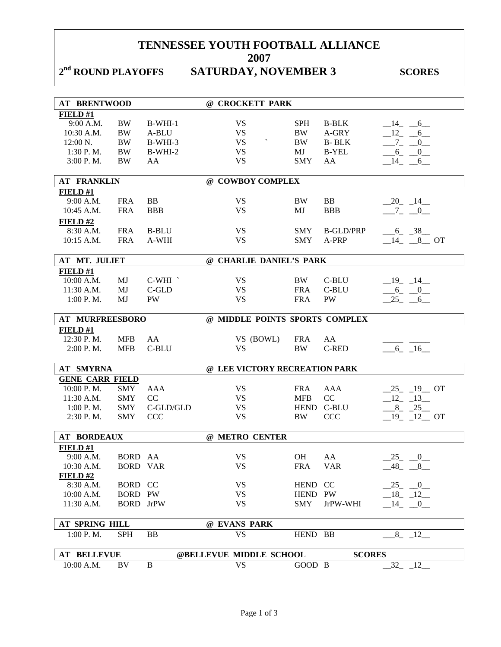2<sup>nd</sup> ROUND PLAYOFFS SATURDAY, NOVEMBER 3 SCORES

| <b>AT BRENTWOOD</b>    |                           |              | @ CROCKETT PARK                       |            |                  |                                      |
|------------------------|---------------------------|--------------|---------------------------------------|------------|------------------|--------------------------------------|
| FIELD#1                |                           |              |                                       |            |                  |                                      |
| 9:00 A.M.              | BW                        | $B-WHI-1$    | <b>VS</b>                             | <b>SPH</b> | <b>B-BLK</b>     | $-14$ $-6$                           |
| 10:30 A.M.             | <b>BW</b>                 | A-BLU        | <b>VS</b>                             | <b>BW</b>  | A-GRY            | $-12$ -<br>6                         |
| 12:00 N.               | $\rm BW$                  | B-WHI-3      | $\overline{\phantom{a}}$<br><b>VS</b> | <b>BW</b>  | <b>B-BLK</b>     | $-7 - 0$                             |
| $1:30$ P.M.            | BW                        | B-WHI-2      | <b>VS</b>                             | MJ         | <b>B-YEL</b>     | $-6 - -0$                            |
| 3:00 P. M.             | <b>BW</b>                 | AA           | <b>VS</b>                             | <b>SMY</b> | AA               | $-14$ $-6$                           |
| <b>AT FRANKLIN</b>     |                           |              | @ COWBOY COMPLEX                      |            |                  |                                      |
| FIELD#1                |                           |              |                                       |            |                  |                                      |
| 9:00 A.M.              | <b>FRA</b>                | <b>BB</b>    | <b>VS</b>                             | <b>BW</b>  | BB               | $-20$ $-14$                          |
| 10:45 A.M.             | <b>FRA</b>                | <b>BBB</b>   | <b>VS</b>                             | MJ         | <b>BBB</b>       | $-7 - 0$                             |
| <b>FIELD#2</b>         |                           |              |                                       |            |                  |                                      |
| 8:30 A.M.              | <b>FRA</b>                | <b>B-BLU</b> | <b>VS</b>                             | <b>SMY</b> | <b>B-GLD/PRP</b> | $-6 - 38$                            |
| 10:15 A.M.             | <b>FRA</b>                | A-WHI        | <b>VS</b>                             | <b>SMY</b> | A-PRP            | $-14$ $-8$ OT                        |
|                        |                           |              |                                       |            |                  |                                      |
| AT MT. JULIET          |                           |              | @ CHARLIE DANIEL'S PARK               |            |                  |                                      |
| FIELD#1                |                           |              |                                       |            |                  |                                      |
| 10:00 A.M.             | MJ                        | $C-WHI$      | <b>VS</b>                             | BW         | C-BLU            | $-19$ $-14$                          |
| 11:30 A.M.             | MJ                        | C-GLD        | <b>VS</b>                             | <b>FRA</b> | C-BLU            | $-6 - 0$                             |
| 1:00 P.M.              | MJ                        | <b>PW</b>    | <b>VS</b>                             | <b>FRA</b> | PW               | $-25 - -6$                           |
| AT MURFREESBORO        |                           |              | @ MIDDLE POINTS SPORTS COMPLEX        |            |                  |                                      |
| FIELD#1                |                           |              |                                       |            |                  |                                      |
| 12:30 P.M.             | <b>MFB</b>                | AA           | VS (BOWL)                             | <b>FRA</b> | AA               |                                      |
| 2:00 P.M.              | <b>MFB</b>                | C-BLU        | <b>VS</b>                             | <b>BW</b>  | C-RED            | $6 - 16$                             |
| AT SMYRNA              |                           |              | @ LEE VICTORY RECREATION PARK         |            |                  |                                      |
| <b>GENE CARR FIELD</b> |                           |              |                                       |            |                  |                                      |
| 10:00 P.M.             | <b>SMY</b>                | AAA          | <b>VS</b>                             | <b>FRA</b> | AAA              | $-25$ $-19$ OT                       |
| 11:30 A.M.             | <b>SMY</b>                | CC           | <b>VS</b>                             | <b>MFB</b> | CC               | $-12$ $-13$                          |
| $1:00$ P.M.            | <b>SMY</b>                | C-GLD/GLD    | <b>VS</b>                             |            | HEND C-BLU       | $-8$ $-25$                           |
| 2:30 P.M.              | <b>SMY</b>                | <b>CCC</b>   | <b>VS</b>                             | <b>BW</b>  | <b>CCC</b>       | $19 - 12$ OT                         |
|                        |                           |              |                                       |            |                  |                                      |
| <b>AT BORDEAUX</b>     |                           |              | @ METRO CENTER                        |            |                  |                                      |
| FIELD#1                |                           |              |                                       |            |                  |                                      |
| 9:00 A.M.              | BORD AA                   |              | <b>VS</b>                             | <b>OH</b>  | AA               | 25<br>$\overline{0}$                 |
| 10:30 A.M.<br>FIELD#2  | <b>BORD VAR</b>           |              | <b>VS</b>                             | <b>FRA</b> | <b>VAR</b>       | $-48$ <sub>-</sub> $-8$ <sub>-</sub> |
| 8:30 A.M.              |                           |              |                                       |            |                  | $25 - 0$                             |
| 10:00 A.M.             | BORD CC<br><b>BORD PW</b> |              | <b>VS</b>                             | HEND CC    |                  |                                      |
|                        |                           |              | <b>VS</b>                             | HEND PW    |                  | $18 - 12$                            |
| 11:30 A.M.             | <b>BORD</b> JrPW          |              | <b>VS</b>                             | SMY        | JrPW-WHI         | $-14$ $-0$                           |
| AT SPRING HILL         |                           |              | @ EVANS PARK                          |            |                  |                                      |
| 1:00 P.M.              | <b>SPH</b>                | <b>BB</b>    | <b>VS</b>                             | HEND BB    |                  | $8 - 12$                             |
|                        |                           |              |                                       |            |                  |                                      |
| <b>AT BELLEVUE</b>     |                           |              | @BELLEVUE MIDDLE SCHOOL<br><b>VS</b>  | GOOD B     | <b>SCORES</b>    | $-12$                                |
| 10:00 A.M.             | BV                        | B            |                                       |            |                  | 32                                   |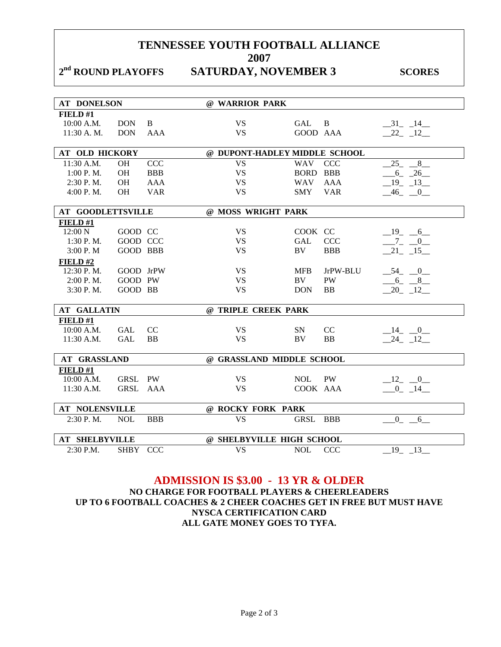### 2<sup>nd</sup> ROUND PLAYOFFS SATURDAY, NOVEMBER 3 SCORES

| <b>AT DONELSON</b>       |             |            | @ WARRIOR PARK                |            |            |             |
|--------------------------|-------------|------------|-------------------------------|------------|------------|-------------|
| FIELD#1                  |             |            |                               |            |            |             |
| 10:00 A.M.               | <b>DON</b>  | B          | <b>VS</b>                     | <b>GAL</b> | B          | $-31$ $-14$ |
| 11:30 A.M.               | <b>DON</b>  | <b>AAA</b> | <b>VS</b>                     | GOOD AAA   |            | $-22 - 12$  |
|                          |             |            |                               |            |            |             |
| <b>AT OLD HICKORY</b>    |             |            | @ DUPONT-HADLEY MIDDLE SCHOOL |            |            |             |
| 11:30 A.M.               | <b>OH</b>   | <b>CCC</b> | <b>VS</b>                     | <b>WAV</b> | <b>CCC</b> | 25<br>8     |
| $1:00$ P.M.              | <b>OH</b>   | <b>BBB</b> | <b>VS</b>                     | BORD BBB   |            | $-6 - 26$   |
| 2:30 P.M.                | <b>OH</b>   | <b>AAA</b> | <b>VS</b>                     | <b>WAV</b> | AAA        | $-19$ $-13$ |
| 4:00 P. M.               | <b>OH</b>   | <b>VAR</b> | <b>VS</b>                     | <b>SMY</b> | <b>VAR</b> | $-46$ $-0$  |
|                          |             |            |                               |            |            |             |
| <b>AT GOODLETTSVILLE</b> |             |            | @ MOSS WRIGHT PARK            |            |            |             |
| FIELD#1                  |             |            |                               |            |            |             |
| 12:00 N                  | GOOD CC     |            | <b>VS</b>                     | COOK CC    |            | $-19$ $-6$  |
| 1:30 P.M.                | GOOD CCC    |            | <b>VS</b>                     | GAL        | <b>CCC</b> | $-7 - 0$    |
| 3:00 P.M                 | GOOD BBB    |            | <b>VS</b>                     | <b>BV</b>  | <b>BBB</b> | $-21 - 15$  |
| FIELD#2                  |             |            |                               |            |            |             |
| 12:30 P.M.               | GOOD JrPW   |            | <b>VS</b>                     | <b>MFB</b> | JrPW-BLU   | $-54$ $-0$  |
| 2:00 P. M.               | GOOD PW     |            | <b>VS</b>                     | BV         | <b>PW</b>  | $-6 - 8$    |
| 3:30 P.M.                | GOOD BB     |            | <b>VS</b>                     | <b>DON</b> | <b>BB</b>  | $-20 - 12$  |
|                          |             |            |                               |            |            |             |
| <b>AT GALLATIN</b>       |             |            | @ TRIPLE CREEK PARK           |            |            |             |
| FIELD #1                 |             |            |                               |            |            |             |
| 10:00 A.M.               | <b>GAL</b>  | CC         | <b>VS</b>                     | <b>SN</b>  | CC         | $-14$ $-0$  |
| 11:30 A.M.               | <b>GAL</b>  | <b>BB</b>  | <b>VS</b>                     | BV         | <b>BB</b>  | 24 12       |
|                          |             |            |                               |            |            |             |
| <b>AT GRASSLAND</b>      |             |            | @ GRASSLAND MIDDLE SCHOOL     |            |            |             |
| FIELD#1                  |             |            |                               |            |            |             |
| 10:00 A.M.               | <b>GRSL</b> | <b>PW</b>  | <b>VS</b>                     | <b>NOL</b> | <b>PW</b>  | $-12$ $-0$  |
| $11:30$ A.M.             | GRSL AAA    |            | <b>VS</b>                     | COOK AAA   |            | $0 \t 14$   |
|                          |             |            |                               |            |            |             |
| <b>AT NOLENSVILLE</b>    |             |            | @ ROCKY FORK PARK             |            |            |             |
| 2:30 P.M.                | <b>NOL</b>  | <b>BBB</b> | <b>VS</b>                     | GRSL       | <b>BBB</b> | $0 - 6$     |
|                          |             |            |                               |            |            |             |
| <b>AT SHELBYVILLE</b>    |             |            | @ SHELBYVILLE HIGH SCHOOL     |            |            |             |
| 2:30 P.M.                | <b>SHBY</b> | <b>CCC</b> | <b>VS</b>                     | <b>NOL</b> | <b>CCC</b> | $-19$ $-13$ |
|                          |             |            |                               |            |            |             |

### **ADMISSION IS \$3.00 - 13 YR & OLDER NO CHARGE FOR FOOTBALL PLAYERS & CHEERLEADERS UP TO 6 FOOTBALL COACHES & 2 CHEER COACHES GET IN FREE BUT MUST HAVE NYSCA CERTIFICATION CARD ALL GATE MONEY GOES TO TYFA.**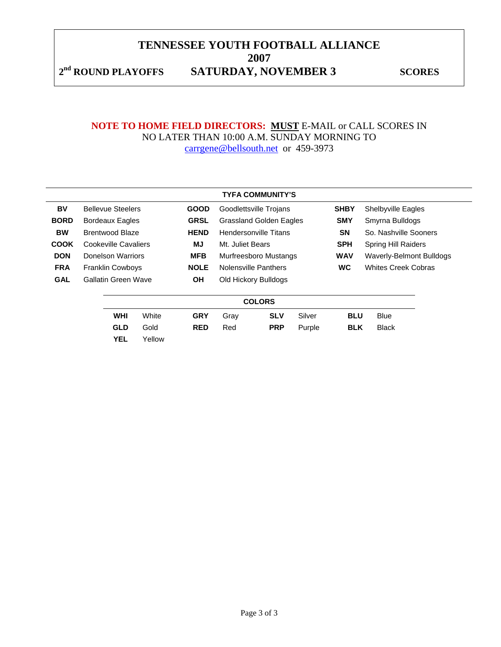2<sup>nd</sup> ROUND PLAYOFFS SATURDAY, NOVEMBER 3 SCORES

### **NOTE TO HOME FIELD DIRECTORS: MUST** E-MAIL or CALL SCORES IN NO LATER THAN 10:00 A.M. SUNDAY MORNING TO carrgene@bellsouth.net or 459-3973

|             |               |                            |       |             |                                | <b>TYFA COMMUNITY'S</b> |            |                            |                            |  |
|-------------|---------------|----------------------------|-------|-------------|--------------------------------|-------------------------|------------|----------------------------|----------------------------|--|
| BV          |               | <b>Bellevue Steelers</b>   |       | <b>GOOD</b> |                                | Goodlettsville Trojans  |            | <b>SHBY</b>                | <b>Shelbyville Eagles</b>  |  |
| <b>BORD</b> |               | <b>Bordeaux Eagles</b>     |       | <b>GRSL</b> | <b>Grassland Golden Eagles</b> |                         | <b>SMY</b> | Smyrna Bulldogs            |                            |  |
| <b>BW</b>   |               | <b>Brentwood Blaze</b>     |       | <b>HEND</b> | <b>Hendersonville Titans</b>   |                         | <b>SN</b>  | So. Nashville Sooners      |                            |  |
| <b>COOK</b> |               | Cookeville Cavaliers       |       | MJ          | Mt. Juliet Bears               |                         | <b>SPH</b> | <b>Spring Hill Raiders</b> |                            |  |
| <b>DON</b>  |               | Donelson Warriors          |       | <b>MFB</b>  | Murfreesboro Mustangs          |                         | <b>WAV</b> | Waverly-Belmont Bulldogs   |                            |  |
| <b>FRA</b>  |               | <b>Franklin Cowboys</b>    |       | <b>NOLE</b> |                                | Nolensville Panthers    |            | <b>WC</b>                  | <b>Whites Creek Cobras</b> |  |
| <b>GAL</b>  |               | <b>Gallatin Green Wave</b> |       | <b>OH</b>   |                                | Old Hickory Bulldogs    |            |                            |                            |  |
|             | <b>COLORS</b> |                            |       |             |                                |                         |            |                            |                            |  |
|             |               | <b>WHI</b>                 | White | <b>GRY</b>  | Gray                           | <b>SLV</b>              | Silver     | <b>BLU</b>                 | <b>Blue</b>                |  |
|             |               | <b>GLD</b>                 | Gold  | <b>RED</b>  | Red                            | <b>PRP</b>              | Purple     | <b>BLK</b>                 | <b>Black</b>               |  |

**YEL** Yellow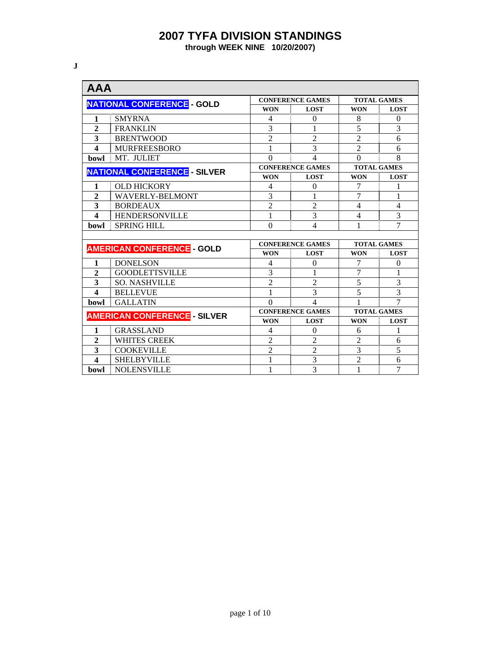**through WEEK NINE 10/20/2007)** 

**J** 

| <b>AAA</b>              |                                     |                |                          |                    |                |  |  |  |  |  |
|-------------------------|-------------------------------------|----------------|--------------------------|--------------------|----------------|--|--|--|--|--|
|                         | <b>NATIONAL CONFERENCE - GOLD</b>   |                | <b>CONFERENCE GAMES</b>  | <b>TOTAL GAMES</b> |                |  |  |  |  |  |
|                         |                                     | <b>WON</b>     | <b>LOST</b>              | <b>WON</b>         | <b>LOST</b>    |  |  |  |  |  |
| 1                       | <b>SMYRNA</b>                       | 4              | $\theta$                 | 8                  | $\theta$       |  |  |  |  |  |
| $\overline{2}$          | <b>FRANKLIN</b>                     | 3              | 1                        | $\overline{5}$     | 3              |  |  |  |  |  |
| 3                       | <b>BRENTWOOD</b>                    | $\overline{2}$ | $\overline{2}$           | $\overline{2}$     | 6              |  |  |  |  |  |
| $\overline{\mathbf{4}}$ | <b>MURFREESBORO</b>                 | 1              | 3                        | $\overline{2}$     | 6              |  |  |  |  |  |
| bowl                    | MT. JULIET                          | $\Omega$       | 4                        | $\Omega$           | 8              |  |  |  |  |  |
|                         | <b>NATIONAL CONFERENCE - SILVER</b> |                | <b>CONFERENCE GAMES</b>  | <b>TOTAL GAMES</b> |                |  |  |  |  |  |
|                         |                                     | <b>WON</b>     | <b>LOST</b>              | <b>WON</b>         | <b>LOST</b>    |  |  |  |  |  |
| 1                       | <b>OLD HICKORY</b>                  | 4              | $\Omega$                 | 7                  | 1              |  |  |  |  |  |
| $\overline{2}$          | <b>WAVERLY-BELMONT</b>              | 3              |                          | 7                  | 1              |  |  |  |  |  |
| 3                       | <b>BORDEAUX</b>                     | $\overline{2}$ | $\overline{2}$           | $\overline{4}$     | $\overline{4}$ |  |  |  |  |  |
| $\overline{\mathbf{A}}$ | <b>HENDERSONVILLE</b>               | 1              | 3                        | 4                  | 3              |  |  |  |  |  |
| bowl                    | <b>SPRING HILL</b>                  | $\theta$       | 4                        | 1                  | 7              |  |  |  |  |  |
|                         |                                     |                |                          |                    |                |  |  |  |  |  |
|                         | <b>AMERICAN CONFERENCE - GOLD</b>   |                | <b>CONFERENCE GAMES</b>  | <b>TOTAL GAMES</b> |                |  |  |  |  |  |
|                         |                                     | <b>WON</b>     | <b>LOST</b>              | <b>WON</b>         | <b>LOST</b>    |  |  |  |  |  |
| 1                       | <b>DONELSON</b>                     | 4              | $\Omega$                 | 7                  | $\Omega$       |  |  |  |  |  |
| $\overline{2}$          | <b>GOODLETTSVILLE</b>               | 3              | 1                        | 7                  | 1              |  |  |  |  |  |
| 3                       | <b>SO. NASHVILLE</b>                | $\overline{2}$ | 2                        | 5                  | 3              |  |  |  |  |  |
| $\overline{\mathbf{4}}$ | <b>BELLEVUE</b>                     | 1              | 3                        | 5                  | 3              |  |  |  |  |  |
| bowl                    | <b>GALLATIN</b>                     | $\Omega$       | $\overline{\mathcal{A}}$ |                    | 7              |  |  |  |  |  |
|                         | <b>AMERICAN CONFERENCE - SILVER</b> |                | <b>CONFERENCE GAMES</b>  | <b>TOTAL GAMES</b> |                |  |  |  |  |  |
|                         |                                     | <b>WON</b>     | <b>LOST</b>              | <b>WON</b>         | <b>LOST</b>    |  |  |  |  |  |
| 1                       | <b>GRASSLAND</b>                    | 4              | $\theta$                 | 6                  | 1              |  |  |  |  |  |
| $\overline{2}$          | <b>WHITES CREEK</b>                 | $\overline{2}$ | $\overline{2}$           | $\overline{2}$     | 6              |  |  |  |  |  |
| 3                       | <b>COOKEVILLE</b>                   | $\overline{2}$ | $\overline{2}$           | 3                  | 5              |  |  |  |  |  |
| $\Delta$                | <b>SHELBYVILLE</b>                  | 1              | 3                        | $\overline{2}$     | 6              |  |  |  |  |  |
| bowl                    | <b>NOLENSVILLE</b>                  | 1              | $\overline{3}$           | 1                  | $\overline{7}$ |  |  |  |  |  |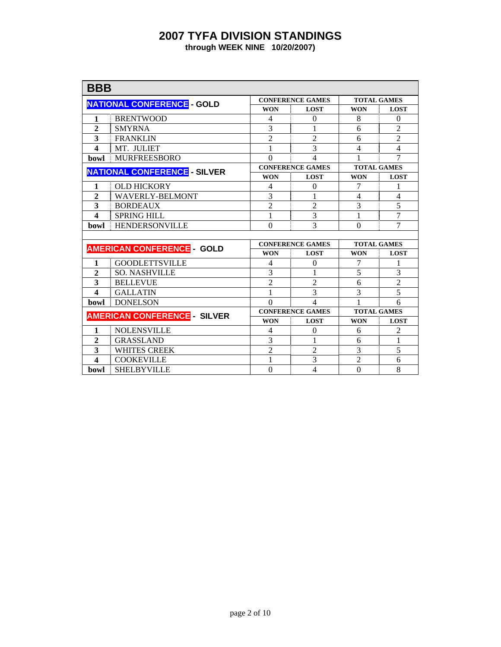| <b>BBB</b>              |                                     |                |                         |                    |                |  |  |
|-------------------------|-------------------------------------|----------------|-------------------------|--------------------|----------------|--|--|
|                         | <b>NATIONAL CONFERENCE - GOLD</b>   |                | <b>CONFERENCE GAMES</b> | <b>TOTAL GAMES</b> |                |  |  |
|                         |                                     | <b>WON</b>     | <b>LOST</b>             | <b>WON</b>         | <b>LOST</b>    |  |  |
| 1                       | <b>BRENTWOOD</b>                    | 4              | $\Omega$                | 8                  | $\theta$       |  |  |
| $\overline{2}$          | <b>SMYRNA</b>                       | 3              | 1                       | 6                  | $\overline{2}$ |  |  |
| 3                       | <b>FRANKLIN</b>                     | $\overline{2}$ | $\overline{2}$          | 6                  | $\overline{2}$ |  |  |
| $\boldsymbol{4}$        | MT. JULIET                          | 1              | 3                       | 4                  | $\overline{4}$ |  |  |
| <b>bowl</b>             | <b>MURFREESBORO</b>                 | $\Omega$       | 4                       | 1                  | 7              |  |  |
|                         | <b>NATIONAL CONFERENCE - SILVER</b> |                | <b>CONFERENCE GAMES</b> | <b>TOTAL GAMES</b> |                |  |  |
|                         |                                     | <b>WON</b>     | <b>LOST</b>             | <b>WON</b>         | <b>LOST</b>    |  |  |
| 1                       | <b>OLD HICKORY</b>                  | 4              | $\Omega$                | 7                  | 1              |  |  |
| $\overline{2}$          | <b>WAVERLY-BELMONT</b>              | 3              | 1                       | $\overline{4}$     | $\overline{4}$ |  |  |
| 3                       | <b>BORDEAUX</b>                     | $\overline{2}$ | $\overline{2}$          | $\overline{3}$     | 5              |  |  |
| $\overline{\mathbf{4}}$ | <b>SPRING HILL</b>                  | 1              | 3                       | 1                  | $\overline{7}$ |  |  |
| bowl                    | <b>HENDERSONVILLE</b>               | $\theta$       | 3                       | $\overline{0}$     | $\overline{7}$ |  |  |
|                         |                                     |                |                         |                    |                |  |  |
|                         | <b>AMERICAN CONFERENCE GOLD</b>     |                | <b>CONFERENCE GAMES</b> | <b>TOTAL GAMES</b> |                |  |  |
|                         |                                     | <b>WON</b>     | <b>LOST</b>             | <b>WON</b>         | <b>LOST</b>    |  |  |
| 1                       | <b>GOODLETTSVILLE</b>               | 4              | $\theta$                | 7                  | 1              |  |  |
| $\overline{2}$          | <b>SO. NASHVILLE</b>                | 3              |                         | 5                  | 3              |  |  |
| 3                       | <b>BELLEVUE</b>                     | $\overline{2}$ | $\overline{c}$          | 6                  | $\overline{c}$ |  |  |
| $\overline{\mathbf{4}}$ | <b>GALLATIN</b>                     | 1              | 3                       | 3                  | 5              |  |  |
| <b>bowl</b>             | <b>DONELSON</b>                     | $\Omega$       | 4                       | 1                  | 6              |  |  |
|                         | <b>AMERICAN CONFERENCE - SILVER</b> |                | <b>CONFERENCE GAMES</b> | <b>TOTAL GAMES</b> |                |  |  |
|                         |                                     | <b>WON</b>     | <b>LOST</b>             | <b>WON</b>         | <b>LOST</b>    |  |  |
| 1                       | <b>NOLENSVILLE</b>                  | 4              | $\theta$                | 6                  | $\overline{2}$ |  |  |
| $\overline{2}$          | <b>GRASSLAND</b>                    | 3              | 1                       | 6                  | 1              |  |  |
| 3                       | <b>WHITES CREEK</b>                 | $\overline{2}$ | $\overline{2}$          | 3                  | 5              |  |  |
| 4                       | <b>COOKEVILLE</b>                   | 1              | 3                       | $\overline{2}$     | 6              |  |  |
| bowl                    | <b>SHELBYVILLE</b>                  | $\theta$       | $\overline{4}$          | $\theta$           | 8              |  |  |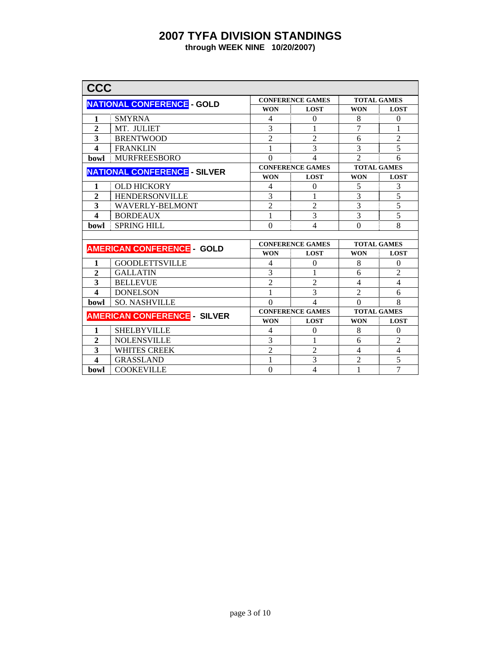| <b>CCC</b>              |                                     |                |                          |                    |                |  |  |
|-------------------------|-------------------------------------|----------------|--------------------------|--------------------|----------------|--|--|
|                         | <b>NATIONAL CONFERENCE - GOLD</b>   |                | <b>CONFERENCE GAMES</b>  | <b>TOTAL GAMES</b> |                |  |  |
|                         |                                     | <b>WON</b>     | <b>LOST</b>              | <b>WON</b>         | <b>LOST</b>    |  |  |
| 1                       | <b>SMYRNA</b>                       | 4              | $\Omega$                 | 8                  | $\theta$       |  |  |
| $\overline{2}$          | MT. JULIET                          | 3              | 1                        | 7                  | 1              |  |  |
| 3                       | <b>BRENTWOOD</b>                    | $\overline{2}$ | $\overline{2}$           | 6                  | $\overline{2}$ |  |  |
| $\boldsymbol{4}$        | <b>FRANKLIN</b>                     | 1              | 3                        | 3                  | $\overline{5}$ |  |  |
| <b>bowl</b>             | <b>MURFREESBORO</b>                 | $\theta$       | 4                        | $\overline{2}$     | 6              |  |  |
|                         | <b>NATIONAL CONFERENCE - SILVER</b> |                | <b>CONFERENCE GAMES</b>  | <b>TOTAL GAMES</b> |                |  |  |
|                         |                                     | <b>WON</b>     | <b>LOST</b>              | <b>WON</b>         | <b>LOST</b>    |  |  |
| 1                       | <b>OLD HICKORY</b>                  | 4              | $\Omega$                 | 5                  | 3              |  |  |
| $\overline{2}$          | <b>HENDERSONVILLE</b>               | 3              | 1                        | 3                  | 5              |  |  |
| 3                       | <b>WAVERLY-BELMONT</b>              | $\overline{2}$ | $\overline{2}$           | $\overline{3}$     | 5              |  |  |
| $\boldsymbol{4}$        | <b>BORDEAUX</b>                     | 1              | 3                        | 3                  | $\overline{5}$ |  |  |
| <b>bowl</b>             | <b>SPRING HILL</b>                  | $\Omega$       | 4                        | $\Omega$           | 8              |  |  |
|                         |                                     |                |                          |                    |                |  |  |
|                         | <b>AMERICAN CONFERENCE GOLD</b>     |                | <b>CONFERENCE GAMES</b>  | <b>TOTAL GAMES</b> |                |  |  |
|                         |                                     | <b>WON</b>     | <b>LOST</b>              | <b>WON</b>         | <b>LOST</b>    |  |  |
| 1                       | <b>GOODLETTSVILLE</b>               | 4              | $\Omega$                 | 8                  | $\overline{0}$ |  |  |
| $\mathbf{2}$            | <b>GALLATIN</b>                     | 3              | 1                        | 6                  | $\overline{c}$ |  |  |
| 3                       | <b>BELLEVUE</b>                     | $\overline{2}$ | $\overline{2}$           | 4                  | $\overline{4}$ |  |  |
| $\overline{\mathbf{4}}$ | <b>DONELSON</b>                     | 1              | 3                        | $\overline{2}$     | 6              |  |  |
| <b>bowl</b>             | <b>SO. NASHVILLE</b>                | $\Omega$       | $\overline{\mathcal{L}}$ | $\theta$           | 8              |  |  |
|                         | <b>AMERICAN CONFERENCE - SILVER</b> |                | <b>CONFERENCE GAMES</b>  | <b>TOTAL GAMES</b> |                |  |  |
|                         |                                     | <b>WON</b>     | <b>LOST</b>              | <b>WON</b>         | <b>LOST</b>    |  |  |
| 1                       | <b>SHELBYVILLE</b>                  | 4              | $\theta$                 | 8                  | $\Omega$       |  |  |
| $\overline{2}$          | <b>NOLENSVILLE</b>                  | 3              | 1                        | 6                  | $\overline{2}$ |  |  |
| 3                       | <b>WHITES CREEK</b>                 | $\overline{2}$ | $\overline{2}$           | $\overline{4}$     | $\overline{4}$ |  |  |
| $\overline{\mathbf{A}}$ | <b>GRASSLAND</b>                    | 1              | 3                        | $\overline{2}$     | $\overline{5}$ |  |  |
| bowl                    | <b>COOKEVILLE</b>                   | $\Omega$       | 4                        | 1                  | $\overline{7}$ |  |  |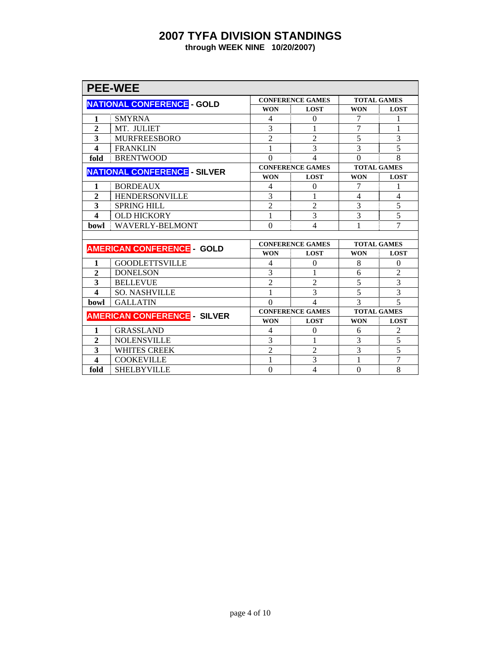| <b>PEE-WEE</b>          |                                     |                |                          |                    |                    |  |  |
|-------------------------|-------------------------------------|----------------|--------------------------|--------------------|--------------------|--|--|
|                         | <b>NATIONAL CONFERENCE - GOLD</b>   |                | <b>CONFERENCE GAMES</b>  | <b>TOTAL GAMES</b> |                    |  |  |
|                         |                                     | <b>WON</b>     | <b>LOST</b>              | <b>WON</b>         | <b>LOST</b>        |  |  |
| 1                       | <b>SMYRNA</b>                       | 4              | $\Omega$                 | 7                  | 1                  |  |  |
| $\overline{2}$          | MT. JULIET                          | 3              |                          | 7                  | 1                  |  |  |
| 3                       | <b>MURFREESBORO</b>                 | $\overline{2}$ | $\overline{2}$           | 5                  | 3                  |  |  |
| $\boldsymbol{4}$        | <b>FRANKLIN</b>                     | 1              | 3                        | 3                  | $\overline{5}$     |  |  |
| fold                    | <b>BRENTWOOD</b>                    | $\Omega$       | $\overline{\mathcal{L}}$ | $\theta$           | 8                  |  |  |
|                         | <b>NATIONAL CONFERENCE - SILVER</b> |                | <b>CONFERENCE GAMES</b>  | <b>TOTAL GAMES</b> |                    |  |  |
|                         |                                     | <b>WON</b>     | <b>LOST</b>              | <b>WON</b>         | <b>LOST</b>        |  |  |
| 1                       | <b>BORDEAUX</b>                     | 4              | $\Omega$                 | 7                  | 1                  |  |  |
| $\overline{2}$          | <b>HENDERSONVILLE</b>               | 3              | 1                        | 4                  | 4                  |  |  |
| 3                       | <b>SPRING HILL</b>                  | $\overline{2}$ | $\overline{2}$           | 3                  | $\overline{5}$     |  |  |
| $\overline{\mathbf{A}}$ | <b>OLD HICKORY</b>                  | 1              | 3                        | 3                  | $\overline{5}$     |  |  |
| bowl                    | <b>WAVERLY-BELMONT</b>              | $\theta$       | $\overline{4}$           |                    | $\overline{7}$     |  |  |
|                         |                                     |                |                          |                    |                    |  |  |
|                         | <b>AMERICAN CONFERENCE GOLD</b>     |                | <b>CONFERENCE GAMES</b>  |                    | <b>TOTAL GAMES</b> |  |  |
|                         |                                     | <b>WON</b>     | <b>LOST</b>              | <b>WON</b>         | <b>LOST</b>        |  |  |
| 1                       | <b>GOODLETTSVILLE</b>               | 4              | $\theta$                 | 8                  | $\overline{0}$     |  |  |
| $\overline{2}$          | <b>DONELSON</b>                     | 3              | 1                        | 6                  | $\overline{2}$     |  |  |
| 3                       | <b>BELLEVUE</b>                     | $\overline{2}$ | $\overline{2}$           | 5                  | 3                  |  |  |
| $\overline{\mathbf{A}}$ | <b>SO. NASHVILLE</b>                | 1              | 3                        | 5                  | $\overline{3}$     |  |  |
| bowl                    | <b>GALLATIN</b>                     | $\Omega$       | $\overline{\mathcal{L}}$ | $\mathcal{R}$      | $\overline{5}$     |  |  |
|                         | <b>AMERICAN CONFERENCE - SILVER</b> |                | <b>CONFERENCE GAMES</b>  | <b>TOTAL GAMES</b> |                    |  |  |
|                         |                                     | <b>WON</b>     | <b>LOST</b>              | <b>WON</b>         | <b>LOST</b>        |  |  |
| 1                       | <b>GRASSLAND</b>                    | 4              | $\Omega$                 | 6                  | $\overline{2}$     |  |  |
| $\overline{2}$          | <b>NOLENSVILLE</b>                  | 3              | 1                        | 3                  | $\overline{5}$     |  |  |
| 3                       | <b>WHITES CREEK</b>                 | $\overline{2}$ | $\overline{2}$           | 3                  | 5                  |  |  |
| 4                       | <b>COOKEVILLE</b>                   | 1              | 3                        | 1                  | $\overline{7}$     |  |  |
| fold                    | <b>SHELBYVILLE</b>                  | $\theta$       | $\overline{\mathcal{L}}$ | $\theta$           | 8                  |  |  |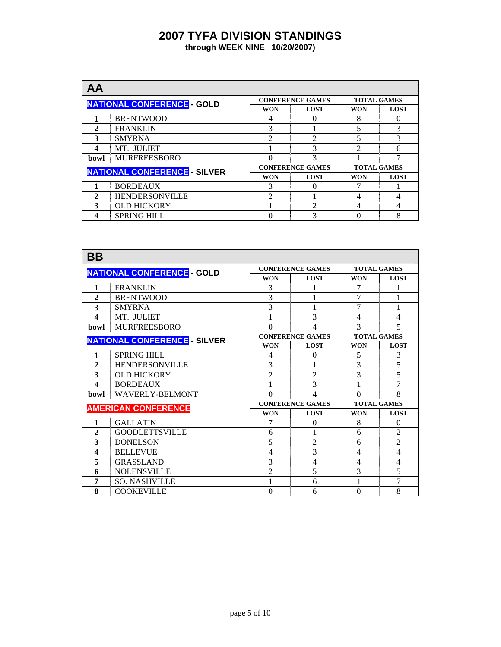| AA           |                                     |            |                         |                    |             |  |
|--------------|-------------------------------------|------------|-------------------------|--------------------|-------------|--|
|              | <b>NATIONAL CONFERENCE - GOLD</b>   |            | <b>CONFERENCE GAMES</b> | <b>TOTAL GAMES</b> |             |  |
|              |                                     | <b>WON</b> | <b>LOST</b>             | WON                | <b>LOST</b> |  |
|              | <b>BRENTWOOD</b>                    | 4          |                         | 8                  |             |  |
| $\mathbf{2}$ | <b>FRANKLIN</b>                     | 3          |                         | 5                  | 3           |  |
| 3            | <b>SMYRNA</b>                       | C          | っ                       | 5                  | 3           |  |
| 4            | MT. JULIET                          |            | 3                       | $\mathfrak{D}$     | 6           |  |
| bowl         | <b>MURFREESBORO</b>                 |            | 3                       |                    |             |  |
|              | <b>NATIONAL CONFERENCE - SILVER</b> |            | <b>CONFERENCE GAMES</b> | <b>TOTAL GAMES</b> |             |  |
|              |                                     | <b>WON</b> | <b>LOST</b>             | WON                | <b>LOST</b> |  |
|              | <b>BORDEAUX</b>                     | 3          | $\left( \right)$        |                    |             |  |
| $\mathbf{2}$ | <b>HENDERSONVILLE</b>               | C          |                         | 4                  | 4           |  |
| $\mathbf{3}$ | <b>OLD HICKORY</b>                  |            | っ                       | 4                  | 4           |  |
|              | <b>SPRING HILL</b>                  |            | 3                       |                    | 8           |  |

| BB                                  |                                   |                         |                         |                    |                |
|-------------------------------------|-----------------------------------|-------------------------|-------------------------|--------------------|----------------|
|                                     | <b>NATIONAL CONFERENCE - GOLD</b> |                         | <b>CONFERENCE GAMES</b> | <b>TOTAL GAMES</b> |                |
|                                     |                                   | <b>WON</b>              | <b>LOST</b>             | <b>WON</b>         | <b>LOST</b>    |
| 1                                   | <b>FRANKLIN</b>                   | 3                       |                         | 7                  |                |
| $\overline{2}$                      | <b>BRENTWOOD</b>                  | 3                       | 1                       | 7                  | 1              |
| 3                                   | <b>SMYRNA</b>                     | 3                       | 1                       | $\overline{7}$     | 1              |
| 4                                   | MT. JULIET                        |                         | 3                       | 4                  | $\overline{4}$ |
| bowl                                | <b>MURFREESBORO</b>               | $\Omega$                | 4                       | 3                  | 5              |
| <b>NATIONAL CONFERENCE - SILVER</b> |                                   |                         | <b>CONFERENCE GAMES</b> | <b>TOTAL GAMES</b> |                |
|                                     |                                   | <b>WON</b>              | <b>LOST</b>             | <b>WON</b>         | <b>LOST</b>    |
| 1                                   | <b>SPRING HILL</b>                | 4                       | $\Omega$                | 5                  | 3              |
| 2                                   | <b>HENDERSONVILLE</b>             | 3                       |                         |                    | $\overline{5}$ |
| 3                                   | <b>OLD HICKORY</b>                | $\overline{2}$          | $\overline{2}$          | 3                  | 5              |
| $\overline{\mathbf{4}}$             | <b>BORDEAUX</b>                   |                         | 3                       |                    | 7              |
| bowl                                | <b>WAVERLY-BELMONT</b>            | $\Omega$                | 4                       | $\Omega$           | 8              |
|                                     | <b>AMERICAN CONFERENCE</b>        | <b>CONFERENCE GAMES</b> |                         | <b>TOTAL GAMES</b> |                |
|                                     |                                   | <b>WON</b>              | <b>LOST</b>             | <b>WON</b>         | <b>LOST</b>    |
| 1                                   | <b>GALLATIN</b>                   | 7                       | $\theta$                | 8                  | $\theta$       |
| $\overline{2}$                      | <b>GOODLETTSVILLE</b>             | 6                       |                         | 6                  | $\overline{2}$ |
| 3                                   | <b>DONELSON</b>                   | 5                       | $\mathfrak{D}$          | 6                  | $\overline{2}$ |
| 4                                   | <b>BELLEVUE</b>                   | $\overline{4}$          | 3                       | 4                  | $\overline{4}$ |
| 5                                   | <b>GRASSLAND</b>                  | 3                       | $\overline{4}$          | 4                  | $\overline{4}$ |
| 6                                   | <b>NOLENSVILLE</b>                | $\overline{2}$          | 5                       | 3                  | 5              |
| 7                                   | <b>SO. NASHVILLE</b>              |                         | 6                       |                    | 7              |
| 8                                   | <b>COOKEVILLE</b>                 | $\Omega$                | 6                       | $\Omega$           | 8              |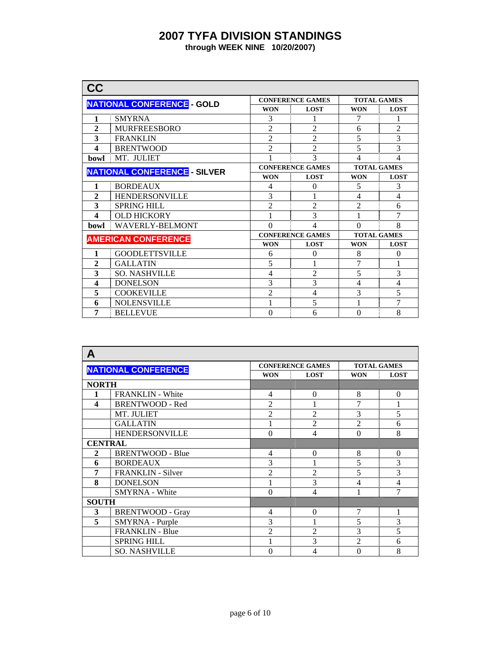| CC                                  |                                   |                |                         |                    |                    |  |
|-------------------------------------|-----------------------------------|----------------|-------------------------|--------------------|--------------------|--|
|                                     | <b>NATIONAL CONFERENCE - GOLD</b> |                | <b>CONFERENCE GAMES</b> | <b>TOTAL GAMES</b> |                    |  |
|                                     |                                   | <b>WON</b>     | <b>LOST</b>             | <b>WON</b>         | <b>LOST</b>        |  |
| 1                                   | <b>SMYRNA</b>                     | 3              |                         | 7                  |                    |  |
| $\overline{2}$                      | <b>MURFREESBORO</b>               | $\overline{2}$ | $\overline{2}$          | 6                  | $\overline{2}$     |  |
| 3                                   | <b>FRANKLIN</b>                   | $\overline{2}$ | $\mathfrak{D}$          | 5                  | 3                  |  |
| 4                                   | <b>BRENTWOOD</b>                  | $\overline{c}$ | $\overline{2}$          | 5                  | $\overline{3}$     |  |
| <b>bowl</b>                         | MT. JULIET                        |                | $\mathcal{R}$           | 4                  | 4                  |  |
| <b>NATIONAL CONFERENCE - SILVER</b> |                                   |                | <b>CONFERENCE GAMES</b> |                    | <b>TOTAL GAMES</b> |  |
|                                     |                                   | <b>WON</b>     | <b>LOST</b>             | <b>WON</b>         | <b>LOST</b>        |  |
| 1                                   | <b>BORDEAUX</b>                   | 4              | $\theta$                | 5                  | 3                  |  |
| $\mathbf{2}$                        | <b>HENDERSONVILLE</b>             | 3              |                         | 4                  | 4                  |  |
| 3                                   | <b>SPRING HILL</b>                | $\overline{2}$ | $\mathfrak{D}$          | $\mathfrak{D}$     | 6                  |  |
| 4                                   | <b>OLD HICKORY</b>                |                | 3                       |                    | 7                  |  |
| <b>bowl</b>                         | <b>WAVERLY-BELMONT</b>            | $\Omega$       | 4                       | $\Omega$           | 8                  |  |
|                                     | <b>AMERICAN CONFERENCE</b>        |                | <b>CONFERENCE GAMES</b> | <b>TOTAL GAMES</b> |                    |  |
|                                     |                                   | <b>WON</b>     | <b>LOST</b>             | <b>WON</b>         | <b>LOST</b>        |  |
| 1                                   | <b>GOODLETTSVILLE</b>             | 6              | $\theta$                | 8                  | $\overline{0}$     |  |
| $\overline{2}$                      | <b>GALLATIN</b>                   | 5              |                         | 7                  | 1                  |  |
| 3                                   | <b>SO. NASHVILLE</b>              | 4              | $\overline{c}$          | 5                  | 3                  |  |
| $\overline{\mathbf{4}}$             | <b>DONELSON</b>                   | 3              | 3                       | 4                  | $\overline{4}$     |  |
| 5                                   | <b>COOKEVILLE</b>                 | $\overline{2}$ | 4                       | 3                  | 5                  |  |
| 6                                   | <b>NOLENSVILLE</b>                | 1              | 5                       | 1                  | 7                  |  |
| 7                                   | <b>BELLEVUE</b>                   | $\theta$       | 6                       | $\theta$           | 8                  |  |

| A                       |                            |                |                         |                |                    |  |
|-------------------------|----------------------------|----------------|-------------------------|----------------|--------------------|--|
|                         | <b>NATIONAL CONFERENCE</b> |                | <b>CONFERENCE GAMES</b> |                | <b>TOTAL GAMES</b> |  |
|                         |                            | <b>WON</b>     | <b>LOST</b>             | <b>WON</b>     | <b>LOST</b>        |  |
| <b>NORTH</b>            |                            |                |                         |                |                    |  |
| 1                       | <b>FRANKLIN</b> - White    | 4              | $\Omega$                | 8              | $\Omega$           |  |
| $\overline{\mathbf{4}}$ | <b>BRENTWOOD - Red</b>     | $\overline{2}$ |                         | 7              | 1                  |  |
|                         | MT. JULIET                 | $\overline{2}$ | $\overline{2}$          | 3              | 5                  |  |
|                         | <b>GALLATIN</b>            |                | $\overline{2}$          | $\overline{2}$ | 6                  |  |
| <b>HENDERSONVILLE</b>   |                            | $\overline{0}$ | $\overline{4}$          | $\theta$       | 8                  |  |
| <b>CENTRAL</b>          |                            |                |                         |                |                    |  |
| $\mathbf{2}$            | <b>BRENTWOOD - Blue</b>    | 4              | $\Omega$                | 8              | $\Omega$           |  |
| 6                       | <b>BORDEAUX</b>            | 3              |                         | 5              | 3                  |  |
| 7                       | <b>FRANKLIN</b> - Silver   | $\overline{c}$ | 2                       | 5              | 3                  |  |
| 8                       | <b>DONELSON</b>            |                | 3                       | 4              | 4                  |  |
|                         | <b>SMYRNA</b> - White      | $\Omega$       | 4                       | 1              | $\overline{7}$     |  |
| <b>SOUTH</b>            |                            |                |                         |                |                    |  |
| 3                       | <b>BRENTWOOD - Gray</b>    | 4              | $\theta$                | 7              | 1                  |  |
| 5                       | SMYRNA - Purple            | 3              |                         | 5              | 3                  |  |
|                         | <b>FRANKLIN - Blue</b>     | 2              | $\mathfrak{D}$          | 3              | 5                  |  |
|                         | <b>SPRING HILL</b>         |                | 3                       | $\overline{2}$ | 6                  |  |
|                         | <b>SO. NASHVILLE</b>       | 0              | 4                       | $\theta$       | 8                  |  |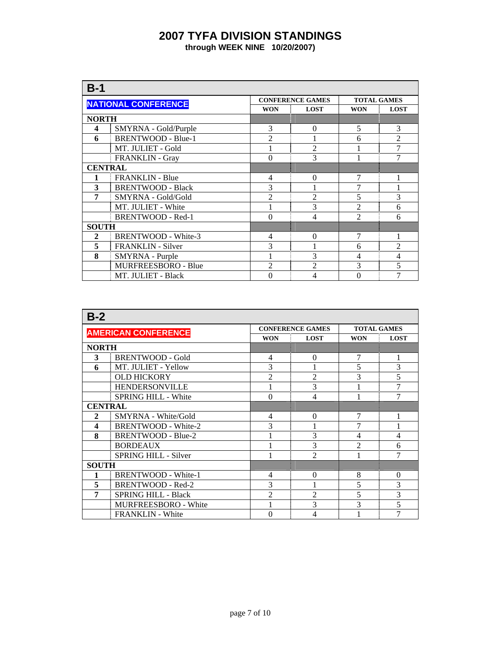| $B-1$                  |                            |                |                         |                    |                |  |
|------------------------|----------------------------|----------------|-------------------------|--------------------|----------------|--|
|                        | <b>NATIONAL CONFERENCE</b> |                | <b>CONFERENCE GAMES</b> | <b>TOTAL GAMES</b> |                |  |
|                        |                            | <b>WON</b>     | <b>LOST</b>             | <b>WON</b>         | <b>LOST</b>    |  |
|                        | <b>NORTH</b>               |                |                         |                    |                |  |
| 4                      | SMYRNA - Gold/Purple       | 3              | $\Omega$                | 5                  | 3              |  |
| 6                      | <b>BRENTWOOD - Blue-1</b>  | $\overline{2}$ |                         | 6                  | $\overline{2}$ |  |
|                        | MT. JULIET - Gold          |                | $\overline{2}$          |                    | $\overline{7}$ |  |
| <b>FRANKLIN - Gray</b> |                            | $\theta$       | 3                       |                    | 7              |  |
| <b>CENTRAL</b>         |                            |                |                         |                    |                |  |
|                        | <b>FRANKLIN - Blue</b>     | 4              | $\Omega$                |                    |                |  |
| 3                      | <b>BRENTWOOD - Black</b>   | 3              |                         | 7                  |                |  |
| 7                      | SMYRNA - Gold/Gold         | $\overline{2}$ | $\overline{2}$          | 5                  | 3              |  |
|                        | MT. JULIET - White         |                | 3                       | $\overline{2}$     | 6              |  |
|                        | <b>BRENTWOOD - Red-1</b>   | $\theta$       | 4                       | $\overline{2}$     | 6              |  |
| <b>SOUTH</b>           |                            |                |                         |                    |                |  |
| 2                      | <b>BRENTWOOD - White-3</b> | 4              | $\Omega$                | 7                  |                |  |
| 5                      | <b>FRANKLIN</b> - Silver   | 3              |                         | 6                  | $\overline{2}$ |  |
| 8                      | SMYRNA - Purple            |                | 3                       | 4                  | $\overline{4}$ |  |
|                        | <b>MURFREESBORO - Blue</b> | 2              | $\mathfrak{D}$          | 3                  | 5              |  |
|                        | MT. JULIET - Black         | $\theta$       | 4                       | 0                  | 7              |  |

| $B-2$          |                             |                |                          |                    |                |  |  |
|----------------|-----------------------------|----------------|--------------------------|--------------------|----------------|--|--|
|                | <b>AMERICAN CONFERENCE</b>  |                | <b>CONFERENCE GAMES</b>  | <b>TOTAL GAMES</b> |                |  |  |
|                |                             | <b>WON</b>     | <b>LOST</b>              | <b>WON</b>         | <b>LOST</b>    |  |  |
| <b>NORTH</b>   |                             |                |                          |                    |                |  |  |
| 3              | <b>BRENTWOOD - Gold</b>     | $\overline{4}$ | $\Omega$                 | 7                  | 1              |  |  |
| 6              | MT. JULIET - Yellow         | 3              |                          | 5                  | 3              |  |  |
|                | <b>OLD HICKORY</b>          | $\overline{2}$ | $\overline{2}$           | 3                  | 5              |  |  |
|                | <b>HENDERSONVILLE</b>       |                | 3                        |                    | 7              |  |  |
|                | SPRING HILL - White         | $\theta$       | $\overline{4}$           |                    | 7              |  |  |
| <b>CENTRAL</b> |                             |                |                          |                    |                |  |  |
| $\mathbf{2}$   | SMYRNA - White/Gold         | 4              | $\Omega$                 | $\overline{7}$     |                |  |  |
| 4              | <b>BRENTWOOD - White-2</b>  | 3              |                          |                    |                |  |  |
| 8              | BRENTWOOD - Blue-2          |                | 3                        | $\overline{4}$     | 4              |  |  |
|                | <b>BORDEAUX</b>             |                | 3                        | $\mathfrak{D}$     | 6              |  |  |
|                | SPRING HILL - Silver        |                | $\overline{\mathcal{L}}$ |                    | 7              |  |  |
| <b>SOUTH</b>   |                             |                |                          |                    |                |  |  |
|                | <b>BRENTWOOD - White-1</b>  | 4              | $\Omega$                 | 8                  | $\overline{0}$ |  |  |
| 5              | <b>BRENTWOOD - Red-2</b>    | 3              |                          | 5                  | 3              |  |  |
| 7              | <b>SPRING HILL - Black</b>  | $\overline{2}$ | $\overline{2}$           | 5                  | 3              |  |  |
|                | <b>MURFREESBORO - White</b> |                | 3                        | 3                  | $\overline{5}$ |  |  |
|                | <b>FRANKLIN</b> - White     | $\Omega$       | 4                        |                    | 7              |  |  |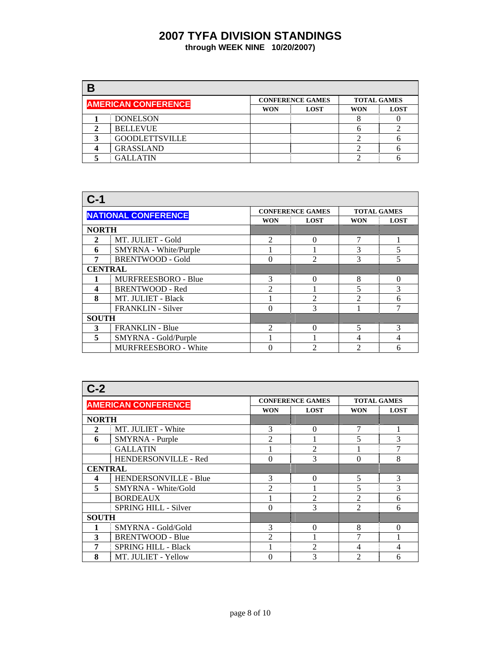| В |                            |            |                         |                    |             |
|---|----------------------------|------------|-------------------------|--------------------|-------------|
|   | <b>AMERICAN CONFERENCE</b> |            | <b>CONFERENCE GAMES</b> | <b>TOTAL GAMES</b> |             |
|   |                            | <b>WON</b> | <b>LOST</b>             |                    | <b>LOST</b> |
|   | <b>DONELSON</b>            |            |                         |                    |             |
|   | <b>BELLEVUE</b>            |            |                         |                    |             |
|   | <b>GOODLETTSVILLE</b>      |            |                         |                    |             |
|   | <b>GRASSLAND</b>           |            |                         |                    |             |
|   | <b>GALLATIN</b>            |            |                         |                    |             |

| $C-1$          |                             |                           |                         |                    |             |  |  |  |
|----------------|-----------------------------|---------------------------|-------------------------|--------------------|-------------|--|--|--|
|                | <b>NATIONAL CONFERENCE</b>  |                           | <b>CONFERENCE GAMES</b> | <b>TOTAL GAMES</b> |             |  |  |  |
|                |                             | <b>WON</b><br><b>LOST</b> |                         | <b>WON</b>         | <b>LOST</b> |  |  |  |
| <b>NORTH</b>   |                             |                           |                         |                    |             |  |  |  |
| $\mathbf{2}$   | MT. JULIET - Gold           | $\mathcal{D}$             | 0                       | 7                  |             |  |  |  |
| 6              | SMYRNA - White/Purple       |                           |                         | 3                  | 5           |  |  |  |
| 7              | <b>BRENTWOOD - Gold</b>     | $\mathfrak{D}$            | 3                       | 5                  |             |  |  |  |
| <b>CENTRAL</b> |                             |                           |                         |                    |             |  |  |  |
|                | <b>MURFREESBORO - Blue</b>  | 3                         | 0                       | 8                  | $\Omega$    |  |  |  |
| 4              | <b>BRENTWOOD - Red</b>      | $\mathfrak{D}$            |                         | 5                  | 3           |  |  |  |
| 8              | MT. JULIET - Black          |                           | $\mathfrak{D}$          | $\mathcal{D}$      | 6           |  |  |  |
|                | <b>FRANKLIN - Silver</b>    | $\Omega$                  | 3                       |                    | 7           |  |  |  |
| <b>SOUTH</b>   |                             |                           |                         |                    |             |  |  |  |
| 3              | <b>FRANKLIN - Blue</b>      | $\mathcal{D}$             | 0                       | 5                  | 3           |  |  |  |
| 5              | SMYRNA - Gold/Purple        |                           |                         | 4                  | 4           |  |  |  |
|                | <b>MURFREESBORO - White</b> | $\Omega$                  | 2                       | 2                  | 6           |  |  |  |

| $C-2$          |                             |                           |                         |                    |             |  |  |  |
|----------------|-----------------------------|---------------------------|-------------------------|--------------------|-------------|--|--|--|
|                | <b>AMERICAN CONFERENCE</b>  |                           | <b>CONFERENCE GAMES</b> | <b>TOTAL GAMES</b> |             |  |  |  |
|                |                             | <b>LOST</b><br><b>WON</b> |                         | <b>WON</b>         | <b>LOST</b> |  |  |  |
| <b>NORTH</b>   |                             |                           |                         |                    |             |  |  |  |
| 2              | MT. JULIET - White          | 3                         | 0                       | 7                  |             |  |  |  |
| 6              | SMYRNA - Purple             | $\mathfrak{D}$            |                         | 5                  | 3           |  |  |  |
|                | <b>GALLATIN</b>             | $\overline{2}$            |                         |                    | 7           |  |  |  |
|                | HENDERSONVILLE - Red        | 3<br>$\Omega$             |                         |                    |             |  |  |  |
| <b>CENTRAL</b> |                             |                           |                         |                    |             |  |  |  |
| 4              | HENDERSONVILLE - Blue       | 3                         | 0                       | 5                  | 3           |  |  |  |
| 5              | SMYRNA - White/Gold         | $\mathfrak{D}$            |                         | 5                  | 3           |  |  |  |
|                | <b>BORDEAUX</b>             |                           | $\overline{2}$          | $\mathfrak{D}$     | 6           |  |  |  |
|                | <b>SPRING HILL - Silver</b> | $\theta$                  | 3                       | $\mathfrak{D}$     | 6           |  |  |  |
| <b>SOUTH</b>   |                             |                           |                         |                    |             |  |  |  |
|                | SMYRNA - Gold/Gold          | 3                         | 0                       | 8                  | $\Omega$    |  |  |  |
| 3              | <b>BRENTWOOD - Blue</b>     | $\mathfrak{D}$            |                         | 7                  |             |  |  |  |
| 7              | <b>SPRING HILL - Black</b>  |                           | $\overline{2}$          | 4                  | 4           |  |  |  |
| 8              | MT. JULIET - Yellow         | $\theta$                  | 3                       | $\overline{c}$     | 6           |  |  |  |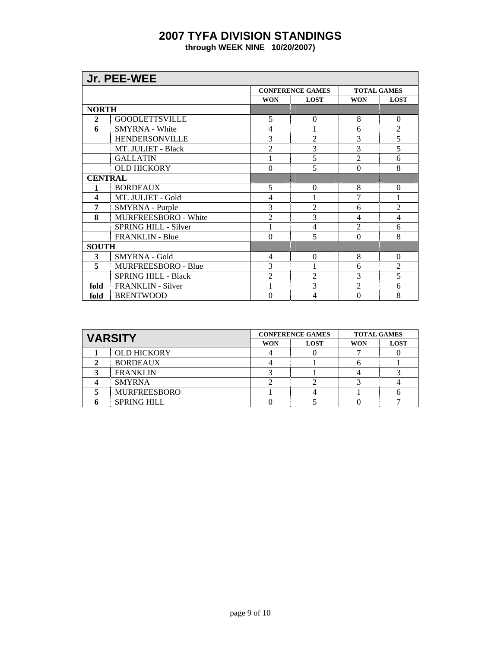|                | Jr. PEE-WEE                 |                |                         |                    |                |  |  |
|----------------|-----------------------------|----------------|-------------------------|--------------------|----------------|--|--|
|                |                             |                | <b>CONFERENCE GAMES</b> | <b>TOTAL GAMES</b> |                |  |  |
|                |                             | <b>WON</b>     | <b>LOST</b>             | <b>WON</b>         | <b>LOST</b>    |  |  |
| <b>NORTH</b>   |                             |                |                         |                    |                |  |  |
| $\mathbf{2}$   | <b>GOODLETTSVILLE</b>       | 5              | $\theta$                | 8                  | $\Omega$       |  |  |
| 6              | <b>SMYRNA</b> - White       | 4              |                         | 6                  | $\overline{2}$ |  |  |
|                | <b>HENDERSONVILLE</b>       | 3              | $\overline{2}$          | 3                  | $\overline{5}$ |  |  |
|                | MT. JULIET - Black          | $\overline{2}$ | 3                       | 3                  | 5              |  |  |
|                | <b>GALLATIN</b>             | 1              | 5                       | $\overline{2}$     | 6              |  |  |
|                | <b>OLD HICKORY</b>          | $\theta$       | 5                       | $\theta$           | 8              |  |  |
| <b>CENTRAL</b> |                             |                |                         |                    |                |  |  |
| 1              | <b>BORDEAUX</b>             | 5              | $\theta$                | 8                  | $\overline{0}$ |  |  |
| 4              | MT. JULIET - Gold           | 4              | 1                       | 7                  | 1              |  |  |
| 7              | SMYRNA - Purple             | 3              | 2                       | 6                  | $\overline{2}$ |  |  |
| 8              | MURFREESBORO - White        | $\overline{2}$ | 3                       | $\overline{4}$     | 4              |  |  |
|                | <b>SPRING HILL - Silver</b> |                | 4                       | $\overline{2}$     | 6              |  |  |
|                | <b>FRANKLIN - Blue</b>      | $\theta$       | 5                       | $\theta$           | 8              |  |  |
| <b>SOUTH</b>   |                             |                |                         |                    |                |  |  |
| 3              | <b>SMYRNA</b> - Gold        | 4              | $\Omega$                | 8                  | $\Omega$       |  |  |
| 5              | MURFREESBORO - Blue         | 3              |                         | 6                  | $\overline{2}$ |  |  |
|                | <b>SPRING HILL - Black</b>  | $\overline{2}$ | $\overline{2}$          | 3                  | 5              |  |  |
| fold           | <b>FRANKLIN - Silver</b>    | 1              | 3                       | $\overline{2}$     | 6              |  |  |
| fold           | <b>BRENTWOOD</b>            | $\theta$       | 4                       | $\theta$           | 8              |  |  |

|  | <b>VARSITY</b>      |            | <b>CONFERENCE GAMES</b> | <b>TOTAL GAMES</b> |             |
|--|---------------------|------------|-------------------------|--------------------|-------------|
|  |                     | <b>WON</b> | <b>LOST</b>             | WON                | <b>LOST</b> |
|  | <b>OLD HICKORY</b>  |            |                         |                    |             |
|  | <b>BORDEAUX</b>     |            |                         |                    |             |
|  | <b>FRANKLIN</b>     |            |                         |                    |             |
|  | <b>SMYRNA</b>       |            |                         |                    |             |
|  | <b>MURFREESBORO</b> |            |                         |                    |             |
|  | <b>SPRING HILL</b>  |            |                         |                    |             |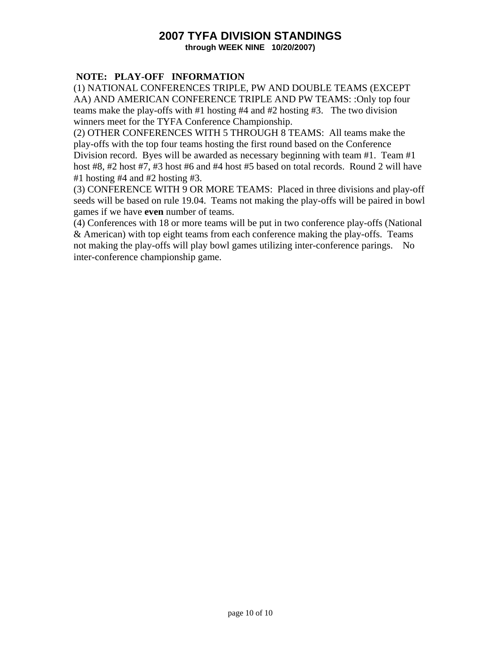### **2007 TYFA DIVISION STANDINGS through WEEK NINE 10/20/2007)**

### **NOTE: PLAY-OFF INFORMATION**

(1) NATIONAL CONFERENCES TRIPLE, PW AND DOUBLE TEAMS (EXCEPT AA) AND AMERICAN CONFERENCE TRIPLE AND PW TEAMS: :Only top four teams make the play-offs with #1 hosting #4 and #2 hosting #3. The two division winners meet for the TYFA Conference Championship.

(2) OTHER CONFERENCES WITH 5 THROUGH 8 TEAMS: All teams make the play-offs with the top four teams hosting the first round based on the Conference Division record. Byes will be awarded as necessary beginning with team #1. Team #1 host #8, #2 host #7, #3 host #6 and #4 host #5 based on total records. Round 2 will have #1 hosting #4 and #2 hosting #3.

(3) CONFERENCE WITH 9 OR MORE TEAMS: Placed in three divisions and play-off seeds will be based on rule 19.04. Teams not making the play-offs will be paired in bowl games if we have **even** number of teams.

(4) Conferences with 18 or more teams will be put in two conference play-offs (National & American) with top eight teams from each conference making the play-offs. Teams not making the play-offs will play bowl games utilizing inter-conference parings. No inter-conference championship game.